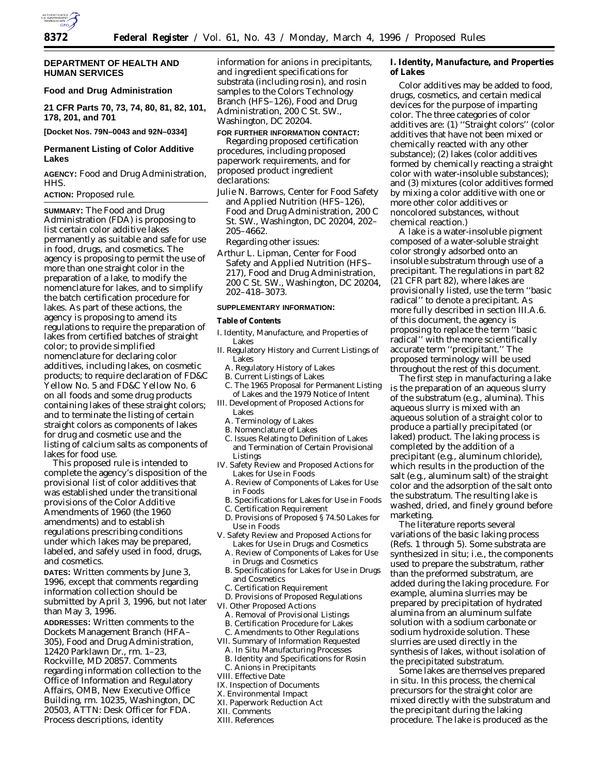

### **DEPARTMENT OF HEALTH AND HUMAN SERVICES**

## **Food and Drug Administration**

**21 CFR Parts 70, 73, 74, 80, 81, 82, 101, 178, 201, and 701**

**[Docket Nos. 79N–0043 and 92N–0334]**

# **Permanent Listing of Color Additive Lakes**

**AGENCY:** Food and Drug Administration, HHS.

## **ACTION:** Proposed rule.

**SUMMARY:** The Food and Drug Administration (FDA) is proposing to list certain color additive lakes permanently as suitable and safe for use in food, drugs, and cosmetics. The agency is proposing to permit the use of more than one straight color in the preparation of a lake, to modify the nomenclature for lakes, and to simplify the batch certification procedure for lakes. As part of these actions, the agency is proposing to amend its regulations to require the preparation of lakes from certified batches of straight color; to provide simplified nomenclature for declaring color additives, including lakes, on cosmetic products; to require declaration of FD&C Yellow No. 5 and FD&C Yellow No. 6 on all foods and some drug products containing lakes of these straight colors; and to terminate the listing of certain straight colors as components of lakes for drug and cosmetic use and the listing of calcium salts as components of lakes for food use.

This proposed rule is intended to complete the agency's disposition of the provisional list of color additives that was established under the transitional provisions of the Color Additive Amendments of 1960 (the 1960 amendments) and to establish regulations prescribing conditions under which lakes may be prepared, labeled, and safely used in food, drugs, and cosmetics.

**DATES:** Written comments by June 3, 1996, except that comments regarding information collection should be submitted by April 3, 1996, but not later than May 3, 1996.

**ADDRESSES:** Written comments to the Dockets Management Branch (HFA– 305), Food and Drug Administration, 12420 Parklawn Dr., rm. 1–23, Rockville, MD 20857. Comments regarding information collection to the Office of Information and Regulatory Affairs, OMB, New Executive Office Building, rm. 10235, Washington, DC 20503, ATTN: Desk Officer for FDA. Process descriptions, identity

information for anions in precipitants, and ingredient specifications for substrata (including rosin), and rosin samples to the Colors Technology Branch (HFS–126), Food and Drug Administration, 200 C St. SW., Washington, DC 20204.

**FOR FURTHER INFORMATION CONTACT:** *Regarding proposed certification procedures, including proposed paperwork requirements, and for proposed product ingredient declarations:*

- Julie N. Barrows, Center for Food Safety and Applied Nutrition (HFS–126), Food and Drug Administration, 200 C St. SW., Washington, DC 20204, 202– 205–4662.
	- *Regarding other issues:*
- Arthur L. Lipman, Center for Food Safety and Applied Nutrition (HFS– 217), Food and Drug Administration, 200 C St. SW., Washington, DC 20204, 202–418–3073.

### **SUPPLEMENTARY INFORMATION:**

**Table of Contents**

- I. Identity, Manufacture, and Properties of Lakes
- II. Regulatory History and Current Listings of Lakes
	- A. Regulatory History of Lakes
	- B. Current Listings of Lakes
- C. The 1965 Proposal for Permanent Listing of Lakes and the 1979 Notice of Intent
- III. Development of Proposed Actions for Lakes
	- A. Terminology of Lakes
	- B. Nomenclature of Lakes
	- C. Issues Relating to Definition of Lakes and Termination of Certain Provisional Listings
- IV. Safety Review and Proposed Actions for Lakes for Use in Foods
	- A. Review of Components of Lakes for Use in Foods
	- B. Specifications for Lakes for Use in Foods
	- C. Certification Requirement
	- D. Provisions of Proposed § 74.50 *Lakes for Use in Foods*
- V. Safety Review and Proposed Actions for Lakes for Use in Drugs and Cosmetics
	- A. Review of Components of Lakes for Use in Drugs and Cosmetics
	- B. Specifications for Lakes for Use in Drugs and Cosmetics
	- C. Certification Requirement
- D. Provisions of Proposed Regulations VI. Other Proposed Actions
	- A. Removal of Provisional Listings
	- B. Certification Procedure for Lakes
	- C. Amendments to Other Regulations
- VII. Summary of Information Requested
	- A. In Situ Manufacturing Processes
- B. Identity and Specifications for Rosin
- C. Anions in Precipitants
- VIII. Effective Date
- IX. Inspection of Documents
- X. Environmental Impact
- XI. Paperwork Reduction Act
- XII. Comments
- XIII. References

**I. Identity, Manufacture, and Properties of Lakes**

Color additives may be added to food, drugs, cosmetics, and certain medical devices for the purpose of imparting color. The three categories of color additives are: (1) ''Straight colors'' (color additives that have not been mixed or chemically reacted with any other substance); (2) lakes (color additives formed by chemically reacting a straight color with water-insoluble substances); and (3) mixtures (color additives formed by mixing a color additive with one or more other color additives or noncolored substances, without chemical reaction.)

A lake is a water-insoluble pigment composed of a water-soluble straight color strongly adsorbed onto an insoluble substratum through use of a precipitant. The regulations in part 82 (21 CFR part 82), where lakes are provisionally listed, use the term ''basic radical'' to denote a precipitant. As more fully described in section III.A.6. of this document, the agency is proposing to replace the term ''basic radical'' with the more scientifically accurate term ''precipitant.'' The proposed terminology will be used throughout the rest of this document.

The first step in manufacturing a lake is the preparation of an aqueous slurry of the substratum (e.g., alumina). This aqueous slurry is mixed with an aqueous solution of a straight color to produce a partially precipitated (or laked) product. The laking process is completed by the addition of a precipitant (e.g., aluminum chloride), which results in the production of the salt (e.g., aluminum salt) of the straight color and the adsorption of the salt onto the substratum. The resulting lake is washed, dried, and finely ground before marketing.

The literature reports several variations of the basic laking process (Refs. 1 through 5). Some substrata are synthesized in situ; i.e., the components used to prepare the substratum, rather than the preformed substratum, are added during the laking procedure. For example, alumina slurries may be prepared by precipitation of hydrated alumina from an aluminum sulfate solution with a sodium carbonate or sodium hydroxide solution. These slurries are used directly in the synthesis of lakes, without isolation of the precipitated substratum.

Some lakes are themselves prepared in situ. In this process, the chemical precursors for the straight color are mixed directly with the substratum and the precipitant during the laking procedure. The lake is produced as the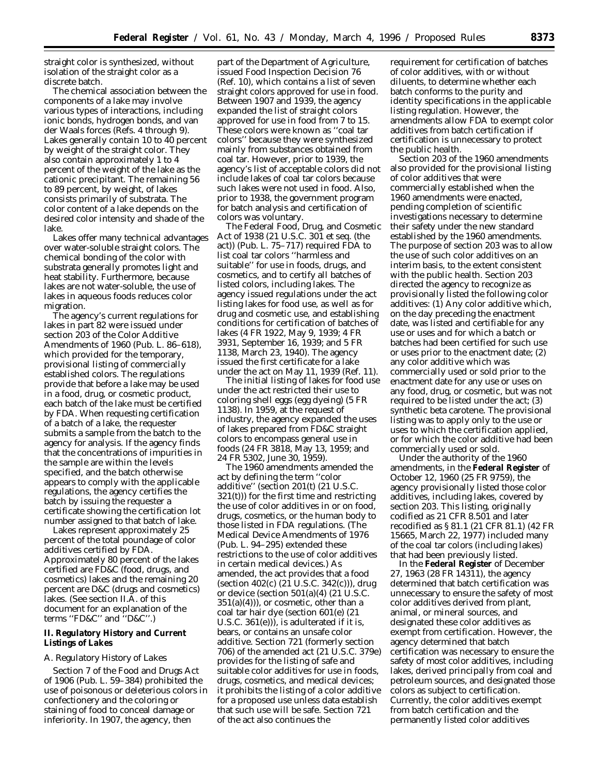straight color is synthesized, without isolation of the straight color as a discrete batch.

The chemical association between the components of a lake may involve various types of interactions, including ionic bonds, hydrogen bonds, and van der Waals forces (Refs. 4 through 9). Lakes generally contain 10 to 40 percent by weight of the straight color. They also contain approximately 1 to 4 percent of the weight of the lake as the cationic precipitant. The remaining 56 to 89 percent, by weight, of lakes consists primarily of substrata. The color content of a lake depends on the desired color intensity and shade of the lake.

Lakes offer many technical advantages over water-soluble straight colors. The chemical bonding of the color with substrata generally promotes light and heat stability. Furthermore, because lakes are not water-soluble, the use of lakes in aqueous foods reduces color migration.

The agency's current regulations for lakes in part 82 were issued under section 203 of the Color Additive Amendments of 1960 (Pub. L. 86–618), which provided for the temporary, provisional listing of commercially established colors. The regulations provide that before a lake may be used in a food, drug, or cosmetic product, each batch of the lake must be certified by FDA. When requesting certification of a batch of a lake, the requester submits a sample from the batch to the agency for analysis. If the agency finds that the concentrations of impurities in the sample are within the levels specified, and the batch otherwise appears to comply with the applicable regulations, the agency certifies the batch by issuing the requester a certificate showing the certification lot number assigned to that batch of lake.

Lakes represent approximately 25 percent of the total poundage of color additives certified by FDA. Approximately 80 percent of the lakes certified are FD&C (food, drugs, and cosmetics) lakes and the remaining 20 percent are D&C (drugs and cosmetics) lakes. (See section II.A. of this document for an explanation of the terms ''FD&C'' and ''D&C''.)

## **II. Regulatory History and Current Listings of Lakes**

#### *A. Regulatory History of Lakes*

Section 7 of the Food and Drugs Act of 1906 (Pub. L. 59–384) prohibited the use of poisonous or deleterious colors in confectionery and the coloring or staining of food to conceal damage or inferiority. In 1907, the agency, then

part of the Department of Agriculture, issued Food Inspection Decision 76 (Ref. 10), which contains a list of seven straight colors approved for use in food. Between 1907 and 1939, the agency expanded the list of straight colors approved for use in food from 7 to 15. These colors were known as ''coal tar colors'' because they were synthesized mainly from substances obtained from coal tar. However, prior to 1939, the agency's list of acceptable colors did not include lakes of coal tar colors because such lakes were not used in food. Also, prior to 1938, the government program for batch analysis and certification of colors was voluntary.

The Federal Food, Drug, and Cosmetic Act of 1938 (21 U.S.C. 301 *et seq.* (the act)) (Pub. L. 75–717) required FDA to list coal tar colors ''harmless and suitable'' for use in foods, drugs, and cosmetics, and to certify all batches of listed colors, including lakes. The agency issued regulations under the act listing lakes for food use, as well as for drug and cosmetic use, and establishing conditions for certification of batches of lakes (4 FR 1922, May 9, 1939; 4 FR 3931, September 16, 1939; and 5 FR 1138, March 23, 1940). The agency issued the first certificate for a lake under the act on May 11, 1939 (Ref. 11).

The initial listing of lakes for food use under the act restricted their use to coloring shell eggs (egg dyeing) (5 FR 1138). In 1959, at the request of industry, the agency expanded the uses of lakes prepared from FD&C straight colors to encompass general use in foods (24 FR 3818, May 13, 1959; and 24 FR 5302, June 30, 1959).

The 1960 amendments amended the act by defining the term ''color additive'' (section 201(t) (21 U.S.C. 321(t))) for the first time and restricting the use of color additives in or on food, drugs, cosmetics, or the human body to those listed in FDA regulations. (The Medical Device Amendments of 1976 (Pub. L. 94–295) extended these restrictions to the use of color additives in certain medical devices.) As amended, the act provides that a food (section 402(c) (21 U.S.C. 342(c))), drug or device (section 501(a)(4) (21 U.S.C.  $351(a)(4)$ , or cosmetic, other than a coal tar hair dye (section 601(e) (21 U.S.C. 361(e))), is adulterated if it is, bears, or contains an unsafe color additive. Section 721 (formerly section 706) of the amended act (21 U.S.C. 379e) provides for the listing of safe and suitable color additives for use in foods, drugs, cosmetics, and medical devices; it prohibits the listing of a color additive for a proposed use unless data establish that such use will be safe. Section 721 of the act also continues the

requirement for certification of batches of color additives, with or without diluents, to determine whether each batch conforms to the purity and identity specifications in the applicable listing regulation. However, the amendments allow FDA to exempt color additives from batch certification if certification is unnecessary to protect the public health.

Section 203 of the 1960 amendments also provided for the provisional listing of color additives that were commercially established when the 1960 amendments were enacted, pending completion of scientific investigations necessary to determine their safety under the new standard established by the 1960 amendments. The purpose of section 203 was to allow the use of such color additives on an interim basis, to the extent consistent with the public health. Section 203 directed the agency to recognize as provisionally listed the following color additives: (1) Any color additive which, on the day preceding the enactment date, was listed and certifiable for any use or uses and for which a batch or batches had been certified for such use or uses prior to the enactment date; (2) any color additive which was commercially used or sold prior to the enactment date for any use or uses on any food, drug, or cosmetic, but was not required to be listed under the act; (3) synthetic beta carotene. The provisional listing was to apply only to the use or uses to which the certification applied, or for which the color additive had been commercially used or sold.

Under the authority of the 1960 amendments, in the **Federal Register** of October 12, 1960 (25 FR 9759), the agency provisionally listed those color additives, including lakes, covered by section 203. This listing, originally codified as 21 CFR 8.501 and later recodified as § 81.1 (21 CFR 81.1) (42 FR 15665, March 22, 1977) included many of the coal tar colors (including lakes) that had been previously listed.

In the **Federal Register** of December 27, 1963 (28 FR 14311), the agency determined that batch certification was unnecessary to ensure the safety of most color additives derived from plant, animal, or mineral sources, and designated these color additives as exempt from certification. However, the agency determined that batch certification was necessary to ensure the safety of most color additives, including lakes, derived principally from coal and petroleum sources, and designated those colors as subject to certification. Currently, the color additives exempt from batch certification and the permanently listed color additives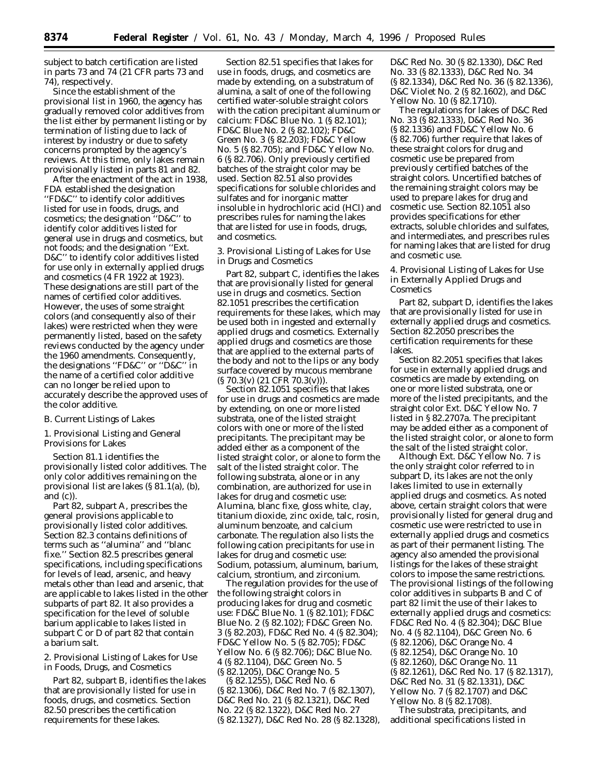subject to batch certification are listed in parts 73 and 74 (21 CFR parts 73 and 74), respectively.

Since the establishment of the provisional list in 1960, the agency has gradually removed color additives from the list either by permanent listing or by termination of listing due to lack of interest by industry or due to safety concerns prompted by the agency's reviews. At this time, only lakes remain provisionally listed in parts 81 and 82.

After the enactment of the act in 1938, FDA established the designation ''FD&C'' to identify color additives listed for use in foods, drugs, and cosmetics; the designation ''D&C'' to identify color additives listed for general use in drugs and cosmetics, but not foods; and the designation ''Ext. D&C'' to identify color additives listed for use only in externally applied drugs and cosmetics (4 FR 1922 at 1923). These designations are still part of the names of certified color additives. However, the uses of some straight colors (and consequently also of their lakes) were restricted when they were permanently listed, based on the safety reviews conducted by the agency under the 1960 amendments. Consequently, the designations ''FD&C'' or ''D&C'' in the name of a certified color additive can no longer be relied upon to accurately describe the approved uses of the color additive.

### *B. Current Listings of Lakes*

1. Provisional Listing and General Provisions for Lakes

Section 81.1 identifies the provisionally listed color additives. The only color additives remaining on the provisional list are lakes (§ 81.1(a), (b), and (c)).

Part 82, subpart A, prescribes the general provisions applicable to provisionally listed color additives. Section 82.3 contains definitions of terms such as ''alumina'' and ''blanc fixe.'' Section 82.5 prescribes general specifications, including specifications for levels of lead, arsenic, and heavy metals other than lead and arsenic, that are applicable to lakes listed in the other subparts of part 82. It also provides a specification for the level of soluble barium applicable to lakes listed in subpart C or D of part 82 that contain a barium salt.

2. Provisional Listing of Lakes for Use in Foods, Drugs, and Cosmetics

Part 82, subpart B, identifies the lakes that are provisionally listed for use in foods, drugs, and cosmetics. Section 82.50 prescribes the certification requirements for these lakes.

Section 82.51 specifies that lakes for use in foods, drugs, and cosmetics are made by extending, on a substratum of alumina, a salt of one of the following certified water-soluble straight colors with the cation precipitant aluminum or calcium: FD&C Blue No. 1 (§ 82.101); FD&C Blue No. 2 (§ 82.102); FD&C Green No. 3 (§ 82.203); FD&C Yellow No. 5 (§ 82.705); and FD&C Yellow No. 6 (§ 82.706). Only previously certified batches of the straight color may be used. Section 82.51 also provides specifications for soluble chlorides and sulfates and for inorganic matter insoluble in hydrochloric acid (HCl) and prescribes rules for naming the lakes that are listed for use in foods, drugs, and cosmetics.

3. Provisional Listing of Lakes for Use in Drugs and Cosmetics

Part 82, subpart C, identifies the lakes that are provisionally listed for general use in drugs and cosmetics. Section 82.1051 prescribes the certification requirements for these lakes, which may be used both in ingested and externally applied drugs and cosmetics. Externally applied drugs and cosmetics are those that are applied to the external parts of the body and not to the lips or any body surface covered by mucous membrane (§ 70.3(v) (21 CFR 70.3(v))).

Section 82.1051 specifies that lakes for use in drugs and cosmetics are made by extending, on one or more listed substrata, one of the listed straight colors with one or more of the listed precipitants. The precipitant may be added either as a component of the listed straight color, or alone to form the salt of the listed straight color. The following substrata, alone or in any combination, are authorized for use in lakes for drug and cosmetic use: Alumina, blanc fixe, gloss white, clay, titanium dioxide, zinc oxide, talc, rosin, aluminum benzoate, and calcium carbonate. The regulation also lists the following cation precipitants for use in lakes for drug and cosmetic use: Sodium, potassium, aluminum, barium, calcium, strontium, and zirconium.

The regulation provides for the use of the following straight colors in producing lakes for drug and cosmetic use: FD&C Blue No. 1 (§ 82.101); FD&C Blue No. 2 (§ 82.102); FD&C Green No. 3 (§ 82.203), FD&C Red No. 4 (§ 82.304); FD&C Yellow No. 5 (§ 82.705); FD&C Yellow No. 6 (§ 82.706); D&C Blue No. 4 (§ 82.1104), D&C Green No. 5 (§ 82.1205), D&C Orange No. 5

(§ 82.1255), D&C Red No. 6 (§ 82.1306), D&C Red No. 7 (§ 82.1307), D&C Red No. 21 (§ 82.1321), D&C Red No. 22 (§ 82.1322), D&C Red No. 27 (§ 82.1327), D&C Red No. 28 (§ 82.1328), D&C Red No. 30 (§ 82.1330), D&C Red No. 33 (§ 82.1333), D&C Red No. 34 (§ 82.1334), D&C Red No. 36 (§ 82.1336), D&C Violet No. 2 (§ 82.1602), and D&C Yellow No. 10 (§ 82.1710).

The regulations for lakes of D&C Red No. 33 (§ 82.1333), D&C Red No. 36 (§ 82.1336) and FD&C Yellow No. 6 (§ 82.706) further require that lakes of these straight colors for drug and cosmetic use be prepared from previously certified batches of the straight colors. Uncertified batches of the remaining straight colors may be used to prepare lakes for drug and cosmetic use. Section 82.1051 also provides specifications for ether extracts, soluble chlorides and sulfates, and intermediates, and prescribes rules for naming lakes that are listed for drug and cosmetic use.

4. Provisional Listing of Lakes for Use in Externally Applied Drugs and Cosmetics

Part 82, subpart D, identifies the lakes that are provisionally listed for use in externally applied drugs and cosmetics. Section 82.2050 prescribes the certification requirements for these lakes.

Section 82.2051 specifies that lakes for use in externally applied drugs and cosmetics are made by extending, on one or more listed substrata, one or more of the listed precipitants, and the straight color Ext. D&C Yellow No. 7 listed in § 82.2707a. The precipitant may be added either as a component of the listed straight color, or alone to form the salt of the listed straight color.

Although Ext. D&C Yellow No. 7 is the only straight color referred to in subpart D, its lakes are not the only lakes limited to use in externally applied drugs and cosmetics. As noted above, certain straight colors that were provisionally listed for general drug and cosmetic use were restricted to use in externally applied drugs and cosmetics as part of their permanent listing. The agency also amended the provisional listings for the lakes of these straight colors to impose the same restrictions. The provisional listings of the following color additives in subparts B and C of part 82 limit the use of their lakes to externally applied drugs and cosmetics: FD&C Red No. 4 (§ 82.304); D&C Blue No. 4 (§ 82.1104), D&C Green No. 6 (§ 82.1206), D&C Orange No. 4 (§ 82.1254), D&C Orange No. 10 (§ 82.1260), D&C Orange No. 11 (§ 82.1261), D&C Red No. 17 (§ 82.1317), D&C Red No. 31 (§ 82.1331), D&C Yellow No. 7 (§ 82.1707) and D&C Yellow No. 8 (§ 82.1708).

The substrata, precipitants, and additional specifications listed in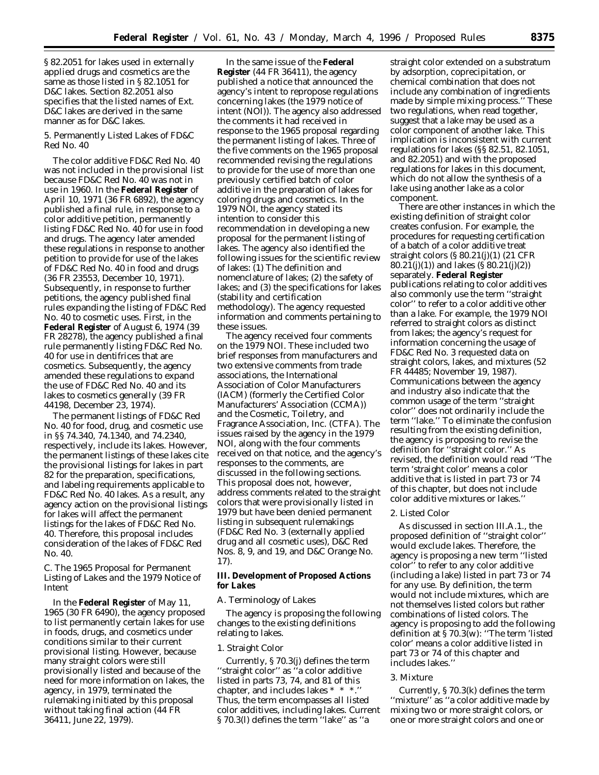§ 82.2051 for lakes used in externally applied drugs and cosmetics are the same as those listed in § 82.1051 for D&C lakes. Section 82.2051 also specifies that the listed names of Ext. D&C lakes are derived in the same manner as for D&C lakes.

5. Permanently Listed Lakes of FD&C Red No. 40

The color additive FD&C Red No. 40 was not included in the provisional list because FD&C Red No. 40 was not in use in 1960. In the **Federal Register** of April 10, 1971 (36 FR 6892), the agency published a final rule, in response to a color additive petition, permanently listing FD&C Red No. 40 for use in food and drugs. The agency later amended these regulations in response to another petition to provide for use of the lakes of FD&C Red No. 40 in food and drugs (36 FR 23553, December 10, 1971). Subsequently, in response to further petitions, the agency published final rules expanding the listing of FD&C Red No. 40 to cosmetic uses. First, in the **Federal Register** of August 6, 1974 (39 FR 28278), the agency published a final rule permanently listing FD&C Red No. 40 for use in dentifrices that are cosmetics. Subsequently, the agency amended these regulations to expand the use of FD&C Red No. 40 and its lakes to cosmetics generally (39 FR 44198, December 23, 1974).

The permanent listings of FD&C Red No. 40 for food, drug, and cosmetic use in §§ 74.340, 74.1340, and 74.2340, respectively, include its lakes. However, the permanent listings of these lakes cite the provisional listings for lakes in part 82 for the preparation, specifications, and labeling requirements applicable to FD&C Red No. 40 lakes. As a result, any agency action on the provisional listings for lakes will affect the permanent listings for the lakes of FD&C Red No. 40. Therefore, this proposal includes consideration of the lakes of FD&C Red No. 40.

### *C. The 1965 Proposal for Permanent Listing of Lakes and the 1979 Notice of Intent*

In the **Federal Register** of May 11, 1965 (30 FR 6490), the agency proposed to list permanently certain lakes for use in foods, drugs, and cosmetics under conditions similar to their current provisional listing. However, because many straight colors were still provisionally listed and because of the need for more information on lakes, the agency, in 1979, terminated the rulemaking initiated by this proposal without taking final action (44 FR 36411, June 22, 1979).

In the same issue of the **Federal Register** (44 FR 36411), the agency published a notice that announced the agency's intent to repropose regulations concerning lakes (the 1979 notice of intent (NOI)). The agency also addressed the comments it had received in response to the 1965 proposal regarding the permanent listing of lakes. Three of the five comments on the 1965 proposal recommended revising the regulations to provide for the use of more than one previously certified batch of color additive in the preparation of lakes for coloring drugs and cosmetics. In the 1979 NOI, the agency stated its intention to consider this recommendation in developing a new proposal for the permanent listing of lakes. The agency also identified the following issues for the scientific review of lakes: (1) The definition and nomenclature of lakes; (2) the safety of lakes; and (3) the specifications for lakes (stability and certification methodology). The agency requested information and comments pertaining to these issues.

The agency received four comments on the 1979 NOI. These included two brief responses from manufacturers and two extensive comments from trade associations, the International Association of Color Manufacturers (IACM) (formerly the Certified Color Manufacturers' Association (CCMA)) and the Cosmetic, Toiletry, and Fragrance Association, Inc. (CTFA). The issues raised by the agency in the 1979 NOI, along with the four comments received on that notice, and the agency's responses to the comments, are discussed in the following sections. This proposal does not, however, address comments related to the straight colors that were provisionally listed in 1979 but have been denied permanent listing in subsequent rulemakings (FD&C Red No. 3 (externally applied drug and all cosmetic uses), D&C Red Nos. 8, 9, and 19, and D&C Orange No. 17).

**III. Development of Proposed Actions for Lakes**

#### *A. Terminology of Lakes*

The agency is proposing the following changes to the existing definitions relating to lakes.

### 1. Straight Color

Currently, § 70.3(j) defines the term ''straight color'' as ''a color additive listed in parts 73, 74, and 81 of this chapter, and includes lakes \* \* \*. Thus, the term encompasses all listed color additives, including lakes. Current § 70.3(l) defines the term ''lake'' as ''a

straight color extended on a substratum by adsorption, coprecipitation, or chemical combination that does not include any combination of ingredients made by simple mixing process.'' These two regulations, when read together, suggest that a lake may be used as a color component of another lake. This implication is inconsistent with current regulations for lakes (§§ 82.51, 82.1051, and 82.2051) and with the proposed regulations for lakes in this document, which do not allow the synthesis of a lake using another lake as a color component.

There are other instances in which the existing definition of straight color creates confusion. For example, the procedures for requesting certification of a batch of a color additive treat straight colors (§ 80.21(j)(1) (21 CFR 80.21(j)(1)) and lakes (§ 80.21(j)(2)) separately. **Federal Register** publications relating to color additives also commonly use the term ''straight color'' to refer to a color additive other than a lake. For example, the 1979 NOI referred to straight colors as distinct from lakes; the agency's request for information concerning the usage of FD&C Red No. 3 requested data on straight colors, lakes, and mixtures (52 FR 44485; November 19, 1987). Communications between the agency and industry also indicate that the common usage of the term ''straight color'' does not ordinarily include the term ''lake.'' To eliminate the confusion resulting from the existing definition, the agency is proposing to revise the definition for ''straight color.'' As revised, the definition would read ''The term 'straight color' means a color additive that is listed in part 73 or 74 of this chapter, but does not include color additive mixtures or lakes.''

#### 2. Listed Color

As discussed in section III.A.1., the proposed definition of ''straight color'' would exclude lakes. Therefore, the agency is proposing a new term ''listed color'' to refer to any color additive (including a lake) listed in part 73 or 74 for any use. By definition, the term would not include mixtures, which are not themselves listed colors but rather combinations of listed colors. The agency is proposing to add the following definition at § 70.3(w): ''The term 'listed color' means a color additive listed in part 73 or 74 of this chapter and includes lakes.''

#### 3. Mixture

Currently, § 70.3(k) defines the term ''mixture'' as ''a color additive made by mixing two or more straight colors, or one or more straight colors and one or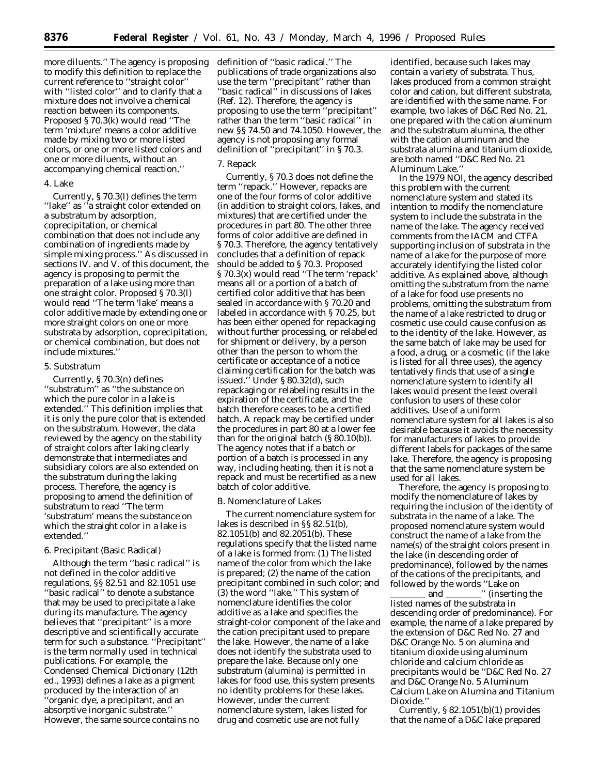more diluents.'' The agency is proposing to modify this definition to replace the current reference to ''straight color'' with ''listed color'' and to clarify that a mixture does not involve a chemical reaction between its components. Proposed § 70.3(k) would read ''The term 'mixture' means a color additive made by mixing two or more listed colors, or one or more listed colors and one or more diluents, without an accompanying chemical reaction.''

### 4. Lake

Currently, § 70.3(l) defines the term "lake" as "a straight color extended on a substratum by adsorption, coprecipitation, or chemical combination that does not include any combination of ingredients made by simple mixing process.'' As discussed in sections IV. and V. of this document, the agency is proposing to permit the preparation of a lake using more than one straight color. Proposed § 70.3(l) would read "The term 'lake' means a color additive made by extending one or more straight colors on one or more substrata by adsorption, coprecipitation, or chemical combination, but does not include mixtures.''

#### 5. Substratum

Currently, § 70.3(n) defines ''substratum'' as ''the substance on which the pure color in a lake is extended." This definition implies that it is only the pure color that is extended on the substratum. However, the data reviewed by the agency on the stability of straight colors after laking clearly demonstrate that intermediates and subsidiary colors are also extended on the substratum during the laking process. Therefore, the agency is proposing to amend the definition of substratum to read ''The term 'substratum' means the substance on which the straight color in a lake is extended.''

#### 6. Precipitant (Basic Radical)

Although the term ''basic radical'' is not defined in the color additive regulations, §§ 82.51 and 82.1051 use ''basic radical'' to denote a substance that may be used to precipitate a lake during its manufacture. The agency believes that ''precipitant'' is a more descriptive and scientifically accurate term for such a substance. ''Precipitant'' is the term normally used in technical publications. For example, the Condensed Chemical Dictionary (12th ed., 1993) defines a lake as a pigment produced by the interaction of an 'organic dye, a precipitant, and an absorptive inorganic substrate.'' However, the same source contains no

definition of ''basic radical.'' The publications of trade organizations also use the term ''precipitant'' rather than ''basic radical'' in discussions of lakes (Ref. 12). Therefore, the agency is proposing to use the term ''precipitant'' rather than the term ''basic radical'' in new §§ 74.50 and 74.1050. However, the agency is not proposing any formal definition of ''precipitant'' in § 70.3.

#### 7. Repack

Currently, § 70.3 does not define the term ''repack.'' However, repacks are one of the four forms of color additive (in addition to straight colors, lakes, and mixtures) that are certified under the procedures in part 80. The other three forms of color additive are defined in § 70.3. Therefore, the agency tentatively concludes that a definition of repack should be added to § 70.3. Proposed § 70.3(x) would read ''The term 'repack' means all or a portion of a batch of certified color additive that has been sealed in accordance with § 70.20 and labeled in accordance with § 70.25, but has been either opened for repackaging without further processing, or relabeled for shipment or delivery, by a person other than the person to whom the certificate or acceptance of a notice claiming certification for the batch was issued.'' Under § 80.32(d), such repackaging or relabeling results in the expiration of the certificate, and the batch therefore ceases to be a certified batch. A repack may be certified under the procedures in part 80 at a lower fee than for the original batch (§ 80.10(b)). The agency notes that if a batch or portion of a batch is processed in any way, including heating, then it is not a repack and must be recertified as a new batch of color additive.

# *B. Nomenclature of Lakes*

The current nomenclature system for lakes is described in §§ 82.51(b), 82.1051(b) and 82.2051(b). These regulations specify that the listed name of a lake is formed from: (1) The listed name of the color from which the lake is prepared; (2) the name of the cation precipitant combined in such color; and (3) the word ''lake.'' This system of nomenclature identifies the color additive as a lake and specifies the straight-color component of the lake and the cation precipitant used to prepare the lake. However, the name of a lake does not identify the substrata used to prepare the lake. Because only one substratum (alumina) is permitted in lakes for food use, this system presents no identity problems for these lakes. However, under the current nomenclature system, lakes listed for drug and cosmetic use are not fully

identified, because such lakes may contain a variety of substrata. Thus, lakes produced from a common straight color and cation, but different substrata, are identified with the same name. For example, two lakes of D&C Red No. 21, one prepared with the cation aluminum and the substratum alumina, the other with the cation aluminum and the substrata alumina and titanium dioxide, are both named ''D&C Red No. 21 Aluminum Lake.''

In the 1979 NOI, the agency described this problem with the current nomenclature system and stated its intention to modify the nomenclature system to include the substrata in the name of the lake. The agency received comments from the IACM and CTFA supporting inclusion of substrata in the name of a lake for the purpose of more accurately identifying the listed color additive. As explained above, although omitting the substratum from the name of a lake for food use presents no problems, omitting the substratum from the name of a lake restricted to drug or cosmetic use could cause confusion as to the identity of the lake. However, as the same batch of lake may be used for a food, a drug, or a cosmetic (if the lake is listed for all three uses), the agency tentatively finds that use of a single nomenclature system to identify all lakes would present the least overall confusion to users of these color additives. Use of a uniform nomenclature system for all lakes is also desirable because it avoids the necessity for manufacturers of lakes to provide different labels for packages of the same lake. Therefore, the agency is proposing that the same nomenclature system be used for all lakes.

Therefore, the agency is proposing to modify the nomenclature of lakes by requiring the inclusion of the identity of substrata in the name of a lake. The proposed nomenclature system would construct the name of a lake from the name(s) of the straight colors present in the lake (in descending order of predominance), followed by the names of the cations of the precipitants, and followed by the words ''Lake on

and \_\_\_\_\_\_\_\_ " (inserting the listed names of the substrata in descending order of predominance). For example, the name of a lake prepared by the extension of D&C Red No. 27 and D&C Orange No. 5 on alumina and titanium dioxide using aluminum chloride and calcium chloride as precipitants would be ''D&C Red No. 27 and D&C Orange No. 5 Aluminum Calcium Lake on Alumina and Titanium Dioxide.''

Currently, § 82.1051(b)(1) provides that the name of a D&C lake prepared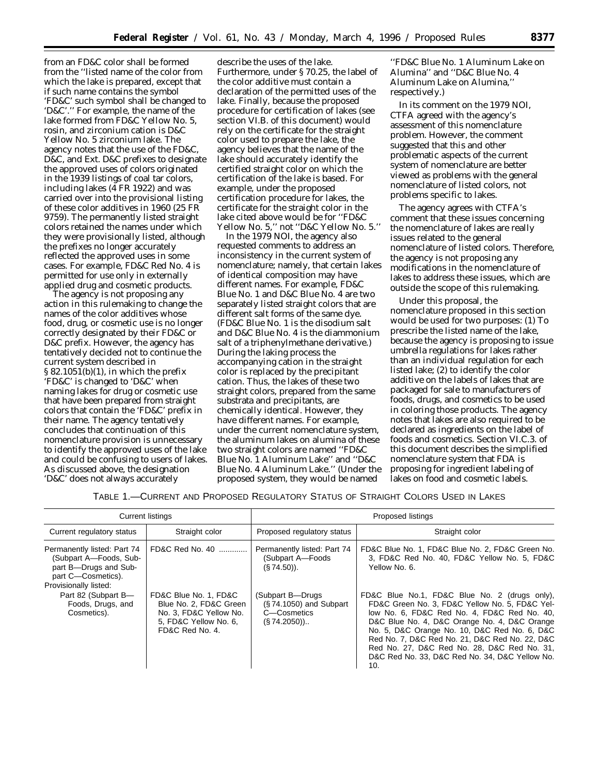from an FD&C color shall be formed from the ''listed name of the color from which the lake is prepared, except that if such name contains the symbol 'FD&C' such symbol shall be changed to 'D&C'.'' For example, the name of the lake formed from FD&C Yellow No. 5, rosin, and zirconium cation is D&C Yellow No. 5 zirconium lake. The agency notes that the use of the FD&C, D&C, and Ext. D&C prefixes to designate the approved uses of colors originated in the 1939 listings of coal tar colors, including lakes (4 FR 1922) and was carried over into the provisional listing of these color additives in 1960 (25 FR 9759). The permanently listed straight colors retained the names under which they were provisionally listed, although the prefixes no longer accurately reflected the approved uses in some cases. For example, FD&C Red No. 4 is permitted for use only in externally applied drug and cosmetic products.

The agency is not proposing any action in this rulemaking to change the names of the color additives whose food, drug, or cosmetic use is no longer correctly designated by their FD&C or D&C prefix. However, the agency has tentatively decided not to continue the current system described in § 82.1051(b)(1), in which the prefix 'FD&C' is changed to 'D&C' when naming lakes for drug or cosmetic use that have been prepared from straight colors that contain the 'FD&C' prefix in their name. The agency tentatively concludes that continuation of this nomenclature provision is unnecessary to identify the approved uses of the lake and could be confusing to users of lakes. As discussed above, the designation 'D&C' does not always accurately

describe the uses of the lake. Furthermore, under § 70.25, the label of the color additive must contain a declaration of the permitted uses of the lake. Finally, because the proposed procedure for certification of lakes (see section VI.B. of this document) would rely on the certificate for the straight color used to prepare the lake, the agency believes that the name of the lake should accurately identify the certified straight color on which the certification of the lake is based. For example, under the proposed certification procedure for lakes, the certificate for the straight color in the lake cited above would be for ''FD&C Yellow No. 5,'' not ''D&C Yellow No. 5.''

In the 1979 NOI, the agency also requested comments to address an inconsistency in the current system of nomenclature; namely, that certain lakes of identical composition may have different names. For example, FD&C Blue No. 1 and D&C Blue No. 4 are two separately listed straight colors that are different salt forms of the same dye. (FD&C Blue No. 1 is the disodium salt and D&C Blue No. 4 is the diammonium salt of a triphenylmethane derivative.) During the laking process the accompanying cation in the straight color is replaced by the precipitant cation. Thus, the lakes of these two straight colors, prepared from the same substrata and precipitants, are chemically identical. However, they have different names. For example, under the current nomenclature system, the aluminum lakes on alumina of these two straight colors are named ''FD&C Blue No. 1 Aluminum Lake'' and ''D&C Blue No. 4 Aluminum Lake.'' (Under the proposed system, they would be named

''FD&C Blue No. 1 Aluminum Lake on Alumina'' and ''D&C Blue No. 4 Aluminum Lake on Alumina,'' respectively.)

In its comment on the 1979 NOI, CTFA agreed with the agency's assessment of this nomenclature problem. However, the comment suggested that this and other problematic aspects of the current system of nomenclature are better viewed as problems with the general nomenclature of listed colors, not problems specific to lakes.

The agency agrees with CTFA's comment that these issues concerning the nomenclature of lakes are really issues related to the general nomenclature of listed colors. Therefore, the agency is not proposing any modifications in the nomenclature of lakes to address these issues, which are outside the scope of this rulemaking.

Under this proposal, the nomenclature proposed in this section would be used for two purposes: (1) To prescribe the listed name of the lake, because the agency is proposing to issue umbrella regulations for lakes rather than an individual regulation for each listed lake; (2) to identify the color additive on the labels of lakes that are packaged for sale to manufacturers of foods, drugs, and cosmetics to be used in coloring those products. The agency notes that lakes are also required to be declared as ingredients on the label of foods and cosmetics. Section VI.C.3. of this document describes the simplified nomenclature system that FDA is proposing for ingredient labeling of lakes on food and cosmetic labels.

| TABLE 1.—CURRENT AND PROPOSED REGULATORY STATUS OF STRAIGHT COLORS USED IN LAKES |  |
|----------------------------------------------------------------------------------|--|
|----------------------------------------------------------------------------------|--|

|                                                                                                                               | <b>Current listings</b>                                                                                               |                                                                               | Proposed listings                                                                                                                                                                                                                                                                                                                                                                                        |
|-------------------------------------------------------------------------------------------------------------------------------|-----------------------------------------------------------------------------------------------------------------------|-------------------------------------------------------------------------------|----------------------------------------------------------------------------------------------------------------------------------------------------------------------------------------------------------------------------------------------------------------------------------------------------------------------------------------------------------------------------------------------------------|
| Current regulatory status                                                                                                     | Straight color                                                                                                        | Proposed regulatory status                                                    | Straight color                                                                                                                                                                                                                                                                                                                                                                                           |
| Permanently listed: Part 74<br>(Subpart A-Foods, Sub-<br>part B-Drugs and Sub-<br>part C-Cosmetics).<br>Provisionally listed: | FD&C Red No. 40                                                                                                       | Permanently listed: Part 74<br>(Subpart A-Foods<br>$(S.74.50)$ .              | FD&C Blue No. 1, FD&C Blue No. 2, FD&C Green No.<br>3, FD&C Red No. 40, FD&C Yellow No. 5, FD&C<br>Yellow No. 6.                                                                                                                                                                                                                                                                                         |
| Part 82 (Subpart B-<br>Foods, Drugs, and<br>Cosmetics).                                                                       | FD&C Blue No. 1, FD&C<br>Blue No. 2, FD&C Green<br>No. 3, FD&C Yellow No.<br>5. FD&C Yellow No. 6.<br>FD&C Red No. 4. | (Subpart B-Drugs)<br>(§74.1050) and Subpart<br>C-Cosmetics<br>$(S.74.2050)$ . | FD&C Blue No.1, FD&C Blue No. 2 (drugs only),<br>FD&C Green No. 3, FD&C Yellow No. 5, FD&C Yel-<br>low No. 6, FD&C Red No. 4, FD&C Red No. 40,<br>D&C Blue No. 4, D&C Orange No. 4, D&C Orange<br>No. 5, D&C Orange No. 10, D&C Red No. 6, D&C<br>Red No. 7, D&C Red No. 21, D&C Red No. 22, D&C<br>Red No. 27, D&C Red No. 28, D&C Red No. 31,<br>D&C Red No. 33, D&C Red No. 34, D&C Yellow No.<br>10. |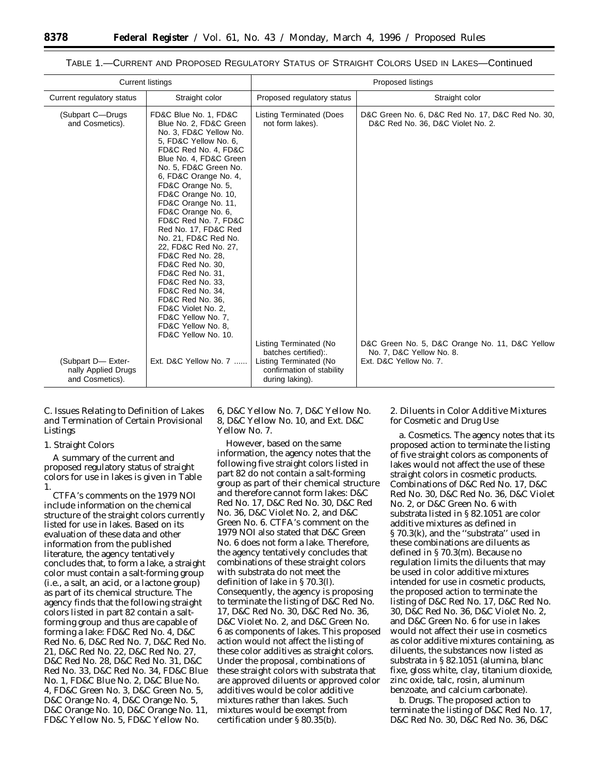|                                                                                   | <b>Current listings</b>                                                                                                                                                                                                                                                                                                                                                                                                                                                                                                                                                                                                                    |                                                                                                                                                            | Proposed listings                                                                                                                                                                             |
|-----------------------------------------------------------------------------------|--------------------------------------------------------------------------------------------------------------------------------------------------------------------------------------------------------------------------------------------------------------------------------------------------------------------------------------------------------------------------------------------------------------------------------------------------------------------------------------------------------------------------------------------------------------------------------------------------------------------------------------------|------------------------------------------------------------------------------------------------------------------------------------------------------------|-----------------------------------------------------------------------------------------------------------------------------------------------------------------------------------------------|
| Current regulatory status                                                         | Straight color                                                                                                                                                                                                                                                                                                                                                                                                                                                                                                                                                                                                                             | Proposed regulatory status                                                                                                                                 | Straight color                                                                                                                                                                                |
| (Subpart C-Drugs)<br>and Cosmetics).<br>(Subpart D- Exter-<br>nally Applied Drugs | FD&C Blue No. 1, FD&C<br>Blue No. 2. FD&C Green<br>No. 3, FD&C Yellow No.<br>5, FD&C Yellow No. 6,<br>FD&C Red No. 4, FD&C<br>Blue No. 4, FD&C Green<br>No. 5, FD&C Green No.<br>6, FD&C Orange No. 4,<br>FD&C Orange No. 5,<br>FD&C Orange No. 10,<br>FD&C Orange No. 11,<br>FD&C Orange No. 6,<br>FD&C Red No. 7, FD&C<br>Red No. 17, FD&C Red<br>No. 21, FD&C Red No.<br>22, FD&C Red No. 27,<br>FD&C Red No. 28.<br>FD&C Red No. 30,<br>FD&C Red No. 31.<br>FD&C Red No. 33,<br>FD&C Red No. 34.<br>FD&C Red No. 36.<br>FD&C Violet No. 2,<br>FD&C Yellow No. 7,<br>FD&C Yellow No. 8.<br>FD&C Yellow No. 10.<br>Ext. D&C Yellow No. 7 | <b>Listing Terminated (Does</b><br>not form lakes).<br>Listing Terminated (No<br>batches certified)<br>Listing Terminated (No<br>confirmation of stability | D&C Green No. 6, D&C Red No. 17, D&C Red No. 30,<br>D&C Red No. 36, D&C Violet No. 2.<br>D&C Green No. 5, D&C Orange No. 11, D&C Yellow<br>No. 7, D&C Yellow No. 8.<br>Ext. D&C Yellow No. 7. |
| and Cosmetics).                                                                   |                                                                                                                                                                                                                                                                                                                                                                                                                                                                                                                                                                                                                                            | during laking).                                                                                                                                            |                                                                                                                                                                                               |

# TABLE 1.—CURRENT AND PROPOSED REGULATORY STATUS OF STRAIGHT COLORS USED IN LAKES—Continued

# *C. Issues Relating to Definition of Lakes and Termination of Certain Provisional Listings*

### 1. Straight Colors

A summary of the current and proposed regulatory status of straight colors for use in lakes is given in Table 1.

CTFA's comments on the 1979 NOI include information on the chemical structure of the straight colors currently listed for use in lakes. Based on its evaluation of these data and other information from the published literature, the agency tentatively concludes that, to form a lake, a straight color must contain a salt-forming group (i.e., a salt, an acid, or a lactone group) as part of its chemical structure. The agency finds that the following straight colors listed in part 82 contain a saltforming group and thus are capable of forming a lake: FD&C Red No. 4, D&C Red No. 6, D&C Red No. 7, D&C Red No. 21, D&C Red No. 22, D&C Red No. 27, D&C Red No. 28, D&C Red No. 31, D&C Red No. 33, D&C Red No. 34, FD&C Blue No. 1, FD&C Blue No. 2, D&C Blue No. 4, FD&C Green No. 3, D&C Green No. 5, D&C Orange No. 4, D&C Orange No. 5, D&C Orange No. 10, D&C Orange No. 11, FD&C Yellow No. 5, FD&C Yellow No.

6, D&C Yellow No. 7, D&C Yellow No. 8, D&C Yellow No. 10, and Ext. D&C Yellow No. 7.

However, based on the same information, the agency notes that the following five straight colors listed in part 82 do not contain a salt-forming group as part of their chemical structure and therefore cannot form lakes: D&C Red No. 17, D&C Red No. 30, D&C Red No. 36, D&C Violet No. 2, and D&C Green No. 6. CTFA's comment on the 1979 NOI also stated that D&C Green No. 6 does not form a lake. Therefore, the agency tentatively concludes that combinations of these straight colors with substrata do not meet the definition of lake in § 70.3(l). Consequently, the agency is proposing to terminate the listing of D&C Red No. 17, D&C Red No. 30, D&C Red No. 36, D&C Violet No. 2, and D&C Green No. 6 as components of lakes. This proposed action would not affect the listing of these color additives as straight colors. Under the proposal, combinations of these straight colors with substrata that are approved diluents or approved color additives would be color additive mixtures rather than lakes. Such mixtures would be exempt from certification under § 80.35(b).

2. Diluents in Color Additive Mixtures for Cosmetic and Drug Use

a. *Cosmetics.* The agency notes that its proposed action to terminate the listing of five straight colors as components of lakes would not affect the use of these straight colors in cosmetic products. Combinations of D&C Red No. 17, D&C Red No. 30, D&C Red No. 36, D&C Violet No. 2, or D&C Green No. 6 with substrata listed in § 82.1051 are color additive mixtures as defined in § 70.3(k), and the ''substrata'' used in these combinations are diluents as defined in § 70.3(m). Because no regulation limits the diluents that may be used in color additive mixtures intended for use in cosmetic products, the proposed action to terminate the listing of D&C Red No. 17, D&C Red No. 30, D&C Red No. 36, D&C Violet No. 2, and D&C Green No. 6 for use in lakes would not affect their use in cosmetics as color additive mixtures containing, as diluents, the substances now listed as substrata in § 82.1051 (alumina, blanc fixe, gloss white, clay, titanium dioxide, zinc oxide, talc, rosin, aluminum benzoate, and calcium carbonate).

b. *Drugs.* The proposed action to terminate the listing of D&C Red No. 17, D&C Red No. 30, D&C Red No. 36, D&C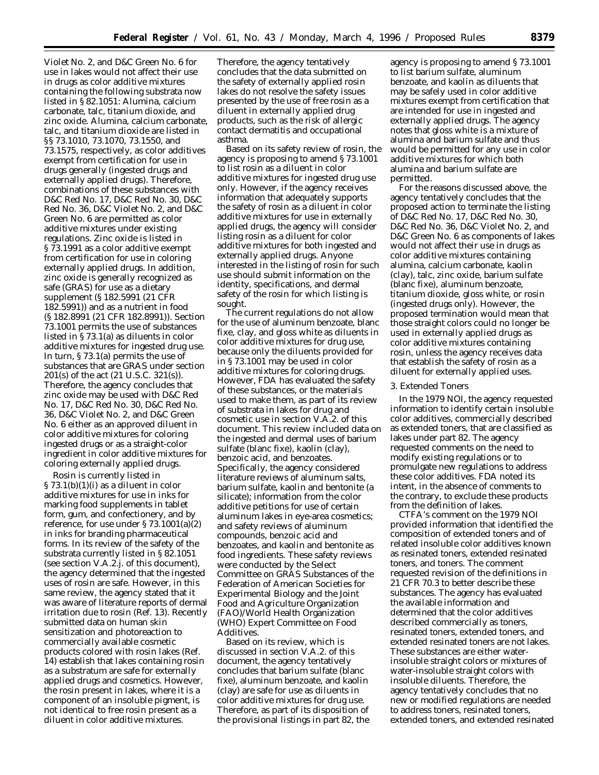Violet No. 2, and D&C Green No. 6 for use in lakes would not affect their use in drugs as color additive mixtures containing the following substrata now listed in § 82.1051: Alumina, calcium carbonate, talc, titanium dioxide, and zinc oxide. Alumina, calcium carbonate, talc, and titanium dioxide are listed in §§ 73.1010, 73.1070, 73.1550, and 73.1575, respectively, as color additives exempt from certification for use in drugs generally (ingested drugs and externally applied drugs). Therefore, combinations of these substances with D&C Red No. 17, D&C Red No. 30, D&C Red No. 36, D&C Violet No. 2, and D&C Green No. 6 are permitted as color additive mixtures under existing regulations. Zinc oxide is listed in § 73.1991 as a color additive exempt from certification for use in coloring externally applied drugs. In addition, zinc oxide is generally recognized as safe (GRAS) for use as a dietary supplement (§ 182.5991 (21 CFR 182.5991)) and as a nutrient in food (§ 182.8991 (21 CFR 182.8991)). Section 73.1001 permits the use of substances listed in § 73.1(a) as diluents in color additive mixtures for ingested drug use. In turn, § 73.1(a) permits the use of substances that are GRAS under section 201(s) of the act (21 U.S.C. 321(s)). Therefore, the agency concludes that zinc oxide may be used with D&C Red No. 17, D&C Red No. 30, D&C Red No. 36, D&C Violet No. 2, and D&C Green No. 6 either as an approved diluent in color additive mixtures for coloring ingested drugs or as a straight-color ingredient in color additive mixtures for coloring externally applied drugs.

Rosin is currently listed in  $\S 73.1(b)(1)(i)$  as a diluent in color additive mixtures for use in inks for marking food supplements in tablet form, gum, and confectionery, and by reference, for use under § 73.1001(a)(2) in inks for branding pharmaceutical forms. In its review of the safety of the substrata currently listed in § 82.1051 (see section V.A.2.j. of this document), the agency determined that the ingested uses of rosin are safe. However, in this same review, the agency stated that it was aware of literature reports of dermal irritation due to rosin (Ref. 13). Recently submitted data on human skin sensitization and photoreaction to commercially available cosmetic products colored with rosin lakes (Ref. 14) establish that lakes containing rosin as a substratum are safe for externally applied drugs and cosmetics. However, the rosin present in lakes, where it is a component of an insoluble pigment, is not identical to free rosin present as a diluent in color additive mixtures.

Therefore, the agency tentatively concludes that the data submitted on the safety of externally applied rosin lakes do not resolve the safety issues presented by the use of free rosin as a diluent in externally applied drug products, such as the risk of allergic contact dermatitis and occupational asthma.

Based on its safety review of rosin, the agency is proposing to amend § 73.1001 to list rosin as a diluent in color additive mixtures for ingested drug use only. However, if the agency receives information that adequately supports the safety of rosin as a diluent in color additive mixtures for use in externally applied drugs, the agency will consider listing rosin as a diluent for color additive mixtures for both ingested and externally applied drugs. Anyone interested in the listing of rosin for such use should submit information on the identity, specifications, and dermal safety of the rosin for which listing is sought.

The current regulations do not allow for the use of aluminum benzoate, blanc fixe, clay, and gloss white as diluents in color additive mixtures for drug use, because only the diluents provided for in § 73.1001 may be used in color additive mixtures for coloring drugs. However, FDA has evaluated the safety of these substances, or the materials used to make them, as part of its review of substrata in lakes for drug and cosmetic use in section V.A.2. of this document. This review included data on the ingested and dermal uses of barium sulfate (blanc fixe), kaolin (clay), benzoic acid, and benzoates. Specifically, the agency considered literature reviews of aluminum salts, barium sulfate, kaolin and bentonite (a silicate); information from the color additive petitions for use of certain aluminum lakes in eye-area cosmetics; and safety reviews of aluminum compounds, benzoic acid and benzoates, and kaolin and bentonite as food ingredients. These safety reviews were conducted by the Select Committee on GRAS Substances of the Federation of American Societies for Experimental Biology and the Joint Food and Agriculture Organization (FAO)/World Health Organization (WHO) Expert Committee on Food Additives.

Based on its review, which is discussed in section V.A.2. of this document, the agency tentatively concludes that barium sulfate (blanc fixe), aluminum benzoate, and kaolin (clay) are safe for use as diluents in color additive mixtures for drug use. Therefore, as part of its disposition of the provisional listings in part 82, the

agency is proposing to amend § 73.1001 to list barium sulfate, aluminum benzoate, and kaolin as diluents that may be safely used in color additive mixtures exempt from certification that are intended for use in ingested and externally applied drugs. The agency notes that gloss white is a mixture of alumina and barium sulfate and thus would be permitted for any use in color additive mixtures for which both alumina and barium sulfate are permitted.

For the reasons discussed above, the agency tentatively concludes that the proposed action to terminate the listing of D&C Red No. 17, D&C Red No. 30, D&C Red No. 36, D&C Violet No. 2, and D&C Green No. 6 as components of lakes would not affect their use in drugs as color additive mixtures containing alumina, calcium carbonate, kaolin (clay), talc, zinc oxide, barium sulfate (blanc fixe), aluminum benzoate, titanium dioxide, gloss white, or rosin (ingested drugs only). However, the proposed termination would mean that those straight colors could no longer be used in externally applied drugs as color additive mixtures containing rosin, unless the agency receives data that establish the safety of rosin as a diluent for externally applied uses.

### 3. Extended Toners

In the 1979 NOI, the agency requested information to identify certain insoluble color additives, commercially described as extended toners, that are classified as lakes under part 82. The agency requested comments on the need to modify existing regulations or to promulgate new regulations to address these color additives. FDA noted its intent, in the absence of comments to the contrary, to exclude these products from the definition of lakes.

CTFA's comment on the 1979 NOI provided information that identified the composition of extended toners and of related insoluble color additives known as resinated toners, extended resinated toners, and toners. The comment requested revision of the definitions in 21 CFR 70.3 to better describe these substances. The agency has evaluated the available information and determined that the color additives described commercially as toners, resinated toners, extended toners, and extended resinated toners are not lakes. These substances are either waterinsoluble straight colors or mixtures of water-insoluble straight colors with insoluble diluents. Therefore, the agency tentatively concludes that no new or modified regulations are needed to address toners, resinated toners, extended toners, and extended resinated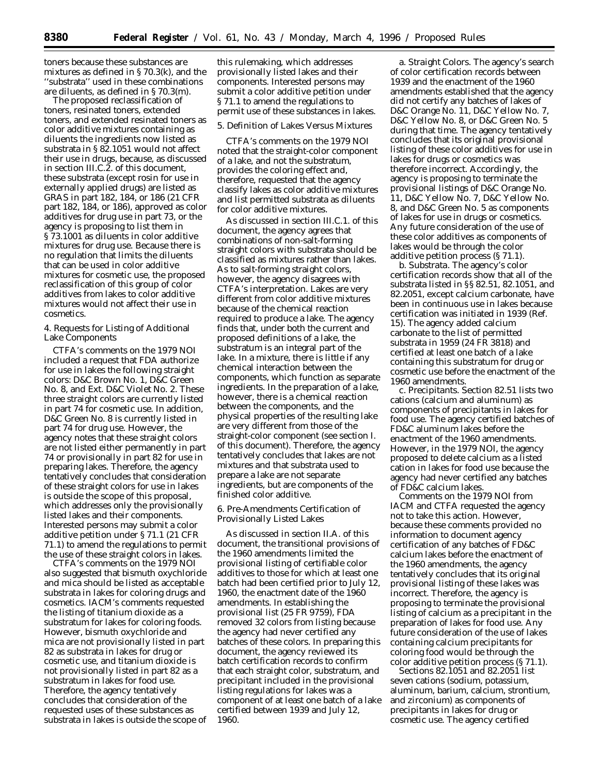toners because these substances are mixtures as defined in § 70.3(k), and the 'substrata'' used in these combinations are diluents, as defined in § 70.3(m).

The proposed reclassification of toners, resinated toners, extended toners, and extended resinated toners as color additive mixtures containing as diluents the ingredients now listed as substrata in § 82.1051 would not affect their use in drugs, because, as discussed in section III.C.2. of this document, these substrata (except rosin for use in externally applied drugs) are listed as GRAS in part 182, 184, or 186 (21 CFR part 182, 184, or 186), approved as color additives for drug use in part 73, or the agency is proposing to list them in § 73.1001 as diluents in color additive mixtures for drug use. Because there is no regulation that limits the diluents that can be used in color additive mixtures for cosmetic use, the proposed reclassification of this group of color additives from lakes to color additive mixtures would not affect their use in cosmetics.

### 4. Requests for Listing of Additional Lake Components

CTFA's comments on the 1979 NOI included a request that FDA authorize for use in lakes the following straight colors: D&C Brown No. 1, D&C Green No. 8, and Ext. D&C Violet No. 2. These three straight colors are currently listed in part 74 for cosmetic use. In addition, D&C Green No. 8 is currently listed in part 74 for drug use. However, the agency notes that these straight colors are not listed either permanently in part 74 or provisionally in part 82 for use in preparing lakes. Therefore, the agency tentatively concludes that consideration of these straight colors for use in lakes is outside the scope of this proposal, which addresses only the provisionally listed lakes and their components. Interested persons may submit a color additive petition under § 71.1 (21 CFR 71.1) to amend the regulations to permit the use of these straight colors in lakes.

CTFA's comments on the 1979 NOI also suggested that bismuth oxychloride and mica should be listed as acceptable substrata in lakes for coloring drugs and cosmetics. IACM's comments requested the listing of titanium dioxide as a substratum for lakes for coloring foods. However, bismuth oxychloride and mica are not provisionally listed in part 82 as substrata in lakes for drug or cosmetic use, and titanium dioxide is not provisionally listed in part 82 as a substratum in lakes for food use. Therefore, the agency tentatively concludes that consideration of the requested uses of these substances as substrata in lakes is outside the scope of this rulemaking, which addresses provisionally listed lakes and their components. Interested persons may submit a color additive petition under § 71.1 to amend the regulations to permit use of these substances in lakes.

#### 5. Definition of Lakes Versus Mixtures

CTFA's comments on the 1979 NOI noted that the straight-color component of a lake, and not the substratum, provides the coloring effect and, therefore, requested that the agency classify lakes as color additive mixtures and list permitted substrata as diluents for color additive mixtures.

As discussed in section III.C.1. of this document, the agency agrees that combinations of non-salt-forming straight colors with substrata should be classified as mixtures rather than lakes. As to salt-forming straight colors, however, the agency disagrees with CTFA's interpretation. Lakes are very different from color additive mixtures because of the chemical reaction required to produce a lake. The agency finds that, under both the current and proposed definitions of a lake, the substratum is an integral part of the lake. In a mixture, there is little if any chemical interaction between the components, which function as separate ingredients. In the preparation of a lake, however, there is a chemical reaction between the components, and the physical properties of the resulting lake are very different from those of the straight-color component (see section I. of this document). Therefore, the agency tentatively concludes that lakes are not mixtures and that substrata used to prepare a lake are not separate ingredients, but are components of the finished color additive.

# 6. Pre-Amendments Certification of Provisionally Listed Lakes

As discussed in section II.A. of this document, the transitional provisions of the 1960 amendments limited the provisional listing of certifiable color additives to those for which at least one batch had been certified prior to July 12, 1960, the enactment date of the 1960 amendments. In establishing the provisional list (25 FR 9759), FDA removed 32 colors from listing because the agency had never certified any batches of these colors. In preparing this document, the agency reviewed its batch certification records to confirm that each straight color, substratum, and precipitant included in the provisional listing regulations for lakes was a component of at least one batch of a lake certified between 1939 and July 12, 1960.

a. *Straight Colors.* The agency's search of color certification records between 1939 and the enactment of the 1960 amendments established that the agency did not certify any batches of lakes of D&C Orange No. 11, D&C Yellow No. 7, D&C Yellow No. 8, or D&C Green No. 5 during that time. The agency tentatively concludes that its original provisional listing of these color additives for use in lakes for drugs or cosmetics was therefore incorrect. Accordingly, the agency is proposing to terminate the provisional listings of D&C Orange No. 11, D&C Yellow No. 7, D&C Yellow No. 8, and D&C Green No. 5 as components of lakes for use in drugs or cosmetics. Any future consideration of the use of these color additives as components of lakes would be through the color additive petition process (§ 71.1).

b. *Substrata.* The agency's color certification records show that all of the substrata listed in §§ 82.51, 82.1051, and 82.2051, except calcium carbonate, have been in continuous use in lakes because certification was initiated in 1939 (Ref. 15). The agency added calcium carbonate to the list of permitted substrata in 1959 (24 FR 3818) and certified at least one batch of a lake containing this substratum for drug or cosmetic use before the enactment of the 1960 amendments.

c. *Precipitants.* Section 82.51 lists two cations (calcium and aluminum) as components of precipitants in lakes for food use. The agency certified batches of FD&C aluminum lakes before the enactment of the 1960 amendments. However, in the 1979 NOI, the agency proposed to delete calcium as a listed cation in lakes for food use because the agency had never certified any batches of FD&C calcium lakes.

Comments on the 1979 NOI from IACM and CTFA requested the agency not to take this action. However, because these comments provided no information to document agency certification of any batches of FD&C calcium lakes before the enactment of the 1960 amendments, the agency tentatively concludes that its original provisional listing of these lakes was incorrect. Therefore, the agency is proposing to terminate the provisional listing of calcium as a precipitant in the preparation of lakes for food use. Any future consideration of the use of lakes containing calcium precipitants for coloring food would be through the color additive petition process (§ 71.1).

Sections 82.1051 and 82.2051 list seven cations (sodium, potassium, aluminum, barium, calcium, strontium, and zirconium) as components of precipitants in lakes for drug or cosmetic use. The agency certified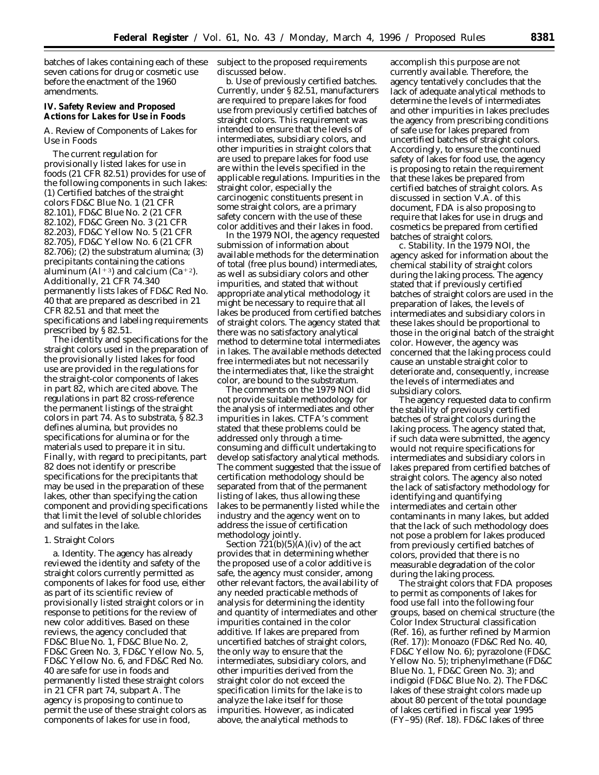batches of lakes containing each of these seven cations for drug or cosmetic use before the enactment of the 1960 amendments.

**IV. Safety Review and Proposed Actions for Lakes for Use in Foods**

### *A. Review of Components of Lakes for Use in Foods*

The current regulation for provisionally listed lakes for use in foods (21 CFR 82.51) provides for use of the following components in such lakes: (1) Certified batches of the straight colors FD&C Blue No. 1 (21 CFR 82.101), FD&C Blue No. 2 (21 CFR 82.102), FD&C Green No. 3 (21 CFR 82.203), FD&C Yellow No. 5 (21 CFR 82.705), FD&C Yellow No. 6 (21 CFR 82.706); (2) the substratum alumina; (3) precipitants containing the cations aluminum (Al<sup>+3</sup>) and calcium (Ca<sup>+2</sup>). Additionally, 21 CFR 74.340 permanently lists lakes of FD&C Red No. 40 that are prepared as described in 21 CFR 82.51 and that meet the specifications and labeling requirements prescribed by § 82.51.

The identity and specifications for the straight colors used in the preparation of the provisionally listed lakes for food use are provided in the regulations for the straight-color components of lakes in part 82, which are cited above. The regulations in part 82 cross-reference the permanent listings of the straight colors in part 74. As to substrata, § 82.3 defines alumina, but provides no specifications for alumina or for the materials used to prepare it in situ. Finally, with regard to precipitants, part 82 does not identify or prescribe specifications for the precipitants that may be used in the preparation of these lakes, other than specifying the cation component and providing specifications that limit the level of soluble chlorides and sulfates in the lake.

#### 1. Straight Colors

a. *Identity.* The agency has already reviewed the identity and safety of the straight colors currently permitted as components of lakes for food use, either as part of its scientific review of provisionally listed straight colors or in response to petitions for the review of new color additives. Based on these reviews, the agency concluded that FD&C Blue No. 1, FD&C Blue No. 2, FD&C Green No. 3, FD&C Yellow No. 5, FD&C Yellow No. 6, and FD&C Red No. 40 are safe for use in foods and permanently listed these straight colors in 21 CFR part 74, subpart A. The agency is proposing to continue to permit the use of these straight colors as components of lakes for use in food,

subject to the proposed requirements discussed below.

b. *Use of previously certified batches.* Currently, under § 82.51, manufacturers are required to prepare lakes for food use from previously certified batches of straight colors. This requirement was intended to ensure that the levels of intermediates, subsidiary colors, and other impurities in straight colors that are used to prepare lakes for food use are within the levels specified in the applicable regulations. Impurities in the straight color, especially the carcinogenic constituents present in some straight colors, are a primary safety concern with the use of these color additives and their lakes in food.

In the 1979 NOI, the agency requested submission of information about available methods for the determination of total (free plus bound) intermediates, as well as subsidiary colors and other impurities, and stated that without appropriate analytical methodology it might be necessary to require that all lakes be produced from certified batches of straight colors. The agency stated that there was no satisfactory analytical method to determine total intermediates in lakes. The available methods detected free intermediates but not necessarily the intermediates that, like the straight color, are bound to the substratum.

The comments on the 1979 NOI did not provide suitable methodology for the analysis of intermediates and other impurities in lakes. CTFA's comment stated that these problems could be addressed only through a timeconsuming and difficult undertaking to develop satisfactory analytical methods. The comment suggested that the issue of certification methodology should be separated from that of the permanent listing of lakes, thus allowing these lakes to be permanently listed while the industry and the agency went on to address the issue of certification methodology jointly.

Section  $\overline{721(b)(5)(A)}$  (iv) of the act provides that in determining whether the proposed use of a color additive is safe, the agency must consider, among other relevant factors, the availability of any needed practicable methods of analysis for determining the identity and quantity of intermediates and other impurities contained in the color additive. If lakes are prepared from uncertified batches of straight colors, the only way to ensure that the intermediates, subsidiary colors, and other impurities derived from the straight color do not exceed the specification limits for the lake is to analyze the lake itself for those impurities. However, as indicated above, the analytical methods to

accomplish this purpose are not currently available. Therefore, the agency tentatively concludes that the lack of adequate analytical methods to determine the levels of intermediates and other impurities in lakes precludes the agency from prescribing conditions of safe use for lakes prepared from uncertified batches of straight colors. Accordingly, to ensure the continued safety of lakes for food use, the agency is proposing to retain the requirement that these lakes be prepared from certified batches of straight colors. As discussed in section V.A. of this document, FDA is also proposing to require that lakes for use in drugs and cosmetics be prepared from certified batches of straight colors.

c. *Stability.* In the 1979 NOI, the agency asked for information about the chemical stability of straight colors during the laking process. The agency stated that if previously certified batches of straight colors are used in the preparation of lakes, the levels of intermediates and subsidiary colors in these lakes should be proportional to those in the original batch of the straight color. However, the agency was concerned that the laking process could cause an unstable straight color to deteriorate and, consequently, increase the levels of intermediates and subsidiary colors.

The agency requested data to confirm the stability of previously certified batches of straight colors during the laking process. The agency stated that, if such data were submitted, the agency would not require specifications for intermediates and subsidiary colors in lakes prepared from certified batches of straight colors. The agency also noted the lack of satisfactory methodology for identifying and quantifying intermediates and certain other contaminants in many lakes, but added that the lack of such methodology does not pose a problem for lakes produced from previously certified batches of colors, provided that there is no measurable degradation of the color during the laking process.

The straight colors that FDA proposes to permit as components of lakes for food use fall into the following four groups, based on chemical structure (the Color Index Structural classification (Ref. 16), as further refined by Marmion (Ref. 17)): Monoazo (FD&C Red No. 40, FD&C Yellow No. 6); pyrazolone (FD&C Yellow No. 5); triphenylmethane (FD&C Blue No. 1, FD&C Green No. 3); and indigoid (FD&C Blue No. 2). The FD&C lakes of these straight colors made up about 80 percent of the total poundage of lakes certified in fiscal year 1995 (FY–95) (Ref. 18). FD&C lakes of three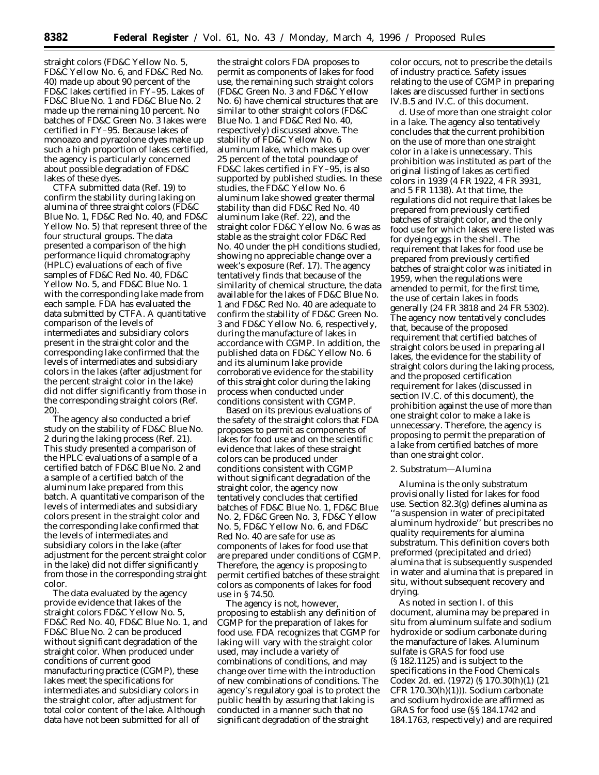straight colors (FD&C Yellow No. 5, FD&C Yellow No. 6, and FD&C Red No. 40) made up about 90 percent of the FD&C lakes certified in FY–95. Lakes of FD&C Blue No. 1 and FD&C Blue No. 2 made up the remaining 10 percent. No batches of FD&C Green No. 3 lakes were certified in FY–95. Because lakes of monoazo and pyrazolone dyes make up such a high proportion of lakes certified, the agency is particularly concerned about possible degradation of FD&C lakes of these dyes.

CTFA submitted data (Ref. 19) to confirm the stability during laking on alumina of three straight colors (FD&C Blue No. 1, FD&C Red No. 40, and FD&C Yellow No. 5) that represent three of the four structural groups. The data presented a comparison of the high performance liquid chromatography (HPLC) evaluations of each of five samples of FD&C Red No. 40, FD&C Yellow No. 5, and FD&C Blue No. 1 with the corresponding lake made from each sample. FDA has evaluated the data submitted by CTFA. A quantitative comparison of the levels of intermediates and subsidiary colors present in the straight color and the corresponding lake confirmed that the levels of intermediates and subsidiary colors in the lakes (after adjustment for the percent straight color in the lake) did not differ significantly from those in the corresponding straight colors (Ref. 20).

The agency also conducted a brief study on the stability of FD&C Blue No. 2 during the laking process (Ref. 21). This study presented a comparison of the HPLC evaluations of a sample of a certified batch of FD&C Blue No. 2 and a sample of a certified batch of the aluminum lake prepared from this batch. A quantitative comparison of the levels of intermediates and subsidiary colors present in the straight color and the corresponding lake confirmed that the levels of intermediates and subsidiary colors in the lake (after adjustment for the percent straight color in the lake) did not differ significantly from those in the corresponding straight color.

The data evaluated by the agency provide evidence that lakes of the straight colors FD&C Yellow No. 5, FD&C Red No. 40, FD&C Blue No. 1, and FD&C Blue No. 2 can be produced without significant degradation of the straight color. When produced under conditions of current good manufacturing practice (CGMP), these lakes meet the specifications for intermediates and subsidiary colors in the straight color, after adjustment for total color content of the lake. Although data have not been submitted for all of

the straight colors FDA proposes to permit as components of lakes for food use, the remaining such straight colors (FD&C Green No. 3 and FD&C Yellow No. 6) have chemical structures that are similar to other straight colors (FD&C Blue No. 1 and FD&C Red No. 40, respectively) discussed above. The stability of FD&C Yellow No. 6 aluminum lake, which makes up over 25 percent of the total poundage of FD&C lakes certified in FY–95, is also supported by published studies. In these studies, the FD&C Yellow No. 6 aluminum lake showed greater thermal stability than did FD&C Red No. 40 aluminum lake (Ref. 22), and the straight color FD&C Yellow No. 6 was as stable as the straight color FD&C Red No. 40 under the pH conditions studied, showing no appreciable change over a week's exposure (Ref. 17). The agency tentatively finds that because of the similarity of chemical structure, the data available for the lakes of FD&C Blue No. 1 and FD&C Red No. 40 are adequate to confirm the stability of FD&C Green No. 3 and FD&C Yellow No. 6, respectively, during the manufacture of lakes in accordance with CGMP. In addition, the published data on FD&C Yellow No. 6 and its aluminum lake provide corroborative evidence for the stability of this straight color during the laking process when conducted under conditions consistent with CGMP.

Based on its previous evaluations of the safety of the straight colors that FDA proposes to permit as components of lakes for food use and on the scientific evidence that lakes of these straight colors can be produced under conditions consistent with CGMP without significant degradation of the straight color, the agency now tentatively concludes that certified batches of FD&C Blue No. 1, FD&C Blue No. 2, FD&C Green No. 3, FD&C Yellow No. 5, FD&C Yellow No. 6, and FD&C Red No. 40 are safe for use as components of lakes for food use that are prepared under conditions of CGMP. Therefore, the agency is proposing to permit certified batches of these straight colors as components of lakes for food use in § 74.50.

The agency is not, however, proposing to establish any definition of CGMP for the preparation of lakes for food use. FDA recognizes that CGMP for laking will vary with the straight color used, may include a variety of combinations of conditions, and may change over time with the introduction of new combinations of conditions. The agency's regulatory goal is to protect the public health by assuring that laking is conducted in a manner such that no significant degradation of the straight

color occurs, not to prescribe the details of industry practice. Safety issues relating to the use of CGMP in preparing lakes are discussed further in sections IV.B.5 and IV.C. of this document.

d. *Use of more than one straight color in a lake.* The agency also tentatively concludes that the current prohibition on the use of more than one straight color in a lake is unnecessary. This prohibition was instituted as part of the original listing of lakes as certified colors in 1939 (4 FR 1922, 4 FR 3931, and 5 FR 1138). At that time, the regulations did not require that lakes be prepared from previously certified batches of straight color, and the only food use for which lakes were listed was for dyeing eggs in the shell. The requirement that lakes for food use be prepared from previously certified batches of straight color was initiated in 1959, when the regulations were amended to permit, for the first time, the use of certain lakes in foods generally (24 FR 3818 and 24 FR 5302). The agency now tentatively concludes that, because of the proposed requirement that certified batches of straight colors be used in preparing all lakes, the evidence for the stability of straight colors during the laking process, and the proposed certification requirement for lakes (discussed in section IV.C. of this document), the prohibition against the use of more than one straight color to make a lake is unnecessary. Therefore, the agency is proposing to permit the preparation of a lake from certified batches of more than one straight color.

### 2. Substratum—Alumina

Alumina is the only substratum provisionally listed for lakes for food use. Section 82.3(g) defines alumina as ''a suspension in water of precipitated aluminum hydroxide'' but prescribes no quality requirements for alumina substratum. This definition covers both preformed (precipitated and dried) alumina that is subsequently suspended in water and alumina that is prepared in situ, without subsequent recovery and drying.

As noted in section I. of this document, alumina may be prepared in situ from aluminum sulfate and sodium hydroxide or sodium carbonate during the manufacture of lakes. Aluminum sulfate is GRAS for food use (§ 182.1125) and is subject to the specifications in the Food Chemicals Codex 2d. ed. (1972) (§ 170.30(h)(1) (21 CFR 170.30(h)(1))). Sodium carbonate and sodium hydroxide are affirmed as GRAS for food use (§§ 184.1742 and 184.1763, respectively) and are required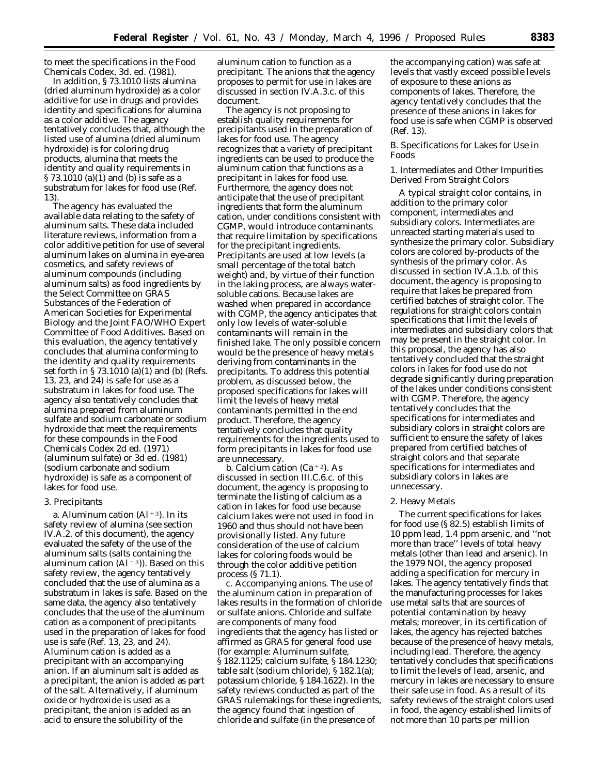to meet the specifications in the Food Chemicals Codex, 3d. ed. (1981).

In addition, § 73.1010 lists alumina (dried aluminum hydroxide) as a color additive for use in drugs and provides identity and specifications for alumina as a color additive. The agency tentatively concludes that, although the listed use of alumina (dried aluminum hydroxide) is for coloring drug products, alumina that meets the identity and quality requirements in § 73.1010 (a)(1) and (b) is safe as a substratum for lakes for food use (Ref. 13).

The agency has evaluated the available data relating to the safety of aluminum salts. These data included literature reviews, information from a color additive petition for use of several aluminum lakes on alumina in eye-area cosmetics, and safety reviews of aluminum compounds (including aluminum salts) as food ingredients by the Select Committee on GRAS Substances of the Federation of American Societies for Experimental Biology and the Joint FAO/WHO Expert Committee of Food Additives. Based on this evaluation, the agency tentatively concludes that alumina conforming to the identity and quality requirements set forth in § 73.1010 (a)(1) and (b) (Refs. 13, 23, and 24) is safe for use as a substratum in lakes for food use. The agency also tentatively concludes that alumina prepared from aluminum sulfate and sodium carbonate or sodium hydroxide that meet the requirements for these compounds in the Food Chemicals Codex 2d ed. (1971) (aluminum sulfate) or 3d ed. (1981) (sodium carbonate and sodium hydroxide) is safe as a component of lakes for food use.

#### 3. Precipitants

a. *Aluminum cation (Al*∂3). In its safety review of alumina (see section IV.A.2. of this document), the agency evaluated the safety of the use of the aluminum salts (salts containing the aluminum cation  $(A1+3)$ ). Based on this safety review, the agency tentatively concluded that the use of alumina as a substratum in lakes is safe. Based on the same data, the agency also tentatively concludes that the use of the aluminum cation as a component of precipitants used in the preparation of lakes for food use is safe (Ref. 13, 23, and 24). Aluminum cation is added as a precipitant with an accompanying anion. If an aluminum salt is added as a precipitant, the anion is added as part of the salt. Alternatively, if aluminum oxide or hydroxide is used as a precipitant, the anion is added as an acid to ensure the solubility of the

aluminum cation to function as a precipitant. The anions that the agency proposes to permit for use in lakes are discussed in section IV.A.3.c. of this document.

The agency is not proposing to establish quality requirements for precipitants used in the preparation of lakes for food use. The agency recognizes that a variety of precipitant ingredients can be used to produce the aluminum cation that functions as a precipitant in lakes for food use. Furthermore, the agency does not anticipate that the use of precipitant ingredients that form the aluminum cation, under conditions consistent with CGMP, would introduce contaminants that require limitation by specifications for the precipitant ingredients. Precipitants are used at low levels (a small percentage of the total batch weight) and, by virtue of their function in the laking process, are always watersoluble cations. Because lakes are washed when prepared in accordance with CGMP, the agency anticipates that only low levels of water-soluble contaminants will remain in the finished lake. The only possible concern would be the presence of heavy metals deriving from contaminants in the precipitants. To address this potential problem, as discussed below, the proposed specifications for lakes will limit the levels of heavy metal contaminants permitted in the end product. Therefore, the agency tentatively concludes that quality requirements for the ingredients used to form precipitants in lakes for food use are unnecessary.

b. *Calcium cation (Ca*<sup>+2</sup>). As discussed in section III.C.6.c. of this document, the agency is proposing to terminate the listing of calcium as a cation in lakes for food use because calcium lakes were not used in food in 1960 and thus should not have been provisionally listed. Any future consideration of the use of calcium lakes for coloring foods would be through the color additive petition process (§ 71.1).

c. *Accompanying anions.* The use of the aluminum cation in preparation of lakes results in the formation of chloride or sulfate anions. Chloride and sulfate are components of many food ingredients that the agency has listed or affirmed as GRAS for general food use (for example: Aluminum sulfate, § 182.1125; calcium sulfate, § 184.1230; table salt (sodium chloride), § 182.1(a); potassium chloride, § 184.1622). In the safety reviews conducted as part of the GRAS rulemakings for these ingredients, the agency found that ingestion of chloride and sulfate (in the presence of

the accompanying cation) was safe at levels that vastly exceed possible levels of exposure to these anions as components of lakes. Therefore, the agency tentatively concludes that the presence of these anions in lakes for food use is safe when CGMP is observed (Ref. 13).

### *B. Specifications for Lakes for Use in Foods*

1. Intermediates and Other Impurities Derived From Straight Colors

A typical straight color contains, in addition to the primary color component, intermediates and subsidiary colors. Intermediates are unreacted starting materials used to synthesize the primary color. Subsidiary colors are colored by-products of the synthesis of the primary color. As discussed in section IV.A.1.b. of this document, the agency is proposing to require that lakes be prepared from certified batches of straight color. The regulations for straight colors contain specifications that limit the levels of intermediates and subsidiary colors that may be present in the straight color. In this proposal, the agency has also tentatively concluded that the straight colors in lakes for food use do not degrade significantly during preparation of the lakes under conditions consistent with CGMP. Therefore, the agency tentatively concludes that the specifications for intermediates and subsidiary colors in straight colors are sufficient to ensure the safety of lakes prepared from certified batches of straight colors and that separate specifications for intermediates and subsidiary colors in lakes are unnecessary.

### 2. Heavy Metals

The current specifications for lakes for food use (§ 82.5) establish limits of 10 ppm lead, 1.4 ppm arsenic, and ''not more than trace'' levels of total heavy metals (other than lead and arsenic). In the 1979 NOI, the agency proposed adding a specification for mercury in lakes. The agency tentatively finds that the manufacturing processes for lakes use metal salts that are sources of potential contamination by heavy metals; moreover, in its certification of lakes, the agency has rejected batches because of the presence of heavy metals, including lead. Therefore, the agency tentatively concludes that specifications to limit the levels of lead, arsenic, and mercury in lakes are necessary to ensure their safe use in food. As a result of its safety reviews of the straight colors used in food, the agency established limits of not more than 10 parts per million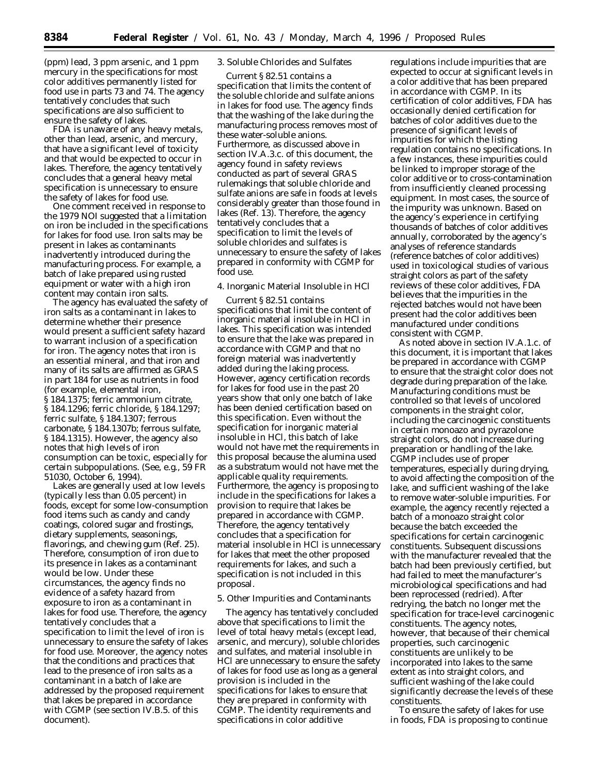(ppm) lead, 3 ppm arsenic, and 1 ppm mercury in the specifications for most color additives permanently listed for food use in parts 73 and 74. The agency tentatively concludes that such specifications are also sufficient to ensure the safety of lakes.

FDA is unaware of any heavy metals, other than lead, arsenic, and mercury, that have a significant level of toxicity and that would be expected to occur in lakes. Therefore, the agency tentatively concludes that a general heavy metal specification is unnecessary to ensure the safety of lakes for food use.

One comment received in response to the 1979 NOI suggested that a limitation on iron be included in the specifications for lakes for food use. Iron salts may be present in lakes as contaminants inadvertently introduced during the manufacturing process. For example, a batch of lake prepared using rusted equipment or water with a high iron content may contain iron salts.

The agency has evaluated the safety of iron salts as a contaminant in lakes to determine whether their presence would present a sufficient safety hazard to warrant inclusion of a specification for iron. The agency notes that iron is an essential mineral, and that iron and many of its salts are affirmed as GRAS in part 184 for use as nutrients in food (for example, elemental iron, § 184.1375; ferric ammonium citrate, § 184.1296; ferric chloride, § 184.1297; ferric sulfate, § 184.1307; ferrous carbonate, § 184.1307b; ferrous sulfate, § 184.1315). However, the agency also notes that high levels of iron consumption can be toxic, especially for certain subpopulations. (See, e.g., 59 FR 51030, October 6, 1994).

Lakes are generally used at low levels (typically less than 0.05 percent) in foods, except for some low-consumption food items such as candy and candy coatings, colored sugar and frostings, dietary supplements, seasonings, flavorings, and chewing gum (Ref. 25). Therefore, consumption of iron due to its presence in lakes as a contaminant would be low. Under these circumstances, the agency finds no evidence of a safety hazard from exposure to iron as a contaminant in lakes for food use. Therefore, the agency tentatively concludes that a specification to limit the level of iron is unnecessary to ensure the safety of lakes for food use. Moreover, the agency notes that the conditions and practices that lead to the presence of iron salts as a contaminant in a batch of lake are addressed by the proposed requirement that lakes be prepared in accordance with CGMP (see section IV.B.5. of this document).

# 3. Soluble Chlorides and Sulfates

Current § 82.51 contains a specification that limits the content of the soluble chloride and sulfate anions in lakes for food use. The agency finds that the washing of the lake during the manufacturing process removes most of these water-soluble anions. Furthermore, as discussed above in section IV.A.3.c. of this document, the agency found in safety reviews conducted as part of several GRAS rulemakings that soluble chloride and sulfate anions are safe in foods at levels considerably greater than those found in lakes (Ref. 13). Therefore, the agency tentatively concludes that a specification to limit the levels of soluble chlorides and sulfates is unnecessary to ensure the safety of lakes prepared in conformity with CGMP for food use.

4. Inorganic Material Insoluble in HCl

Current § 82.51 contains specifications that limit the content of inorganic material insoluble in HCl in lakes. This specification was intended to ensure that the lake was prepared in accordance with CGMP and that no foreign material was inadvertently added during the laking process. However, agency certification records for lakes for food use in the past 20 years show that only one batch of lake has been denied certification based on this specification. Even without the specification for inorganic material insoluble in HCl, this batch of lake would not have met the requirements in this proposal because the alumina used as a substratum would not have met the applicable quality requirements. Furthermore, the agency is proposing to include in the specifications for lakes a provision to require that lakes be prepared in accordance with CGMP. Therefore, the agency tentatively concludes that a specification for material insoluble in HCl is unnecessary for lakes that meet the other proposed requirements for lakes, and such a specification is not included in this proposal.

### 5. Other Impurities and Contaminants

The agency has tentatively concluded above that specifications to limit the level of total heavy metals (except lead, arsenic, and mercury), soluble chlorides and sulfates, and material insoluble in HCl are unnecessary to ensure the safety of lakes for food use as long as a general provision is included in the specifications for lakes to ensure that they are prepared in conformity with CGMP. The identity requirements and specifications in color additive

regulations include impurities that are expected to occur at significant levels in a color additive that has been prepared in accordance with CGMP. In its certification of color additives, FDA has occasionally denied certification for batches of color additives due to the presence of significant levels of impurities for which the listing regulation contains no specifications. In a few instances, these impurities could be linked to improper storage of the color additive or to cross-contamination from insufficiently cleaned processing equipment. In most cases, the source of the impurity was unknown. Based on the agency's experience in certifying thousands of batches of color additives annually, corroborated by the agency's analyses of reference standards (reference batches of color additives) used in toxicological studies of various straight colors as part of the safety reviews of these color additives, FDA believes that the impurities in the rejected batches would not have been present had the color additives been manufactured under conditions consistent with CGMP.

As noted above in section IV.A.1.c. of this document, it is important that lakes be prepared in accordance with CGMP to ensure that the straight color does not degrade during preparation of the lake. Manufacturing conditions must be controlled so that levels of uncolored components in the straight color, including the carcinogenic constituents in certain monoazo and pyrazolone straight colors, do not increase during preparation or handling of the lake. CGMP includes use of proper temperatures, especially during drying, to avoid affecting the composition of the lake, and sufficient washing of the lake to remove water-soluble impurities. For example, the agency recently rejected a batch of a monoazo straight color because the batch exceeded the specifications for certain carcinogenic constituents. Subsequent discussions with the manufacturer revealed that the batch had been previously certified, but had failed to meet the manufacturer's microbiological specifications and had been reprocessed (redried). After redrying, the batch no longer met the specification for trace-level carcinogenic constituents. The agency notes, however, that because of their chemical properties, such carcinogenic constituents are unlikely to be incorporated into lakes to the same extent as into straight colors, and sufficient washing of the lake could significantly decrease the levels of these constituents.

To ensure the safety of lakes for use in foods, FDA is proposing to continue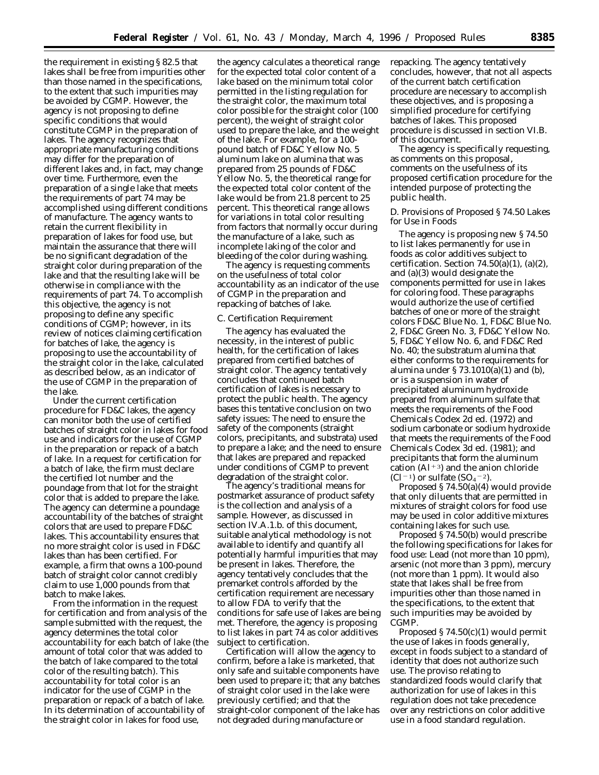the requirement in existing § 82.5 that lakes shall be free from impurities other than those named in the specifications, to the extent that such impurities may be avoided by CGMP. However, the agency is not proposing to define specific conditions that would constitute CGMP in the preparation of lakes. The agency recognizes that appropriate manufacturing conditions may differ for the preparation of different lakes and, in fact, may change over time. Furthermore, even the preparation of a single lake that meets the requirements of part 74 may be accomplished using different conditions of manufacture. The agency wants to retain the current flexibility in preparation of lakes for food use, but maintain the assurance that there will be no significant degradation of the straight color during preparation of the lake and that the resulting lake will be otherwise in compliance with the requirements of part 74. To accomplish this objective, the agency is not proposing to define any specific conditions of CGMP; however, in its review of notices claiming certification for batches of lake, the agency is proposing to use the accountability of the straight color in the lake, calculated as described below, as an indicator of the use of CGMP in the preparation of the lake.

Under the current certification procedure for FD&C lakes, the agency can monitor both the use of certified batches of straight color in lakes for food use and indicators for the use of CGMP in the preparation or repack of a batch of lake. In a request for certification for a batch of lake, the firm must declare the certified lot number and the poundage from that lot for the straight color that is added to prepare the lake. The agency can determine a poundage accountability of the batches of straight colors that are used to prepare FD&C lakes. This accountability ensures that no more straight color is used in FD&C lakes than has been certified. For example, a firm that owns a 100-pound batch of straight color cannot credibly claim to use 1,000 pounds from that batch to make lakes.

From the information in the request for certification and from analysis of the sample submitted with the request, the agency determines the total color accountability for each batch of lake (the amount of total color that was added to the batch of lake compared to the total color of the resulting batch). This accountability for total color is an indicator for the use of CGMP in the preparation or repack of a batch of lake. In its determination of accountability of the straight color in lakes for food use,

the agency calculates a theoretical range for the expected total color content of a lake based on the minimum total color permitted in the listing regulation for the straight color, the maximum total color possible for the straight color (100 percent), the weight of straight color used to prepare the lake, and the weight of the lake. For example, for a 100 pound batch of FD&C Yellow No. 5 aluminum lake on alumina that was prepared from 25 pounds of FD&C Yellow No. 5, the theoretical range for the expected total color content of the lake would be from 21.8 percent to 25 percent. This theoretical range allows for variations in total color resulting from factors that normally occur during the manufacture of a lake, such as incomplete laking of the color and bleeding of the color during washing.

The agency is requesting comments on the usefulness of total color accountability as an indicator of the use of CGMP in the preparation and repacking of batches of lake.

### *C. Certification Requirement*

The agency has evaluated the necessity, in the interest of public health, for the certification of lakes prepared from certified batches of straight color. The agency tentatively concludes that continued batch certification of lakes is necessary to protect the public health. The agency bases this tentative conclusion on two safety issues: The need to ensure the safety of the components (straight colors, precipitants, and substrata) used to prepare a lake; and the need to ensure that lakes are prepared and repacked under conditions of CGMP to prevent degradation of the straight color.

The agency's traditional means for postmarket assurance of product safety is the collection and analysis of a sample. However, as discussed in section IV.A.1.b. of this document, suitable analytical methodology is not available to identify and quantify all potentially harmful impurities that may be present in lakes. Therefore, the agency tentatively concludes that the premarket controls afforded by the certification requirement are necessary to allow FDA to verify that the conditions for safe use of lakes are being met. Therefore, the agency is proposing to list lakes in part 74 as color additives subject to certification.

Certification will allow the agency to confirm, before a lake is marketed, that only safe and suitable components have been used to prepare it; that any batches of straight color used in the lake were previously certified; and that the straight-color component of the lake has not degraded during manufacture or

repacking. The agency tentatively concludes, however, that not all aspects of the current batch certification procedure are necessary to accomplish these objectives, and is proposing a simplified procedure for certifying batches of lakes. This proposed procedure is discussed in section VI.B. of this document.

The agency is specifically requesting, as comments on this proposal, comments on the usefulness of its proposed certification procedure for the intended purpose of protecting the public health.

### *D. Provisions of Proposed § 74.50 Lakes for Use in Foods*

The agency is proposing new § 74.50 to list lakes permanently for use in foods as color additives subject to certification. Section  $74.50(a)(1)$ ,  $(a)(2)$ , and (a)(3) would designate the components permitted for use in lakes for coloring food. These paragraphs would authorize the use of certified batches of one or more of the straight colors FD&C Blue No. 1, FD&C Blue No. 2, FD&C Green No. 3, FD&C Yellow No. 5, FD&C Yellow No. 6, and FD&C Red No. 40; the substratum alumina that either conforms to the requirements for alumina under  $\S 73.1010(a)(1)$  and (b), or is a suspension in water of precipitated aluminum hydroxide prepared from aluminum sulfate that meets the requirements of the Food Chemicals Codex 2d ed. (1972) and sodium carbonate or sodium hydroxide that meets the requirements of the Food Chemicals Codex 3d ed. (1981); and precipitants that form the aluminum cation (Al $+3$ ) and the anion chloride  $(Cl<sup>-1</sup>)$  or sulfate  $(SO<sub>4</sub>-2)$ .

Proposed  $\S 74.50(a)(4)$  would provide that only diluents that are permitted in mixtures of straight colors for food use may be used in color additive mixtures containing lakes for such use.

Proposed § 74.50(b) would prescribe the following specifications for lakes for food use: Lead (not more than 10 ppm), arsenic (not more than 3 ppm), mercury (not more than 1 ppm). It would also state that lakes shall be free from impurities other than those named in the specifications, to the extent that such impurities may be avoided by CGMP.

Proposed § 74.50(c)(1) would permit the use of lakes in foods generally, except in foods subject to a standard of identity that does not authorize such use. The proviso relating to standardized foods would clarify that authorization for use of lakes in this regulation does not take precedence over any restrictions on color additive use in a food standard regulation.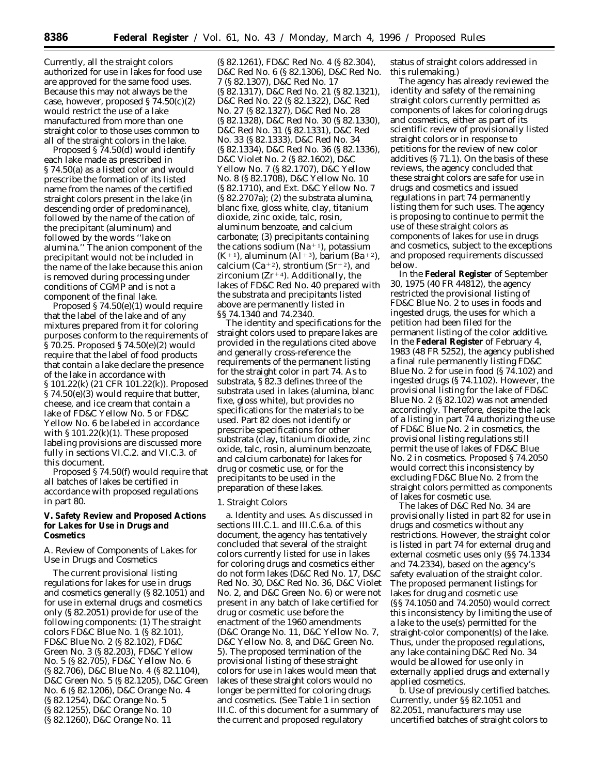Currently, all the straight colors authorized for use in lakes for food use are approved for the same food uses. Because this may not always be the case, however, proposed  $\S 74.50(c)(2)$ would restrict the use of a lake manufactured from more than one straight color to those uses common to all of the straight colors in the lake.

Proposed § 74.50(d) would identify each lake made as prescribed in § 74.50(a) as a listed color and would prescribe the formation of its listed name from the names of the certified straight colors present in the lake (in descending order of predominance), followed by the name of the cation of the precipitant (aluminum) and followed by the words ''lake on alumina.'' The anion component of the precipitant would not be included in the name of the lake because this anion is removed during processing under conditions of CGMP and is not a component of the final lake.

Proposed § 74.50(e)(1) would require that the label of the lake and of any mixtures prepared from it for coloring purposes conform to the requirements of § 70.25. Proposed § 74.50(e)(2) would require that the label of food products that contain a lake declare the presence of the lake in accordance with § 101.22(k) (21 CFR 101.22(k)). Proposed § 74.50(e)(3) would require that butter, cheese, and ice cream that contain a lake of FD&C Yellow No. 5 or FD&C Yellow No. 6 be labeled in accordance with  $\S 101.22(k)(1)$ . These proposed labeling provisions are discussed more fully in sections VI.C.2. and VI.C.3. of this document.

Proposed § 74.50(f) would require that all batches of lakes be certified in accordance with proposed regulations in part 80.

**V. Safety Review and Proposed Actions for Lakes for Use in Drugs and Cosmetics**

### *A. Review of Components of Lakes for Use in Drugs and Cosmetics*

The current provisional listing regulations for lakes for use in drugs and cosmetics generally (§ 82.1051) and for use in external drugs and cosmetics only (§ 82.2051) provide for use of the following components: (1) The straight colors FD&C Blue No. 1 (§ 82.101), FD&C Blue No. 2 (§ 82.102), FD&C Green No. 3 (§ 82.203), FD&C Yellow No. 5 (§ 82.705), FD&C Yellow No. 6 (§ 82.706), D&C Blue No. 4 (§ 82.1104), D&C Green No. 5 (§ 82.1205), D&C Green No. 6 (§ 82.1206), D&C Orange No. 4 (§ 82.1254), D&C Orange No. 5 (§ 82.1255), D&C Orange No. 10 (§ 82.1260), D&C Orange No. 11

(§ 82.1261), FD&C Red No. 4 (§ 82.304), D&C Red No. 6 (§ 82.1306), D&C Red No. 7 (§ 82.1307), D&C Red No. 17 (§ 82.1317), D&C Red No. 21 (§ 82.1321), D&C Red No. 22 (§ 82.1322), D&C Red No. 27 (§ 82.1327), D&C Red No. 28 (§ 82.1328), D&C Red No. 30 (§ 82.1330), D&C Red No. 31 (§ 82.1331), D&C Red No. 33 (§ 82.1333), D&C Red No. 34 (§ 82.1334), D&C Red No. 36 (§ 82.1336), D&C Violet No. 2 (§ 82.1602), D&C Yellow No. 7 (§ 82.1707), D&C Yellow No. 8 (§ 82.1708), D&C Yellow No. 10 (§ 82.1710), and Ext. D&C Yellow No. 7 (§ 82.2707a); (2) the substrata alumina, blanc fixe, gloss white, clay, titanium dioxide, zinc oxide, talc, rosin, aluminum benzoate, and calcium carbonate; (3) precipitants containing the cations sodium (Na<sup>+1</sup>), potassium (K<sup>+1</sup>), aluminum (Al<sup>+3</sup>), barium (Ba<sup>+2</sup>), calcium (Ca<sup>+2</sup>), strontium (Sr<sup>+2</sup>), and zirconium ( $Zr+4$ ). Additionally, the lakes of FD&C Red No. 40 prepared with the substrata and precipitants listed above are permanently listed in §§ 74.1340 and 74.2340.

The identity and specifications for the straight colors used to prepare lakes are provided in the regulations cited above and generally cross-reference the requirements of the permanent listing for the straight color in part 74. As to substrata, § 82.3 defines three of the substrata used in lakes (alumina, blanc fixe, gloss white), but provides no specifications for the materials to be used. Part 82 does not identify or prescribe specifications for other substrata (clay, titanium dioxide, zinc oxide, talc, rosin, aluminum benzoate, and calcium carbonate) for lakes for drug or cosmetic use, or for the precipitants to be used in the preparation of these lakes.

#### 1. Straight Colors

a. *Identity and uses.* As discussed in sections III.C.1. and III.C.6.a. of this document, the agency has tentatively concluded that several of the straight colors currently listed for use in lakes for coloring drugs and cosmetics either do not form lakes (D&C Red No. 17, D&C Red No. 30, D&C Red No. 36, D&C Violet No. 2, and D&C Green No. 6) or were not present in any batch of lake certified for drug or cosmetic use before the enactment of the 1960 amendments (D&C Orange No. 11, D&C Yellow No. 7, D&C Yellow No. 8, and D&C Green No. 5). The proposed termination of the provisional listing of these straight colors for use in lakes would mean that lakes of these straight colors would no longer be permitted for coloring drugs and cosmetics. (See Table 1 in section III.C. of this document for a summary of the current and proposed regulatory

status of straight colors addressed in this rulemaking.)

The agency has already reviewed the identity and safety of the remaining straight colors currently permitted as components of lakes for coloring drugs and cosmetics, either as part of its scientific review of provisionally listed straight colors or in response to petitions for the review of new color additives (§ 71.1). On the basis of these reviews, the agency concluded that these straight colors are safe for use in drugs and cosmetics and issued regulations in part 74 permanently listing them for such uses. The agency is proposing to continue to permit the use of these straight colors as components of lakes for use in drugs and cosmetics, subject to the exceptions and proposed requirements discussed below.

In the **Federal Register** of September 30, 1975 (40 FR 44812), the agency restricted the provisional listing of FD&C Blue No. 2 to uses in foods and ingested drugs, the uses for which a petition had been filed for the permanent listing of the color additive. In the **Federal Register** of February 4, 1983 (48 FR 5252), the agency published a final rule permanently listing FD&C Blue No. 2 for use in food (§ 74.102) and ingested drugs (§ 74.1102). However, the provisional listing for the lake of FD&C Blue No. 2 (§ 82.102) was not amended accordingly. Therefore, despite the lack of a listing in part 74 authorizing the use of FD&C Blue No. 2 in cosmetics, the provisional listing regulations still permit the use of lakes of FD&C Blue No. 2 in cosmetics. Proposed § 74.2050 would correct this inconsistency by excluding FD&C Blue No. 2 from the straight colors permitted as components of lakes for cosmetic use.

The lakes of D&C Red No. 34 are provisionally listed in part 82 for use in drugs and cosmetics without any restrictions. However, the straight color is listed in part 74 for external drug and external cosmetic uses only (§§ 74.1334 and 74.2334), based on the agency's safety evaluation of the straight color. The proposed permanent listings for lakes for drug and cosmetic use (§§ 74.1050 and 74.2050) would correct this inconsistency by limiting the use of a lake to the use(s) permitted for the straight-color component(s) of the lake. Thus, under the proposed regulations, any lake containing D&C Red No. 34 would be allowed for use only in externally applied drugs and externally applied cosmetics.

b. *Use of previously certified batches.* Currently, under §§ 82.1051 and 82.2051, manufacturers may use uncertified batches of straight colors to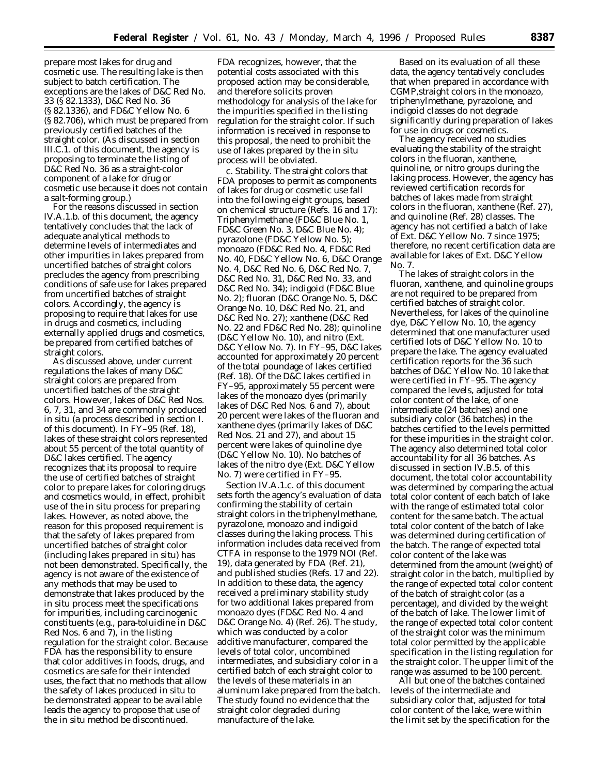prepare most lakes for drug and cosmetic use. The resulting lake is then subject to batch certification. The exceptions are the lakes of D&C Red No. 33 (§ 82.1333), D&C Red No. 36 (§ 82.1336), and FD&C Yellow No. 6 (§ 82.706), which must be prepared from previously certified batches of the straight color. (As discussed in section III.C.1. of this document, the agency is proposing to terminate the listing of D&C Red No. 36 as a straight-color component of a lake for drug or cosmetic use because it does not contain a salt-forming group.)

For the reasons discussed in section IV.A.1.b. of this document, the agency tentatively concludes that the lack of adequate analytical methods to determine levels of intermediates and other impurities in lakes prepared from uncertified batches of straight colors precludes the agency from prescribing conditions of safe use for lakes prepared from uncertified batches of straight colors. Accordingly, the agency is proposing to require that lakes for use in drugs and cosmetics, including externally applied drugs and cosmetics, be prepared from certified batches of straight colors.

As discussed above, under current regulations the lakes of many D&C straight colors are prepared from uncertified batches of the straight colors. However, lakes of D&C Red Nos. 6, 7, 31, and 34 are commonly produced in situ (a process described in section I. of this document). In FY–95 (Ref. 18), lakes of these straight colors represented about 55 percent of the total quantity of D&C lakes certified. The agency recognizes that its proposal to require the use of certified batches of straight color to prepare lakes for coloring drugs and cosmetics would, in effect, prohibit use of the in situ process for preparing lakes. However, as noted above, the reason for this proposed requirement is that the safety of lakes prepared from uncertified batches of straight color (including lakes prepared in situ) has not been demonstrated. Specifically, the agency is not aware of the existence of any methods that may be used to demonstrate that lakes produced by the in situ process meet the specifications for impurities, including carcinogenic constituents (e.g., para-toluidine in D&C Red Nos. 6 and 7), in the listing regulation for the straight color. Because FDA has the responsibility to ensure that color additives in foods, drugs, and cosmetics are safe for their intended uses, the fact that no methods that allow the safety of lakes produced in situ to be demonstrated appear to be available leads the agency to propose that use of the in situ method be discontinued.

FDA recognizes, however, that the potential costs associated with this proposed action may be considerable, and therefore solicits proven methodology for analysis of the lake for the impurities specified in the listing regulation for the straight color. If such information is received in response to this proposal, the need to prohibit the use of lakes prepared by the in situ process will be obviated.

c. *Stability.* The straight colors that FDA proposes to permit as components of lakes for drug or cosmetic use fall into the following eight groups, based on chemical structure (Refs. 16 and 17): Triphenylmethane (FD&C Blue No. 1, FD&C Green No. 3, D&C Blue No. 4); pyrazolone (FD&C Yellow No. 5); monoazo (FD&C Red No. 4, FD&C Red No. 40, FD&C Yellow No. 6, D&C Orange No. 4, D&C Red No. 6, D&C Red No. 7, D&C Red No. 31, D&C Red No. 33, and D&C Red No. 34); indigoid (FD&C Blue No. 2); fluoran (D&C Orange No. 5, D&C Orange No. 10, D&C Red No. 21, and D&C Red No. 27); xanthene (D&C Red No. 22 and FD&C Red No. 28); quinoline (D&C Yellow No. 10), and nitro (Ext. D&C Yellow No. 7). In FY–95, D&C lakes accounted for approximately 20 percent of the total poundage of lakes certified (Ref. 18). Of the D&C lakes certified in FY–95, approximately 55 percent were lakes of the monoazo dyes (primarily lakes of D&C Red Nos. 6 and 7), about 20 percent were lakes of the fluoran and xanthene dyes (primarily lakes of D&C Red Nos. 21 and 27), and about 15 percent were lakes of quinoline dye (D&C Yellow No. 10). No batches of lakes of the nitro dye (Ext. D&C Yellow No. 7) were certified in FY–95.

Section IV.A.1.c. of this document sets forth the agency's evaluation of data confirming the stability of certain straight colors in the triphenylmethane, pyrazolone, monoazo and indigoid classes during the laking process. This information includes data received from CTFA in response to the 1979 NOI (Ref. 19), data generated by FDA (Ref. 21), and published studies (Refs. 17 and 22). In addition to these data, the agency received a preliminary stability study for two additional lakes prepared from monoazo dyes (FD&C Red No. 4 and D&C Orange No. 4) (Ref. 26). The study, which was conducted by a color additive manufacturer, compared the levels of total color, uncombined intermediates, and subsidiary color in a certified batch of each straight color to the levels of these materials in an aluminum lake prepared from the batch. The study found no evidence that the straight color degraded during manufacture of the lake.

Based on its evaluation of all these data, the agency tentatively concludes that when prepared in accordance with CGMP,straight colors in the monoazo, triphenylmethane, pyrazolone, and indigoid classes do not degrade significantly during preparation of lakes for use in drugs or cosmetics.

The agency received no studies evaluating the stability of the straight colors in the fluoran, xanthene, quinoline, or nitro groups during the laking process. However, the agency has reviewed certification records for batches of lakes made from straight colors in the fluoran, xanthene (Ref. 27), and quinoline (Ref. 28) classes. The agency has not certified a batch of lake of Ext. D&C Yellow No. 7 since 1975; therefore, no recent certification data are available for lakes of Ext. D&C Yellow No. 7.

The lakes of straight colors in the fluoran, xanthene, and quinoline groups are not required to be prepared from certified batches of straight color. Nevertheless, for lakes of the quinoline dye, D&C Yellow No. 10, the agency determined that one manufacturer used certified lots of D&C Yellow No. 10 to prepare the lake. The agency evaluated certification reports for the 36 such batches of D&C Yellow No. 10 lake that were certified in FY–95. The agency compared the levels, adjusted for total color content of the lake, of one intermediate (24 batches) and one subsidiary color (36 batches) in the batches certified to the levels permitted for these impurities in the straight color. The agency also determined total color accountability for all 36 batches. As discussed in section IV.B.5. of this document, the total color accountability was determined by comparing the actual total color content of each batch of lake with the range of estimated total color content for the same batch. The actual total color content of the batch of lake was determined during certification of the batch. The range of expected total color content of the lake was determined from the amount (weight) of straight color in the batch, multiplied by the range of expected total color content of the batch of straight color (as a percentage), and divided by the weight of the batch of lake. The lower limit of the range of expected total color content of the straight color was the minimum total color permitted by the applicable specification in the listing regulation for the straight color. The upper limit of the range was assumed to be 100 percent.

All but one of the batches contained levels of the intermediate and subsidiary color that, adjusted for total color content of the lake, were within the limit set by the specification for the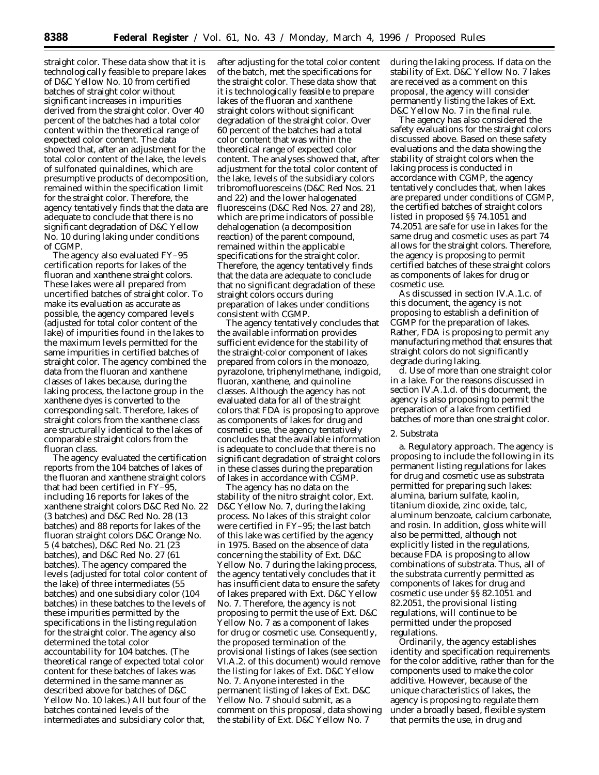straight color. These data show that it is technologically feasible to prepare lakes of D&C Yellow No. 10 from certified batches of straight color without significant increases in impurities derived from the straight color. Over 40 percent of the batches had a total color content within the theoretical range of expected color content. The data showed that, after an adjustment for the total color content of the lake, the levels of sulfonated quinaldines, which are presumptive products of decomposition, remained within the specification limit for the straight color. Therefore, the agency tentatively finds that the data are adequate to conclude that there is no significant degradation of D&C Yellow No. 10 during laking under conditions of CGMP.

The agency also evaluated FY–95 certification reports for lakes of the fluoran and xanthene straight colors. These lakes were all prepared from uncertified batches of straight color. To make its evaluation as accurate as possible, the agency compared levels (adjusted for total color content of the lake) of impurities found in the lakes to the maximum levels permitted for the same impurities in certified batches of straight color. The agency combined the data from the fluoran and xanthene classes of lakes because, during the laking process, the lactone group in the xanthene dyes is converted to the corresponding salt. Therefore, lakes of straight colors from the xanthene class are structurally identical to the lakes of comparable straight colors from the fluoran class.

The agency evaluated the certification reports from the 104 batches of lakes of the fluoran and xanthene straight colors that had been certified in FY–95, including 16 reports for lakes of the xanthene straight colors D&C Red No. 22 (3 batches) and D&C Red No. 28 (13 batches) and 88 reports for lakes of the fluoran straight colors D&C Orange No. 5 (4 batches), D&C Red No. 21 (23 batches), and D&C Red No. 27 (61 batches). The agency compared the levels (adjusted for total color content of the lake) of three intermediates (55 batches) and one subsidiary color (104 batches) in these batches to the levels of these impurities permitted by the specifications in the listing regulation for the straight color. The agency also determined the total color accountability for 104 batches. (The theoretical range of expected total color content for these batches of lakes was determined in the same manner as described above for batches of D&C Yellow No. 10 lakes.) All but four of the batches contained levels of the intermediates and subsidiary color that,

after adjusting for the total color content of the batch, met the specifications for the straight color. These data show that it is technologically feasible to prepare lakes of the fluoran and xanthene straight colors without significant degradation of the straight color. Over 60 percent of the batches had a total color content that was within the theoretical range of expected color content. The analyses showed that, after adjustment for the total color content of the lake, levels of the subsidiary colors tribromofluoresceins (D&C Red Nos. 21 and 22) and the lower halogenated fluoresceins (D&C Red Nos. 27 and 28), which are prime indicators of possible dehalogenation (a decomposition reaction) of the parent compound, remained within the applicable specifications for the straight color. Therefore, the agency tentatively finds that the data are adequate to conclude that no significant degradation of these straight colors occurs during preparation of lakes under conditions consistent with CGMP.

The agency tentatively concludes that the available information provides sufficient evidence for the stability of the straight-color component of lakes prepared from colors in the monoazo, pyrazolone, triphenylmethane, indigoid, fluoran, xanthene, and quinoline classes. Although the agency has not evaluated data for all of the straight colors that FDA is proposing to approve as components of lakes for drug and cosmetic use, the agency tentatively concludes that the available information is adequate to conclude that there is no significant degradation of straight colors in these classes during the preparation of lakes in accordance with CGMP.

The agency has no data on the stability of the nitro straight color, Ext. D&C Yellow No. 7, during the laking process. No lakes of this straight color were certified in FY–95; the last batch of this lake was certified by the agency in 1975. Based on the absence of data concerning the stability of Ext. D&C Yellow No. 7 during the laking process, the agency tentatively concludes that it has insufficient data to ensure the safety of lakes prepared with Ext. D&C Yellow No. 7. Therefore, the agency is not proposing to permit the use of Ext. D&C Yellow No. 7 as a component of lakes for drug or cosmetic use. Consequently, the proposed termination of the provisional listings of lakes (see section VI.A.2. of this document) would remove the listing for lakes of Ext. D&C Yellow No. 7. Anyone interested in the permanent listing of lakes of Ext. D&C Yellow No. 7 should submit, as a comment on this proposal, data showing the stability of Ext. D&C Yellow No. 7

during the laking process. If data on the stability of Ext. D&C Yellow No. 7 lakes are received as a comment on this proposal, the agency will consider permanently listing the lakes of Ext. D&C Yellow No. 7 in the final rule.

The agency has also considered the safety evaluations for the straight colors discussed above. Based on these safety evaluations and the data showing the stability of straight colors when the laking process is conducted in accordance with CGMP, the agency tentatively concludes that, when lakes are prepared under conditions of CGMP, the certified batches of straight colors listed in proposed §§ 74.1051 and 74.2051 are safe for use in lakes for the same drug and cosmetic uses as part 74 allows for the straight colors. Therefore, the agency is proposing to permit certified batches of these straight colors as components of lakes for drug or cosmetic use.

As discussed in section IV.A.1.c. of this document, the agency is not proposing to establish a definition of CGMP for the preparation of lakes. Rather, FDA is proposing to permit any manufacturing method that ensures that straight colors do not significantly degrade during laking.

d. *Use of more than one straight color in a lake.* For the reasons discussed in section IV.A.1.d. of this document, the agency is also proposing to permit the preparation of a lake from certified batches of more than one straight color.

### 2. Substrata

a. *Regulatory approach.* The agency is proposing to include the following in its permanent listing regulations for lakes for drug and cosmetic use as substrata permitted for preparing such lakes: alumina, barium sulfate, kaolin, titanium dioxide, zinc oxide, talc, aluminum benzoate, calcium carbonate, and rosin. In addition, gloss white will also be permitted, although not explicitly listed in the regulations, because FDA is proposing to allow combinations of substrata. Thus, all of the substrata currently permitted as components of lakes for drug and cosmetic use under §§ 82.1051 and 82.2051, the provisional listing regulations, will continue to be permitted under the proposed regulations.

Ordinarily, the agency establishes identity and specification requirements for the color additive, rather than for the components used to make the color additive. However, because of the unique characteristics of lakes, the agency is proposing to regulate them under a broadly based, flexible system that permits the use, in drug and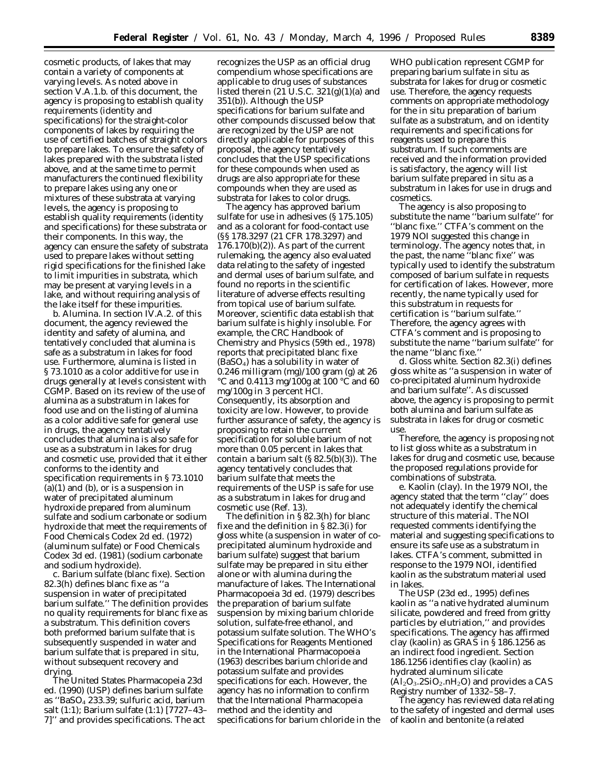cosmetic products, of lakes that may contain a variety of components at varying levels. As noted above in section V.A.1.b. of this document, the agency is proposing to establish quality requirements (identity and specifications) for the straight-color components of lakes by requiring the use of certified batches of straight colors to prepare lakes. To ensure the safety of lakes prepared with the substrata listed above, and at the same time to permit manufacturers the continued flexibility to prepare lakes using any one or mixtures of these substrata at varying levels, the agency is proposing to establish quality requirements (identity and specifications) for these substrata or their components. In this way, the agency can ensure the safety of substrata used to prepare lakes without setting rigid specifications for the finished lake to limit impurities in substrata, which may be present at varying levels in a lake, and without requiring analysis of the lake itself for these impurities.

b. *Alumina.* In section IV.A.2. of this document, the agency reviewed the identity and safety of alumina, and tentatively concluded that alumina is safe as a substratum in lakes for food use. Furthermore, alumina is listed in § 73.1010 as a color additive for use in drugs generally at levels consistent with CGMP. Based on its review of the use of alumina as a substratum in lakes for food use and on the listing of alumina as a color additive safe for general use in drugs, the agency tentatively concludes that alumina is also safe for use as a substratum in lakes for drug and cosmetic use, provided that it either conforms to the identity and specification requirements in § 73.1010  $(a)(1)$  and  $(b)$ , or is a suspension in water of precipitated aluminum hydroxide prepared from aluminum sulfate and sodium carbonate or sodium hydroxide that meet the requirements of Food Chemicals Codex 2d ed. (1972) (aluminum sulfate) or Food Chemicals Codex 3d ed. (1981) (sodium carbonate and sodium hydroxide).

c. *Barium sulfate (blanc fixe).* Section 82.3(h) defines blanc fixe as ''a suspension in water of precipitated barium sulfate.'' The definition provides no quality requirements for blanc fixe as a substratum. This definition covers both preformed barium sulfate that is subsequently suspended in water and barium sulfate that is prepared in situ, without subsequent recovery and drying.

The United States Pharmacopeia 23d ed. (1990) (USP) defines barium sulfate as ''BaSO4 233.39; sulfuric acid, barium salt (1:1); Barium sulfate (1:1) [7727–43– 7]'' and provides specifications. The act

recognizes the USP as an official drug compendium whose specifications are applicable to drug uses of substances listed therein  $(21$  U.S.C.  $321(g)(1)(a)$  and 351(b)). Although the USP specifications for barium sulfate and other compounds discussed below that are recognized by the USP are not directly applicable for purposes of this proposal, the agency tentatively concludes that the USP specifications for these compounds when used as drugs are also appropriate for these compounds when they are used as substrata for lakes to color drugs.

The agency has approved barium sulfate for use in adhesives (§ 175.105) and as a colorant for food-contact use (§§ 178.3297 (21 CFR 178.3297) and 176.170(b)(2)). As part of the current rulemaking, the agency also evaluated data relating to the safety of ingested and dermal uses of barium sulfate, and found no reports in the scientific literature of adverse effects resulting from topical use of barium sulfate. Moreover, scientific data establish that barium sulfate is highly insoluble. For example, the CRC Handbook of Chemistry and Physics (59th ed., 1978) reports that precipitated blanc fixe  $(BaSO_4)$  has a solubility in water of 0.246 milligram (mg)/100 gram (g) at 26 °C and 0.4113 mg/100g at 100 °C and 60 mg/100g in 3 percent HCl. Consequently, its absorption and toxicity are low. However, to provide further assurance of safety, the agency is proposing to retain the current specification for soluble barium of not more than 0.05 percent in lakes that contain a barium salt (§ 82.5(b)(3)). The agency tentatively concludes that barium sulfate that meets the requirements of the USP is safe for use as a substratum in lakes for drug and cosmetic use (Ref. 13).

The definition in § 82.3(h) for blanc fixe and the definition in § 82.3(i) for gloss white (a suspension in water of coprecipitated aluminum hydroxide and barium sulfate) suggest that barium sulfate may be prepared in situ either alone or with alumina during the manufacture of lakes. The International Pharmacopoeia 3d ed. (1979) describes the preparation of barium sulfate suspension by mixing barium chloride solution, sulfate-free ethanol, and potassium sulfate solution. The WHO's Specifications for Reagents Mentioned in the International Pharmacopoeia (1963) describes barium chloride and potassium sulfate and provides specifications for each. However, the agency has no information to confirm that the International Pharmacopeia method and the identity and specifications for barium chloride in the

WHO publication represent CGMP for preparing barium sulfate in situ as substrata for lakes for drug or cosmetic use. Therefore, the agency requests comments on appropriate methodology for the in situ preparation of barium sulfate as a substratum, and on identity requirements and specifications for reagents used to prepare this substratum. If such comments are received and the information provided is satisfactory, the agency will list barium sulfate prepared in situ as a substratum in lakes for use in drugs and cosmetics.

The agency is also proposing to substitute the name ''barium sulfate'' for ''blanc fixe.'' CTFA's comment on the 1979 NOI suggested this change in terminology. The agency notes that, in the past, the name ''blanc fixe'' was typically used to identify the substratum composed of barium sulfate in requests for certification of lakes. However, more recently, the name typically used for this substratum in requests for certification is ''barium sulfate.'' Therefore, the agency agrees with CTFA's comment and is proposing to substitute the name ''barium sulfate'' for the name ''blanc fixe.''

d. *Gloss white.* Section 82.3(i) defines gloss white as ''a suspension in water of co-precipitated aluminum hydroxide and barium sulfate''. As discussed above, the agency is proposing to permit both alumina and barium sulfate as substrata in lakes for drug or cosmetic use.

Therefore, the agency is proposing not to list gloss white as a substratum in lakes for drug and cosmetic use, because the proposed regulations provide for combinations of substrata.

e. *Kaolin (clay).* In the 1979 NOI, the agency stated that the term ''clay'' does not adequately identify the chemical structure of this material. The NOI requested comments identifying the material and suggesting specifications to ensure its safe use as a substratum in lakes. CTFA's comment, submitted in response to the 1979 NOI, identified kaolin as the substratum material used in lakes.

The USP (23d ed., 1995) defines kaolin as ''a native hydrated aluminum silicate, powdered and freed from gritty particles by elutriation,'' and provides specifications. The agency has affirmed clay (kaolin) as GRAS in § 186.1256 as an indirect food ingredient. Section 186.1256 identifies clay (kaolin) as hydrated aluminum silicate  $(Al_2O_3.2SiO_2.nH_2O)$  and provides a CAS Registry number of 1332–58–7.

The agency has reviewed data relating to the safety of ingested and dermal uses of kaolin and bentonite (a related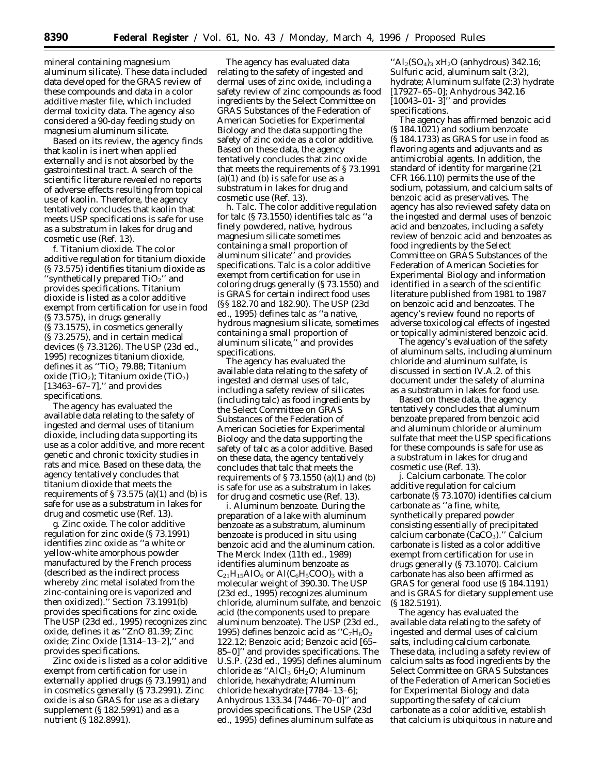mineral containing magnesium aluminum silicate). These data included data developed for the GRAS review of these compounds and data in a color additive master file, which included dermal toxicity data. The agency also considered a 90-day feeding study on magnesium aluminum silicate.

Based on its review, the agency finds that kaolin is inert when applied externally and is not absorbed by the gastrointestinal tract. A search of the scientific literature revealed no reports of adverse effects resulting from topical use of kaolin. Therefore, the agency tentatively concludes that kaolin that meets USP specifications is safe for use as a substratum in lakes for drug and cosmetic use (Ref. 13).

f. *Titanium dioxide.* The color additive regulation for titanium dioxide (§ 73.575) identifies titanium dioxide as "synthetically prepared  $TiO<sub>2</sub>$ " and provides specifications. Titanium dioxide is listed as a color additive exempt from certification for use in food (§ 73.575), in drugs generally (§ 73.1575), in cosmetics generally (§ 73.2575), and in certain medical devices (§ 73.3126). The USP (23d ed., 1995) recognizes titanium dioxide, defines it as "TiO<sub>2</sub> 79.88; Titanium oxide (TiO<sub>2</sub>); Titanium oxide (TiO<sub>2</sub>) [13463-67-7]," and provides specifications.

The agency has evaluated the available data relating to the safety of ingested and dermal uses of titanium dioxide, including data supporting its use as a color additive, and more recent genetic and chronic toxicity studies in rats and mice. Based on these data, the agency tentatively concludes that titanium dioxide that meets the requirements of  $\S 73.575$  (a)(1) and (b) is safe for use as a substratum in lakes for drug and cosmetic use (Ref. 13).

g. *Zinc oxide.* The color additive regulation for zinc oxide (§ 73.1991) identifies zinc oxide as ''a white or yellow-white amorphous powder manufactured by the French process (described as the indirect process whereby zinc metal isolated from the zinc-containing ore is vaporized and then oxidized).'' Section 73.1991(b) provides specifications for zinc oxide. The USP (23d ed., 1995) recognizes zinc oxide, defines it as ''ZnO 81.39; Zinc oxide; Zinc Oxide [1314–13–2],'' and provides specifications.

Zinc oxide is listed as a color additive exempt from certification for use in externally applied drugs (§ 73.1991) and in cosmetics generally (§ 73.2991). Zinc oxide is also GRAS for use as a dietary supplement (§ 182.5991) and as a nutrient (§ 182.8991).

The agency has evaluated data relating to the safety of ingested and dermal uses of zinc oxide, including a safety review of zinc compounds as food ingredients by the Select Committee on GRAS Substances of the Federation of American Societies for Experimental Biology and the data supporting the safety of zinc oxide as a color additive. Based on these data, the agency tentatively concludes that zinc oxide that meets the requirements of § 73.1991  $(a)(1)$  and  $(b)$  is safe for use as a substratum in lakes for drug and cosmetic use (Ref. 13).

h. *Talc.* The color additive regulation for talc (§ 73.1550) identifies talc as ''a finely powdered, native, hydrous magnesium silicate sometimes containing a small proportion of aluminum silicate'' and provides specifications. Talc is a color additive exempt from certification for use in coloring drugs generally (§ 73.1550) and is GRAS for certain indirect food uses (§§ 182.70 and 182.90). The USP (23d ed., 1995) defines talc as ''a native, hydrous magnesium silicate, sometimes containing a small proportion of aluminum silicate,'' and provides specifications.

The agency has evaluated the available data relating to the safety of ingested and dermal uses of talc, including a safety review of silicates (including talc) as food ingredients by the Select Committee on GRAS Substances of the Federation of American Societies for Experimental Biology and the data supporting the safety of talc as a color additive. Based on these data, the agency tentatively concludes that talc that meets the requirements of  $\S 73.1550$  (a)(1) and (b) is safe for use as a substratum in lakes for drug and cosmetic use (Ref. 13).

i. *Aluminum benzoate.* During the preparation of a lake with aluminum benzoate as a substratum, aluminum benzoate is produced in situ using benzoic acid and the aluminum cation. The Merck Index (11th ed., 1989) identifies aluminum benzoate as  $C_{21}H_{15}AlO_6$  or  $Al(C_6H_5COO)_3$  with a molecular weight of 390.30. The USP (23d ed., 1995) recognizes aluminum chloride, aluminum sulfate, and benzoic acid (the components used to prepare aluminum benzoate). The USP (23d ed., 1995) defines benzoic acid as  $C_7H_6O_2$ 122.12; Benzoic acid; Benzoic acid [65– 85–0]'' and provides specifications. The U.S.P. (23d ed., 1995) defines aluminum chloride as "AlCl<sub>3</sub>  $6H<sub>2</sub>O$ ; Aluminum chloride, hexahydrate; Aluminum chloride hexahydrate [7784–13–6]; Anhydrous 133.34 [7446–70–0]'' and provides specifications. The USP (23d ed., 1995) defines aluminum sulfate as

 $H_2(SO_4)_3$  xH<sub>2</sub>O (anhydrous) 342.16; Sulfuric acid, aluminum salt (3:2), hydrate; Aluminum sulfate (2:3) hydrate [17927–65–0]; Anhydrous 342.16 [10043–01- 3]'' and provides specifications.

The agency has affirmed benzoic acid (§ 184.1021) and sodium benzoate (§ 184.1733) as GRAS for use in food as flavoring agents and adjuvants and as antimicrobial agents. In addition, the standard of identity for margarine (21 CFR 166.110) permits the use of the sodium, potassium, and calcium salts of benzoic acid as preservatives. The agency has also reviewed safety data on the ingested and dermal uses of benzoic acid and benzoates, including a safety review of benzoic acid and benzoates as food ingredients by the Select Committee on GRAS Substances of the Federation of American Societies for Experimental Biology and information identified in a search of the scientific literature published from 1981 to 1987 on benzoic acid and benzoates. The agency's review found no reports of adverse toxicological effects of ingested or topically administered benzoic acid.

The agency's evaluation of the safety of aluminum salts, including aluminum chloride and aluminum sulfate, is discussed in section IV.A.2. of this document under the safety of alumina as a substratum in lakes for food use.

Based on these data, the agency tentatively concludes that aluminum benzoate prepared from benzoic acid and aluminum chloride or aluminum sulfate that meet the USP specifications for these compounds is safe for use as a substratum in lakes for drug and cosmetic use (Ref. 13).

j. *Calcium carbonate.* The color additive regulation for calcium carbonate (§ 73.1070) identifies calcium carbonate as ''a fine, white, synthetically prepared powder consisting essentially of precipitated calcium carbonate  $(CaCO<sub>3</sub>)$ ." Calcium carbonate is listed as a color additive exempt from certification for use in drugs generally (§ 73.1070). Calcium carbonate has also been affirmed as GRAS for general food use (§ 184.1191) and is GRAS for dietary supplement use (§ 182.5191).

The agency has evaluated the available data relating to the safety of ingested and dermal uses of calcium salts, including calcium carbonate. These data, including a safety review of calcium salts as food ingredients by the Select Committee on GRAS Substances of the Federation of American Societies for Experimental Biology and data supporting the safety of calcium carbonate as a color additive, establish that calcium is ubiquitous in nature and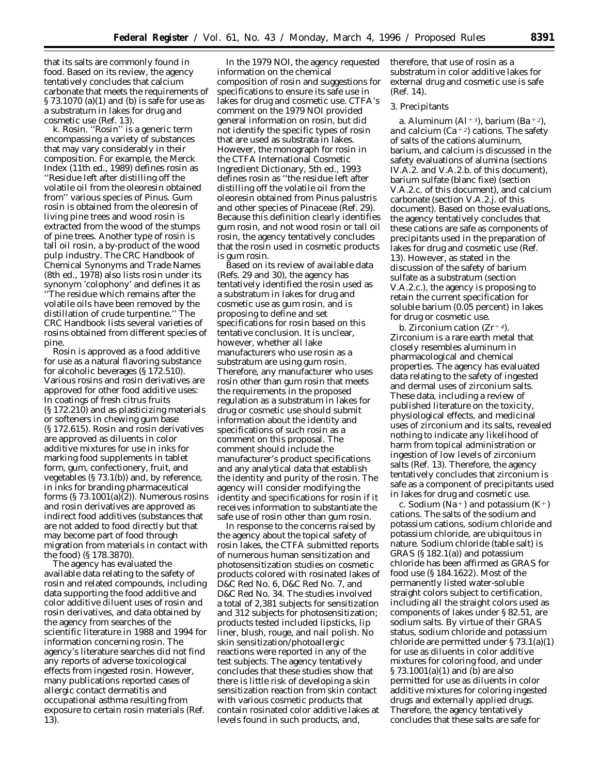that its salts are commonly found in food. Based on its review, the agency tentatively concludes that calcium carbonate that meets the requirements of § 73.1070 (a)(1) and (b) is safe for use as a substratum in lakes for drug and cosmetic use (Ref. 13).

k. *Rosin.* "Rosin" is a generic term encompassing a variety of substances that may vary considerably in their composition. For example, the Merck Index (11th ed., 1989) defines rosin as ''Residue left after distilling off the volatile oil from the oleoresin obtained from'' various species of *Pinus.* Gum rosin is obtained from the oleoresin of living pine trees and wood rosin is extracted from the wood of the stumps of pine trees. Another type of rosin is tall oil rosin, a by-product of the wood pulp industry. The CRC Handbook of Chemical Synonyms and Trade Names (8th ed., 1978) also lists rosin under its synonym 'colophony' and defines it as ''The residue which remains after the volatile oils have been removed by the distillation of crude turpentine.'' The CRC Handbook lists several varieties of rosins obtained from different species of pine.

Rosin is approved as a food additive for use as a natural flavoring substance for alcoholic beverages (§ 172.510). Various rosins and rosin derivatives are approved for other food additive uses: In coatings of fresh citrus fruits (§ 172.210) and as plasticizing materials or softeners in chewing gum base (§ 172.615). Rosin and rosin derivatives are approved as diluents in color additive mixtures for use in inks for marking food supplements in tablet form, gum, confectionery, fruit, and vegetables (§ 73.1(b)) and, by reference, in inks for branding pharmaceutical forms  $(S 73.1001(a)(2))$ . Numerous rosins and rosin derivatives are approved as indirect food additives (substances that are not added to food directly but that may become part of food through migration from materials in contact with the food) (§ 178.3870).

The agency has evaluated the available data relating to the safety of rosin and related compounds, including data supporting the food additive and color additive diluent uses of rosin and rosin derivatives, and data obtained by the agency from searches of the scientific literature in 1988 and 1994 for information concerning rosin. The agency's literature searches did not find any reports of adverse toxicological effects from ingested rosin. However, many publications reported cases of allergic contact dermatitis and occupational asthma resulting from exposure to certain rosin materials (Ref. 13).

In the 1979 NOI, the agency requested information on the chemical composition of rosin and suggestions for specifications to ensure its safe use in lakes for drug and cosmetic use. CTFA's comment on the 1979 NOI provided general information on rosin, but did not identify the specific types of rosin that are used as substrata in lakes. However, the monograph for rosin in the CTFA International Cosmetic Ingredient Dictionary, 5th ed., 1993 defines rosin as ''the residue left after distilling off the volatile oil from the oleoresin obtained from *Pinus palustris* and other species of *Pinaceae* (Ref. 29). Because this definition clearly identifies gum rosin, and not wood rosin or tall oil rosin, the agency tentatively concludes that the rosin used in cosmetic products is gum rosin.

Based on its review of available data (Refs. 29 and 30), the agency has tentatively identified the rosin used as a substratum in lakes for drug and cosmetic use as gum rosin, and is proposing to define and set specifications for rosin based on this tentative conclusion. It is unclear, however, whether all lake manufacturers who use rosin as a substratum are using gum rosin. Therefore, any manufacturer who uses rosin other than gum rosin that meets the requirements in the proposed regulation as a substratum in lakes for drug or cosmetic use should submit information about the identity and specifications of such rosin as a comment on this proposal. The comment should include the manufacturer's product specifications and any analytical data that establish the identity and purity of the rosin. The agency will consider modifying the identity and specifications for rosin if it receives information to substantiate the safe use of rosin other than gum rosin.

In response to the concerns raised by the agency about the topical safety of rosin lakes, the CTFA submitted reports of numerous human sensitization and photosensitization studies on cosmetic products colored with rosinated lakes of D&C Red No. 6, D&C Red No. 7, and D&C Red No. 34. The studies involved a total of 2,381 subjects for sensitization and 312 subjects for photosensitization; products tested included lipsticks, lip liner, blush, rouge, and nail polish. No skin sensitization/photoallergic reactions were reported in any of the test subjects. The agency tentatively concludes that these studies show that there is little risk of developing a skin sensitization reaction from skin contact with various cosmetic products that contain rosinated color additive lakes at levels found in such products, and,

therefore, that use of rosin as a substratum in color additive lakes for external drug and cosmetic use is safe (Ref. 14).

### 3. Precipitants

a. *Aluminum (Al*∂*3), barium (Ba*∂*2), and calcium (Ca*<sup>+2</sup>) *cations*. The safety of salts of the cations aluminum, barium, and calcium is discussed in the safety evaluations of alumina (sections IV.A.2. and V.A.2.b. of this document), barium sulfate (blanc fixe) (section V.A.2.c. of this document), and calcium carbonate (section V.A.2.j. of this document). Based on those evaluations, the agency tentatively concludes that these cations are safe as components of precipitants used in the preparation of lakes for drug and cosmetic use (Ref. 13). However, as stated in the discussion of the safety of barium sulfate as a substratum (section V.A.2.c.), the agency is proposing to retain the current specification for soluble barium (0.05 percent) in lakes for drug or cosmetic use.

b. *Zirconium cation (Zr*<sup>+4</sup>). Zirconium is a rare earth metal that closely resembles aluminum in pharmacological and chemical properties. The agency has evaluated data relating to the safety of ingested and dermal uses of zirconium salts. These data, including a review of published literature on the toxicity, physiological effects, and medicinal uses of zirconium and its salts, revealed nothing to indicate any likelihood of harm from topical administration or ingestion of low levels of zirconium salts (Ref. 13). Therefore, the agency tentatively concludes that zirconium is safe as a component of precipitants used in lakes for drug and cosmetic use.

c. *Sodium (Na*∂*) and potassium (K*∂*) cations.* The salts of the sodium and potassium cations, sodium chloride and potassium chloride, are ubiquitous in nature. Sodium chloride (table salt) is GRAS (§ 182.1(a)) and potassium chloride has been affirmed as GRAS for food use (§ 184.1622). Most of the permanently listed water-soluble straight colors subject to certification, including all the straight colors used as components of lakes under § 82.51, are sodium salts. By virtue of their GRAS status, sodium chloride and potassium chloride are permitted under § 73.1(a)(1) for use as diluents in color additive mixtures for coloring food, and under § 73.1001(a)(1) and (b) are also permitted for use as diluents in color additive mixtures for coloring ingested drugs and externally applied drugs. Therefore, the agency tentatively concludes that these salts are safe for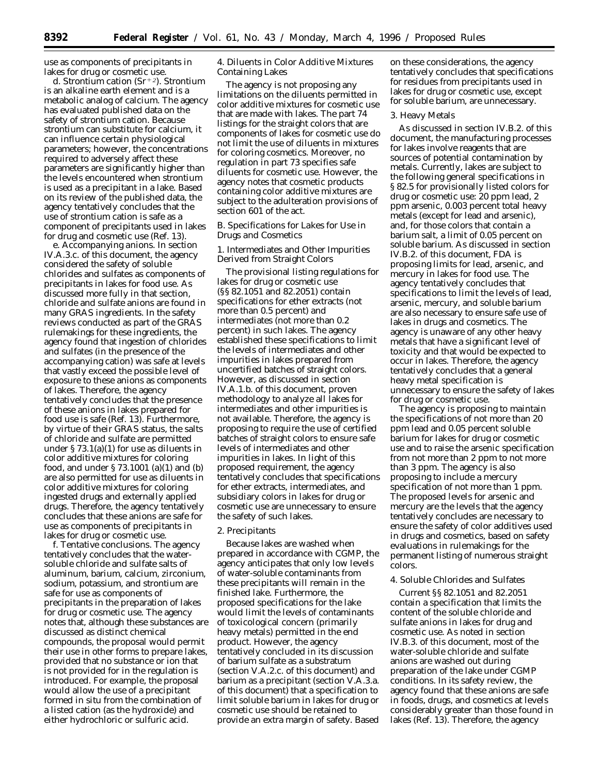use as components of precipitants in lakes for drug or cosmetic use.

d. *Strontium cation (Sr*∂*2).* Strontium is an alkaline earth element and is a metabolic analog of calcium. The agency has evaluated published data on the safety of strontium cation. Because strontium can substitute for calcium, it can influence certain physiological parameters; however, the concentrations required to adversely affect these parameters are significantly higher than the levels encountered when strontium is used as a precipitant in a lake. Based on its review of the published data, the agency tentatively concludes that the use of strontium cation is safe as a component of precipitants used in lakes for drug and cosmetic use (Ref. 13).

e. *Accompanying anions.* In section IV.A.3.c. of this document, the agency considered the safety of soluble chlorides and sulfates as components of precipitants in lakes for food use. As discussed more fully in that section, chloride and sulfate anions are found in many GRAS ingredients. In the safety reviews conducted as part of the GRAS rulemakings for these ingredients, the agency found that ingestion of chlorides and sulfates (in the presence of the accompanying cation) was safe at levels that vastly exceed the possible level of exposure to these anions as components of lakes. Therefore, the agency tentatively concludes that the presence of these anions in lakes prepared for food use is safe (Ref. 13). Furthermore, by virtue of their GRAS status, the salts of chloride and sulfate are permitted under § 73.1(a)(1) for use as diluents in color additive mixtures for coloring food, and under § 73.1001 (a)(1) and (b) are also permitted for use as diluents in color additive mixtures for coloring ingested drugs and externally applied drugs. Therefore, the agency tentatively concludes that these anions are safe for use as components of precipitants in lakes for drug or cosmetic use.

f. *Tentative conclusions.* The agency tentatively concludes that the watersoluble chloride and sulfate salts of aluminum, barium, calcium, zirconium, sodium, potassium, and strontium are safe for use as components of precipitants in the preparation of lakes for drug or cosmetic use. The agency notes that, although these substances are discussed as distinct chemical compounds, the proposal would permit their use in other forms to prepare lakes, provided that no substance or ion that is not provided for in the regulation is introduced. For example, the proposal would allow the use of a precipitant formed in situ from the combination of a listed cation (as the hydroxide) and either hydrochloric or sulfuric acid.

4. Diluents in Color Additive Mixtures Containing Lakes

The agency is not proposing any limitations on the diluents permitted in color additive mixtures for cosmetic use that are made with lakes. The part 74 listings for the straight colors that are components of lakes for cosmetic use do not limit the use of diluents in mixtures for coloring cosmetics. Moreover, no regulation in part 73 specifies safe diluents for cosmetic use. However, the agency notes that cosmetic products containing color additive mixtures are subject to the adulteration provisions of section 601 of the act.

# *B. Specifications for Lakes for Use in Drugs and Cosmetics*

1. Intermediates and Other Impurities Derived from Straight Colors

The provisional listing regulations for lakes for drug or cosmetic use (§§ 82.1051 and 82.2051) contain specifications for ether extracts (not more than 0.5 percent) and intermediates (not more than 0.2 percent) in such lakes. The agency established these specifications to limit the levels of intermediates and other impurities in lakes prepared from uncertified batches of straight colors. However, as discussed in section IV.A.1.b. of this document, proven methodology to analyze all lakes for intermediates and other impurities is not available. Therefore, the agency is proposing to require the use of certified batches of straight colors to ensure safe levels of intermediates and other impurities in lakes. In light of this proposed requirement, the agency tentatively concludes that specifications for ether extracts, intermediates, and subsidiary colors in lakes for drug or cosmetic use are unnecessary to ensure the safety of such lakes.

### 2. Precipitants

Because lakes are washed when prepared in accordance with CGMP, the agency anticipates that only low levels of water-soluble contaminants from these precipitants will remain in the finished lake. Furthermore, the proposed specifications for the lake would limit the levels of contaminants of toxicological concern (primarily heavy metals) permitted in the end product. However, the agency tentatively concluded in its discussion of barium sulfate as a substratum (section V.A.2.c. of this document) and barium as a precipitant (section V.A.3.a. of this document) that a specification to limit soluble barium in lakes for drug or cosmetic use should be retained to provide an extra margin of safety. Based

on these considerations, the agency tentatively concludes that specifications for residues from precipitants used in lakes for drug or cosmetic use, except for soluble barium, are unnecessary.

### 3. Heavy Metals

As discussed in section IV.B.2. of this document, the manufacturing processes for lakes involve reagents that are sources of potential contamination by metals. Currently, lakes are subject to the following general specifications in § 82.5 for provisionally listed colors for drug or cosmetic use: 20 ppm lead, 2 ppm arsenic, 0.003 percent total heavy metals (except for lead and arsenic), and, for those colors that contain a barium salt, a limit of 0.05 percent on soluble barium. As discussed in section IV.B.2. of this document, FDA is proposing limits for lead, arsenic, and mercury in lakes for food use. The agency tentatively concludes that specifications to limit the levels of lead, arsenic, mercury, and soluble barium are also necessary to ensure safe use of lakes in drugs and cosmetics. The agency is unaware of any other heavy metals that have a significant level of toxicity and that would be expected to occur in lakes. Therefore, the agency tentatively concludes that a general heavy metal specification is unnecessary to ensure the safety of lakes for drug or cosmetic use.

The agency is proposing to maintain the specifications of not more than 20 ppm lead and 0.05 percent soluble barium for lakes for drug or cosmetic use and to raise the arsenic specification from not more than 2 ppm to not more than 3 ppm. The agency is also proposing to include a mercury specification of not more than 1 ppm. The proposed levels for arsenic and mercury are the levels that the agency tentatively concludes are necessary to ensure the safety of color additives used in drugs and cosmetics, based on safety evaluations in rulemakings for the permanent listing of numerous straight colors.

### 4. Soluble Chlorides and Sulfates

Current §§ 82.1051 and 82.2051 contain a specification that limits the content of the soluble chloride and sulfate anions in lakes for drug and cosmetic use. As noted in section IV.B.3. of this document, most of the water-soluble chloride and sulfate anions are washed out during preparation of the lake under CGMP conditions. In its safety review, the agency found that these anions are safe in foods, drugs, and cosmetics at levels considerably greater than those found in lakes (Ref. 13). Therefore, the agency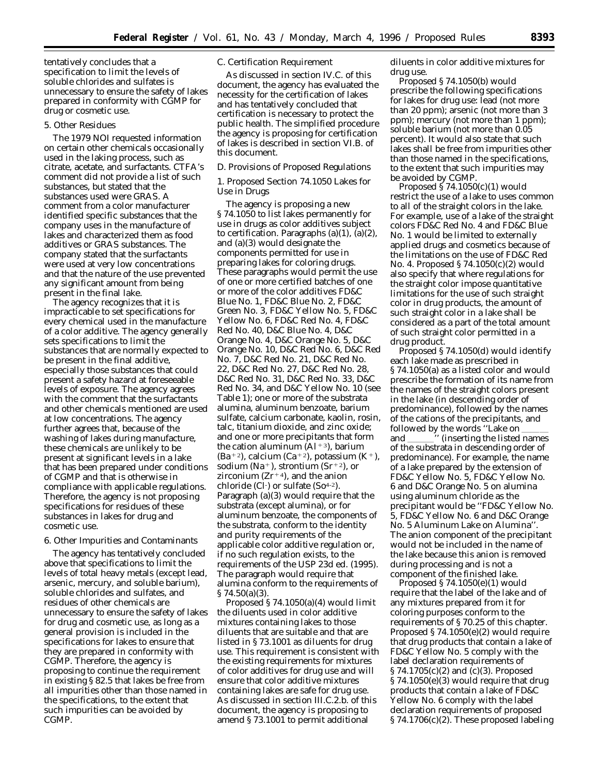tentatively concludes that a specification to limit the levels of soluble chlorides and sulfates is unnecessary to ensure the safety of lakes prepared in conformity with CGMP for drug or cosmetic use.

#### 5. Other Residues

The 1979 NOI requested information on certain other chemicals occasionally used in the laking process, such as citrate, acetate, and surfactants. CTFA's comment did not provide a list of such substances, but stated that the substances used were GRAS. A comment from a color manufacturer identified specific substances that the company uses in the manufacture of lakes and characterized them as food additives or GRAS substances. The company stated that the surfactants were used at very low concentrations and that the nature of the use prevented any significant amount from being present in the final lake.

The agency recognizes that it is impracticable to set specifications for every chemical used in the manufacture of a color additive. The agency generally sets specifications to limit the substances that are normally expected to be present in the final additive, especially those substances that could present a safety hazard at foreseeable levels of exposure. The agency agrees with the comment that the surfactants and other chemicals mentioned are used at low concentrations. The agency further agrees that, because of the washing of lakes during manufacture, these chemicals are unlikely to be present at significant levels in a lake that has been prepared under conditions of CGMP and that is otherwise in compliance with applicable regulations. Therefore, the agency is not proposing specifications for residues of these substances in lakes for drug and cosmetic use.

### 6. Other Impurities and Contaminants

The agency has tentatively concluded above that specifications to limit the levels of total heavy metals (except lead, arsenic, mercury, and soluble barium), soluble chlorides and sulfates, and residues of other chemicals are unnecessary to ensure the safety of lakes for drug and cosmetic use, as long as a general provision is included in the specifications for lakes to ensure that they are prepared in conformity with CGMP. Therefore, the agency is proposing to continue the requirement in existing § 82.5 that lakes be free from all impurities other than those named in the specifications, to the extent that such impurities can be avoided by CGMP.

### *C. Certification Requirement*

As discussed in section IV.C. of this document, the agency has evaluated the necessity for the certification of lakes and has tentatively concluded that certification is necessary to protect the public health. The simplified procedure the agency is proposing for certification of lakes is described in section VI.B. of this document.

# *D. Provisions of Proposed Regulations*

1. Proposed Section 74.1050 Lakes for Use in Drugs

The agency is proposing a new § 74.1050 to list lakes permanently for use in drugs as color additives subject to certification. Paragraphs  $(a)(1)$ ,  $(a)(2)$ , and (a)(3) would designate the components permitted for use in preparing lakes for coloring drugs. These paragraphs would permit the use of one or more certified batches of one or more of the color additives FD&C Blue No. 1, FD&C Blue No. 2, FD&C Green No. 3, FD&C Yellow No. 5, FD&C Yellow No. 6, FD&C Red No. 4, FD&C Red No. 40, D&C Blue No. 4, D&C Orange No. 4, D&C Orange No. 5, D&C Orange No. 10, D&C Red No. 6, D&C Red No. 7, D&C Red No. 21, D&C Red No. 22, D&C Red No. 27, D&C Red No. 28, D&C Red No. 31, D&C Red No. 33, D&C Red No. 34, and D&C Yellow No. 10 (see Table 1); one or more of the substrata alumina, aluminum benzoate, barium sulfate, calcium carbonate, kaolin, rosin, talc, titanium dioxide, and zinc oxide; and one or more precipitants that form the cation aluminum  $(Al+3)$ , barium (Ba<sup>+2</sup>), calcium (Ca<sup>+2</sup>), potassium (K<sup>+</sup>), sodium (Na<sup>+</sup>), strontium (Sr<sup>+2</sup>), or zirconium ( $Zr^{+4}$ ), and the anion chloride (Cl-) or sulfate (So<sup>4-2</sup>). Paragraph (a)(3) would require that the substrata (except alumina), or for aluminum benzoate, the components of the substrata, conform to the identity and purity requirements of the applicable color additive regulation or, if no such regulation exists, to the requirements of the USP 23d ed. (1995). The paragraph would require that alumina conform to the requirements of § 74.50(a)(3).

Proposed § 74.1050(a)(4) would limit the diluents used in color additive mixtures containing lakes to those diluents that are suitable and that are listed in § 73.1001 as diluents for drug use. This requirement is consistent with the existing requirements for mixtures of color additives for drug use and will ensure that color additive mixtures containing lakes are safe for drug use. As discussed in section III.C.2.b. of this document, the agency is proposing to amend § 73.1001 to permit additional

diluents in color additive mixtures for drug use.

Proposed § 74.1050(b) would prescribe the following specifications for lakes for drug use: lead (not more than 20 ppm); arsenic (not more than 3 ppm); mercury (not more than 1 ppm); soluble barium (not more than 0.05 percent). It would also state that such lakes shall be free from impurities other than those named in the specifications, to the extent that such impurities may be avoided by CGMP.

Proposed  $\frac{5}{9}$  74.1050(c)(1) would restrict the use of a lake to uses common to all of the straight colors in the lake. For example, use of a lake of the straight colors FD&C Red No. 4 and FD&C Blue No. 1 would be limited to externally applied drugs and cosmetics because of the limitations on the use of FD&C Red No. 4. Proposed § 74.1050(c)(2) would also specify that where regulations for the straight color impose quantitative limitations for the use of such straight color in drug products, the amount of such straight color in a lake shall be considered as a part of the total amount of such straight color permitted in a drug product.

Proposed § 74.1050(d) would identify each lake made as prescribed in § 74.1050(a) as a listed color and would prescribe the formation of its name from the names of the straight colors present in the lake (in descending order of predominance), followed by the names of the cations of the precipitants, and followed by the words "Lake on \_\_\_\_\_ and \_\_\_\_\_\_\_\_\_\_'' (inserting the listed names of the substrata in descending order of predominance). For example, the name of a lake prepared by the extension of FD&C Yellow No. 5, FD&C Yellow No. 6 and D&C Orange No. 5 on alumina using aluminum chloride as the precipitant would be ''FD&C Yellow No. 5, FD&C Yellow No. 6 and D&C Orange No. 5 Aluminum Lake on Alumina''. The anion component of the precipitant would not be included in the name of the lake because this anion is removed during processing and is not a component of the finished lake.

Proposed § 74.1050(e)(1) would require that the label of the lake and of any mixtures prepared from it for coloring purposes conform to the requirements of § 70.25 of this chapter. Proposed § 74.1050(e)(2) would require that drug products that contain a lake of FD&C Yellow No. 5 comply with the label declaration requirements of § 74.1705(c)(2) and (c)(3). Proposed § 74.1050(e)(3) would require that drug products that contain a lake of FD&C Yellow No. 6 comply with the label declaration requirements of proposed § 74.1706(c)(2). These proposed labeling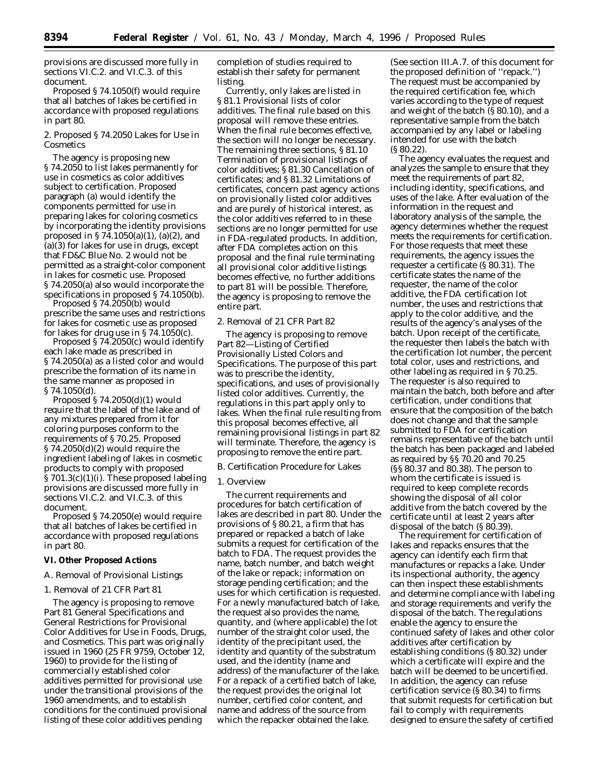provisions are discussed more fully in sections VI.C.2. and VI.C.3. of this document.

Proposed § 74.1050(f) would require that all batches of lakes be certified in accordance with proposed regulations in part 80.

2. Proposed § 74.2050 Lakes for Use in **Cosmetics** 

The agency is proposing new § 74.2050 to list lakes permanently for use in cosmetics as color additives subject to certification. Proposed paragraph (a) would identify the components permitted for use in preparing lakes for coloring cosmetics by incorporating the identity provisions proposed in § 74.1050(a)(1), (a)(2), and  $(a)(3)$  for lakes for use in drugs, except that FD&C Blue No. 2 would not be permitted as a straight-color component in lakes for cosmetic use. Proposed § 74.2050(a) also would incorporate the specifications in proposed § 74.1050(b).

Proposed § 74.2050(b) would prescribe the same uses and restrictions for lakes for cosmetic use as proposed for lakes for drug use in § 74.1050(c).

Proposed § 74.2050(c) would identify each lake made as prescribed in § 74.2050(a) as a listed color and would prescribe the formation of its name in the same manner as proposed in  $§ 74.1050(d)$ 

Proposed § 74.2050(d)(1) would require that the label of the lake and of any mixtures prepared from it for coloring purposes conform to the requirements of § 70.25. Proposed § 74.2050(d)(2) would require the ingredient labeling of lakes in cosmetic products to comply with proposed § 701.3(c)(1)(i). These proposed labeling provisions are discussed more fully in sections VI.C.2. and VI.C.3. of this document.

Proposed § 74.2050(e) would require that all batches of lakes be certified in accordance with proposed regulations in part 80.

### **VI. Other Proposed Actions**

### *A. Removal of Provisional Listings*

## 1. Removal of 21 CFR Part 81

The agency is proposing to remove Part 81 *General Specifications and General Restrictions for Provisional Color Additives for Use in Foods, Drugs, and Cosmetics.* This part was originally issued in 1960 (25 FR 9759, October 12, 1960) to provide for the listing of commercially established color additives permitted for provisional use under the transitional provisions of the 1960 amendments, and to establish conditions for the continued provisional listing of these color additives pending

completion of studies required to establish their safety for permanent listing.

Currently, only lakes are listed in § 81.1 *Provisional lists of color additives.* The final rule based on this proposal will remove these entries. When the final rule becomes effective, the section will no longer be necessary. The remaining three sections, §81.10 *Termination of provisional listings of color additives;* § 81.30 *Cancellation of certificates;* and § 81.32 *Limitations of certificates,* concern past agency actions on provisionally listed color additives and are purely of historical interest, as the color additives referred to in these sections are no longer permitted for use in FDA-regulated products. In addition, after FDA completes action on this proposal and the final rule terminating all provisional color additive listings becomes effective, no further additions to part 81 will be possible. Therefore, the agency is proposing to remove the entire part.

# 2. Removal of 21 CFR Part 82

The agency is proposing to remove Part 82—*Listing of Certified Provisionally Listed Colors and Specifications.* The purpose of this part was to prescribe the identity, specifications, and uses of provisionally listed color additives. Currently, the regulations in this part apply only to lakes. When the final rule resulting from this proposal becomes effective, all remaining provisional listings in part 82 will terminate. Therefore, the agency is proposing to remove the entire part.

### *B. Certification Procedure for Lakes*

#### 1. Overview

The current requirements and procedures for batch certification of lakes are described in part 80. Under the provisions of § 80.21, a firm that has prepared or repacked a batch of lake submits a request for certification of the batch to FDA. The request provides the name, batch number, and batch weight of the lake or repack; information on storage pending certification; and the uses for which certification is requested. For a newly manufactured batch of lake, the request also provides the name, quantity, and (where applicable) the lot number of the straight color used, the identity of the precipitant used, the identity and quantity of the substratum used, and the identity (name and address) of the manufacturer of the lake. For a repack of a certified batch of lake, the request provides the original lot number, certified color content, and name and address of the source from which the repacker obtained the lake.

(See section III.A.7. of this document for the proposed definition of ''repack.'') The request must be accompanied by the required certification fee, which varies according to the type of request and weight of the batch (§ 80.10), and a representative sample from the batch accompanied by any label or labeling intended for use with the batch (§ 80.22).

The agency evaluates the request and analyzes the sample to ensure that they meet the requirements of part 82, including identity, specifications, and uses of the lake. After evaluation of the information in the request and laboratory analysis of the sample, the agency determines whether the request meets the requirements for certification. For those requests that meet these requirements, the agency issues the requester a certificate (§ 80.31). The certificate states the name of the requester, the name of the color additive, the FDA certification lot number, the uses and restrictions that apply to the color additive, and the results of the agency's analyses of the batch. Upon receipt of the certificate, the requester then labels the batch with the certification lot number, the percent total color, uses and restrictions, and other labeling as required in § 70.25. The requester is also required to maintain the batch, both before and after certification, under conditions that ensure that the composition of the batch does not change and that the sample submitted to FDA for certification remains representative of the batch until the batch has been packaged and labeled as required by §§ 70.20 and 70.25 (§§ 80.37 and 80.38). The person to whom the certificate is issued is required to keep complete records showing the disposal of all color additive from the batch covered by the certificate until at least 2 years after disposal of the batch  $(S80.39)$ .

The requirement for certification of lakes and repacks ensures that the agency can identify each firm that manufactures or repacks a lake. Under its inspectional authority, the agency can then inspect these establishments and determine compliance with labeling and storage requirements and verify the disposal of the batch. The regulations enable the agency to ensure the continued safety of lakes and other color additives after certification by establishing conditions (§ 80.32) under which a certificate will expire and the batch will be deemed to be uncertified. In addition, the agency can refuse certification service (§ 80.34) to firms that submit requests for certification but fail to comply with requirements designed to ensure the safety of certified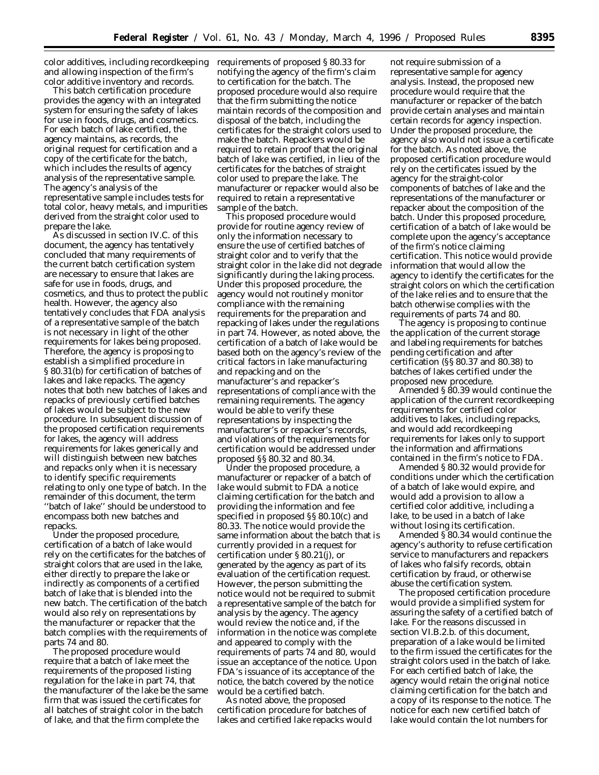color additives, including recordkeeping and allowing inspection of the firm's color additive inventory and records.

This batch certification procedure provides the agency with an integrated system for ensuring the safety of lakes for use in foods, drugs, and cosmetics. For each batch of lake certified, the agency maintains, as records, the original request for certification and a copy of the certificate for the batch, which includes the results of agency analysis of the representative sample. The agency's analysis of the representative sample includes tests for total color, heavy metals, and impurities derived from the straight color used to prepare the lake.

As discussed in section IV.C. of this document, the agency has tentatively concluded that many requirements of the current batch certification system are necessary to ensure that lakes are safe for use in foods, drugs, and cosmetics, and thus to protect the public health. However, the agency also tentatively concludes that FDA analysis of a representative sample of the batch is not necessary in light of the other requirements for lakes being proposed. Therefore, the agency is proposing to establish a simplified procedure in § 80.31(b) for certification of batches of lakes and lake repacks. The agency notes that both new batches of lakes and repacks of previously certified batches of lakes would be subject to the new procedure. In subsequent discussion of the proposed certification requirements for lakes, the agency will address requirements for lakes generically and will distinguish between new batches and repacks only when it is necessary to identify specific requirements relating to only one type of batch. In the remainder of this document, the term ''batch of lake'' should be understood to encompass both new batches and repacks.

Under the proposed procedure, certification of a batch of lake would rely on the certificates for the batches of straight colors that are used in the lake, either directly to prepare the lake or indirectly as components of a certified batch of lake that is blended into the new batch. The certification of the batch would also rely on representations by the manufacturer or repacker that the batch complies with the requirements of parts 74 and 80.

The proposed procedure would require that a batch of lake meet the requirements of the proposed listing regulation for the lake in part 74, that the manufacturer of the lake be the same firm that was issued the certificates for all batches of straight color in the batch of lake, and that the firm complete the

requirements of proposed § 80.33 for notifying the agency of the firm's claim to certification for the batch. The proposed procedure would also require that the firm submitting the notice maintain records of the composition and disposal of the batch, including the certificates for the straight colors used to make the batch. Repackers would be required to retain proof that the original batch of lake was certified, in lieu of the certificates for the batches of straight color used to prepare the lake. The manufacturer or repacker would also be required to retain a representative sample of the batch.

This proposed procedure would provide for routine agency review of only the information necessary to ensure the use of certified batches of straight color and to verify that the straight color in the lake did not degrade significantly during the laking process. Under this proposed procedure, the agency would not routinely monitor compliance with the remaining requirements for the preparation and repacking of lakes under the regulations in part 74. However, as noted above, the certification of a batch of lake would be based both on the agency's review of the critical factors in lake manufacturing and repacking and on the manufacturer's and repacker's representations of compliance with the remaining requirements. The agency would be able to verify these representations by inspecting the manufacturer's or repacker's records, and violations of the requirements for certification would be addressed under proposed §§ 80.32 and 80.34.

Under the proposed procedure, a manufacturer or repacker of a batch of lake would submit to FDA a notice claiming certification for the batch and providing the information and fee specified in proposed §§ 80.10(c) and 80.33. The notice would provide the same information about the batch that is currently provided in a request for certification under § 80.21(j), or generated by the agency as part of its evaluation of the certification request. However, the person submitting the notice would not be required to submit a representative sample of the batch for analysis by the agency. The agency would review the notice and, if the information in the notice was complete and appeared to comply with the requirements of parts 74 and 80, would issue an acceptance of the notice. Upon FDA's issuance of its acceptance of the notice, the batch covered by the notice would be a certified batch.

As noted above, the proposed certification procedure for batches of lakes and certified lake repacks would

not require submission of a representative sample for agency analysis. Instead, the proposed new procedure would require that the manufacturer or repacker of the batch provide certain analyses and maintain certain records for agency inspection. Under the proposed procedure, the agency also would not issue a certificate for the batch. As noted above, the proposed certification procedure would rely on the certificates issued by the agency for the straight-color components of batches of lake and the representations of the manufacturer or repacker about the composition of the batch. Under this proposed procedure, certification of a batch of lake would be complete upon the agency's acceptance of the firm's notice claiming certification. This notice would provide information that would allow the agency to identify the certificates for the straight colors on which the certification of the lake relies and to ensure that the batch otherwise complies with the requirements of parts 74 and 80.

The agency is proposing to continue the application of the current storage and labeling requirements for batches pending certification and after certification (§§ 80.37 and 80.38) to batches of lakes certified under the proposed new procedure.

Amended § 80.39 would continue the application of the current recordkeeping requirements for certified color additives to lakes, including repacks, and would add recordkeeping requirements for lakes only to support the information and affirmations contained in the firm's notice to FDA.

Amended § 80.32 would provide for conditions under which the certification of a batch of lake would expire, and would add a provision to allow a certified color additive, including a lake, to be used in a batch of lake without losing its certification.

Amended § 80.34 would continue the agency's authority to refuse certification service to manufacturers and repackers of lakes who falsify records, obtain certification by fraud, or otherwise abuse the certification system.

The proposed certification procedure would provide a simplified system for assuring the safety of a certified batch of lake. For the reasons discussed in section VI.B.2.b. of this document, preparation of a lake would be limited to the firm issued the certificates for the straight colors used in the batch of lake. For each certified batch of lake, the agency would retain the original notice claiming certification for the batch and a copy of its response to the notice. The notice for each new certified batch of lake would contain the lot numbers for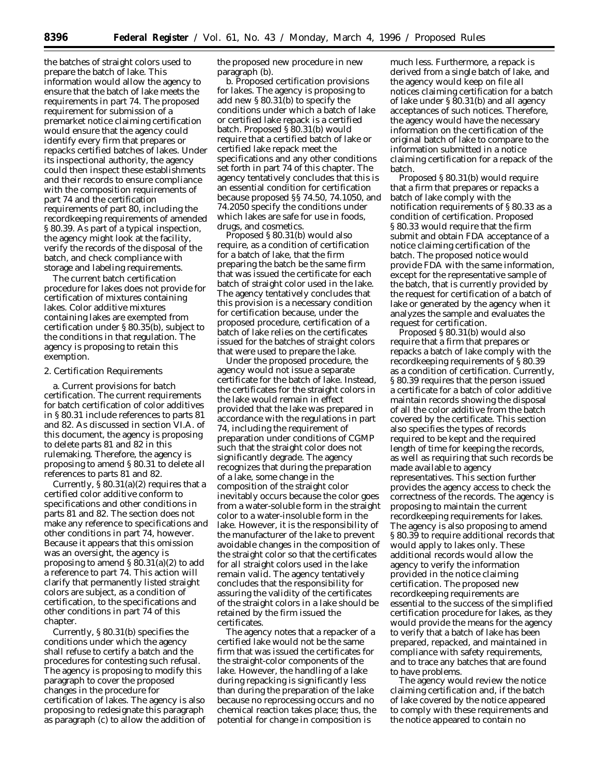the batches of straight colors used to prepare the batch of lake. This information would allow the agency to ensure that the batch of lake meets the requirements in part 74. The proposed requirement for submission of a premarket notice claiming certification would ensure that the agency could identify every firm that prepares or repacks certified batches of lakes. Under its inspectional authority, the agency could then inspect these establishments and their records to ensure compliance with the composition requirements of part 74 and the certification requirements of part 80, including the recordkeeping requirements of amended § 80.39. As part of a typical inspection, the agency might look at the facility, verify the records of the disposal of the batch, and check compliance with storage and labeling requirements.

The current batch certification procedure for lakes does not provide for certification of mixtures containing lakes. Color additive mixtures containing lakes are exempted from certification under § 80.35(b), subject to the conditions in that regulation. The agency is proposing to retain this exemption.

### 2. Certification Requirements

a. *Current provisions for batch certification.* The current requirements for batch certification of color additives in § 80.31 include references to parts 81 and 82. As discussed in section VI.A. of this document, the agency is proposing to delete parts 81 and 82 in this rulemaking. Therefore, the agency is proposing to amend § 80.31 to delete all references to parts 81 and 82.

Currently,  $\S 80.31(a)(2)$  requires that a certified color additive conform to specifications and other conditions in parts 81 and 82. The section does not make any reference to specifications and other conditions in part 74, however. Because it appears that this omission was an oversight, the agency is proposing to amend  $\S 80.31(a)(2)$  to add a reference to part 74. This action will clarify that permanently listed straight colors are subject, as a condition of certification, to the specifications and other conditions in part 74 of this chapter.

Currently, § 80.31(b) specifies the conditions under which the agency shall refuse to certify a batch and the procedures for contesting such refusal. The agency is proposing to modify this paragraph to cover the proposed changes in the procedure for certification of lakes. The agency is also proposing to redesignate this paragraph as paragraph (c) to allow the addition of the proposed new procedure in new paragraph (b).

b. *Proposed certification provisions for lakes.* The agency is proposing to add new § 80.31(b) to specify the conditions under which a batch of lake or certified lake repack is a certified batch. Proposed § 80.31(b) would require that a certified batch of lake or certified lake repack meet the specifications and any other conditions set forth in part 74 of this chapter. The agency tentatively concludes that this is an essential condition for certification because proposed §§ 74.50, 74.1050, and 74.2050 specify the conditions under which lakes are safe for use in foods, drugs, and cosmetics.

Proposed § 80.31(b) would also require, as a condition of certification for a batch of lake, that the firm preparing the batch be the same firm that was issued the certificate for each batch of straight color used in the lake. The agency tentatively concludes that this provision is a necessary condition for certification because, under the proposed procedure, certification of a batch of lake relies on the certificates issued for the batches of straight colors that were used to prepare the lake.

Under the proposed procedure, the agency would not issue a separate certificate for the batch of lake. Instead, the certificates for the straight colors in the lake would remain in effect provided that the lake was prepared in accordance with the regulations in part 74, including the requirement of preparation under conditions of CGMP such that the straight color does not significantly degrade. The agency recognizes that during the preparation of a lake, some change in the composition of the straight color inevitably occurs because the color goes from a water-soluble form in the straight color to a water-insoluble form in the lake. However, it is the responsibility of the manufacturer of the lake to prevent avoidable changes in the composition of the straight color so that the certificates for all straight colors used in the lake remain valid. The agency tentatively concludes that the responsibility for assuring the validity of the certificates of the straight colors in a lake should be retained by the firm issued the certificates.

The agency notes that a repacker of a certified lake would not be the same firm that was issued the certificates for the straight-color components of the lake. However, the handling of a lake during repacking is significantly less than during the preparation of the lake because no reprocessing occurs and no chemical reaction takes place; thus, the potential for change in composition is

much less. Furthermore, a repack is derived from a single batch of lake, and the agency would keep on file all notices claiming certification for a batch of lake under  $\S$ 80.31(b) and all agency acceptances of such notices. Therefore, the agency would have the necessary information on the certification of the original batch of lake to compare to the information submitted in a notice claiming certification for a repack of the batch.

Proposed § 80.31(b) would require that a firm that prepares or repacks a batch of lake comply with the notification requirements of § 80.33 as a condition of certification. Proposed § 80.33 would require that the firm submit and obtain FDA acceptance of a notice claiming certification of the batch. The proposed notice would provide FDA with the same information, except for the representative sample of the batch, that is currently provided by the request for certification of a batch of lake or generated by the agency when it analyzes the sample and evaluates the request for certification.

Proposed § 80.31(b) would also require that a firm that prepares or repacks a batch of lake comply with the recordkeeping requirements of § 80.39 as a condition of certification. Currently, § 80.39 requires that the person issued a certificate for a batch of color additive maintain records showing the disposal of all the color additive from the batch covered by the certificate. This section also specifies the types of records required to be kept and the required length of time for keeping the records, as well as requiring that such records be made available to agency representatives. This section further provides the agency access to check the correctness of the records. The agency is proposing to maintain the current recordkeeping requirements for lakes. The agency is also proposing to amend § 80.39 to require additional records that would apply to lakes only. These additional records would allow the agency to verify the information provided in the notice claiming certification. The proposed new recordkeeping requirements are essential to the success of the simplified certification procedure for lakes, as they would provide the means for the agency to verify that a batch of lake has been prepared, repacked, and maintained in compliance with safety requirements, and to trace any batches that are found to have problems.

The agency would review the notice claiming certification and, if the batch of lake covered by the notice appeared to comply with these requirements and the notice appeared to contain no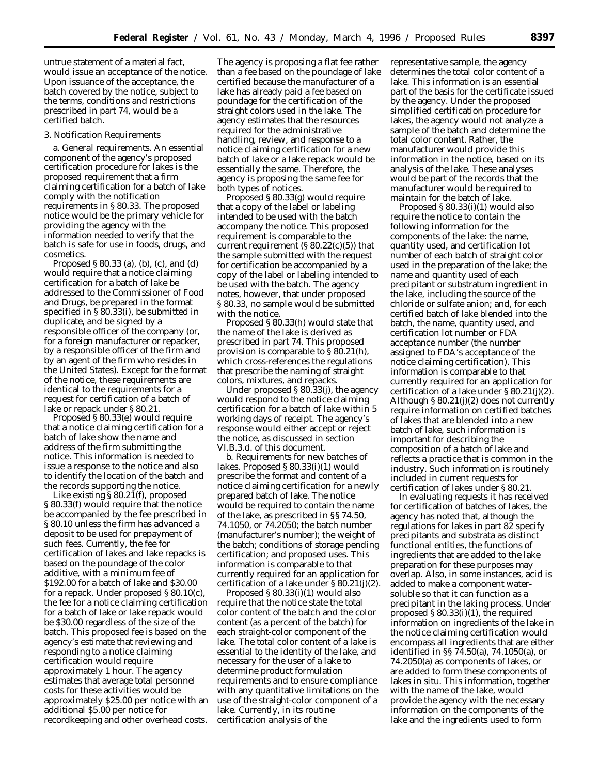untrue statement of a material fact, would issue an acceptance of the notice. Upon issuance of the acceptance, the batch covered by the notice, subject to the terms, conditions and restrictions prescribed in part 74, would be a certified batch.

### 3. Notification Requirements

a. *General requirements.* An essential component of the agency's proposed certification procedure for lakes is the proposed requirement that a firm claiming certification for a batch of lake comply with the notification requirements in § 80.33. The proposed notice would be the primary vehicle for providing the agency with the information needed to verify that the batch is safe for use in foods, drugs, and cosmetics.

Proposed § 80.33 (a), (b), (c), and (d) would require that a notice claiming certification for a batch of lake be addressed to the Commissioner of Food and Drugs, be prepared in the format specified in § 80.33(i), be submitted in duplicate, and be signed by a responsible officer of the company (or, for a foreign manufacturer or repacker, by a responsible officer of the firm and by an agent of the firm who resides in the United States). Except for the format of the notice, these requirements are identical to the requirements for a request for certification of a batch of lake or repack under § 80.21.

Proposed § 80.33(e) would require that a notice claiming certification for a batch of lake show the name and address of the firm submitting the notice. This information is needed to issue a response to the notice and also to identify the location of the batch and the records supporting the notice.

Like existing  $\S 80.2\overline{1}$ (f), proposed § 80.33(f) would require that the notice be accompanied by the fee prescribed in § 80.10 unless the firm has advanced a deposit to be used for prepayment of such fees. Currently, the fee for certification of lakes and lake repacks is based on the poundage of the color additive, with a minimum fee of \$192.00 for a batch of lake and \$30.00 for a repack. Under proposed § 80.10(c), the fee for a notice claiming certification for a batch of lake or lake repack would be \$30.00 regardless of the size of the batch. This proposed fee is based on the agency's estimate that reviewing and responding to a notice claiming certification would require approximately 1 hour. The agency estimates that average total personnel costs for these activities would be approximately \$25.00 per notice with an additional \$5.00 per notice for recordkeeping and other overhead costs.

The agency is proposing a flat fee rather than a fee based on the poundage of lake certified because the manufacturer of a lake has already paid a fee based on poundage for the certification of the straight colors used in the lake. The agency estimates that the resources required for the administrative handling, review, and response to a notice claiming certification for a new batch of lake or a lake repack would be essentially the same. Therefore, the agency is proposing the same fee for both types of notices.

Proposed § 80.33(g) would require that a copy of the label or labeling intended to be used with the batch accompany the notice. This proposed requirement is comparable to the current requirement (§ 80.22(c)(5)) that the sample submitted with the request for certification be accompanied by a copy of the label or labeling intended to be used with the batch. The agency notes, however, that under proposed § 80.33, no sample would be submitted with the notice.

Proposed § 80.33(h) would state that the name of the lake is derived as prescribed in part 74. This proposed provision is comparable to § 80.21(h), which cross-references the regulations that prescribe the naming of straight colors, mixtures, and repacks.

Under proposed § 80.33(j), the agency would respond to the notice claiming certification for a batch of lake within 5 working days of receipt. The agency's response would either accept or reject the notice, as discussed in section VI.B.3.d. of this document.

b. *Requirements for new batches of lakes.* Proposed § 80.33(i)(1) would prescribe the format and content of a notice claiming certification for a newly prepared batch of lake. The notice would be required to contain the name of the lake, as prescribed in §§ 74.50, 74.1050, or 74.2050; the batch number (manufacturer's number); the weight of the batch; conditions of storage pending certification; and proposed uses. This information is comparable to that currently required for an application for certification of a lake under § 80.21(j)(2).

Proposed § 80.33(i)(1) would also require that the notice state the total color content of the batch and the color content (as a percent of the batch) for each straight-color component of the lake. The total color content of a lake is essential to the identity of the lake, and necessary for the user of a lake to determine product formulation requirements and to ensure compliance with any quantitative limitations on the use of the straight-color component of a lake. Currently, in its routine certification analysis of the

representative sample, the agency determines the total color content of a lake. This information is an essential part of the basis for the certificate issued by the agency. Under the proposed simplified certification procedure for lakes, the agency would not analyze a sample of the batch and determine the total color content. Rather, the manufacturer would provide this information in the notice, based on its analysis of the lake. These analyses would be part of the records that the manufacturer would be required to maintain for the batch of lake.

Proposed § 80.33(i)(1) would also require the notice to contain the following information for the components of the lake: the name, quantity used, and certification lot number of each batch of straight color used in the preparation of the lake; the name and quantity used of each precipitant or substratum ingredient in the lake, including the source of the chloride or sulfate anion; and, for each certified batch of lake blended into the batch, the name, quantity used, and certification lot number or FDA acceptance number (the number assigned to FDA's acceptance of the notice claiming certification). This information is comparable to that currently required for an application for certification of a lake under  $\S 80.21(j)(2)$ . Although § 80.21(j)(2) does not currently require information on certified batches of lakes that are blended into a new batch of lake, such information is important for describing the composition of a batch of lake and reflects a practice that is common in the industry. Such information is routinely included in current requests for certification of lakes under § 80.21.

In evaluating requests it has received for certification of batches of lakes, the agency has noted that, although the regulations for lakes in part 82 specify precipitants and substrata as distinct functional entities, the functions of ingredients that are added to the lake preparation for these purposes may overlap. Also, in some instances, acid is added to make a component watersoluble so that it can function as a precipitant in the laking process. Under proposed § 80.33(i)(1), the required information on ingredients of the lake in the notice claiming certification would encompass all ingredients that are either identified in §§ 74.50(a), 74.1050(a), or 74.2050(a) as components of lakes, or are added to form these components of lakes in situ. This information, together with the name of the lake, would provide the agency with the necessary information on the components of the lake and the ingredients used to form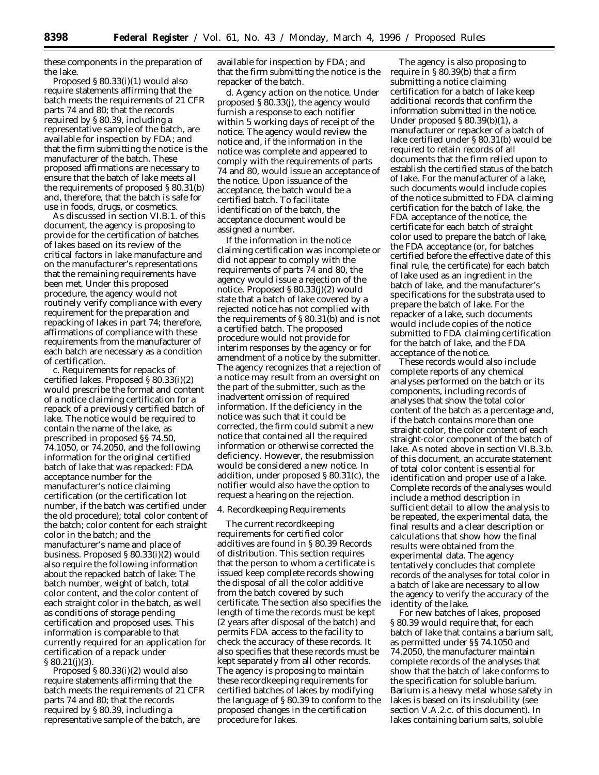these components in the preparation of the lake.

Proposed § 80.33(i)(1) would also require statements affirming that the batch meets the requirements of 21 CFR parts 74 and 80; that the records required by § 80.39, including a representative sample of the batch, are available for inspection by FDA; and that the firm submitting the notice is the manufacturer of the batch. These proposed affirmations are necessary to ensure that the batch of lake meets all the requirements of proposed § 80.31(b) and, therefore, that the batch is safe for use in foods, drugs, or cosmetics.

As discussed in section VI.B.1. of this document, the agency is proposing to provide for the certification of batches of lakes based on its review of the critical factors in lake manufacture and on the manufacturer's representations that the remaining requirements have been met. Under this proposed procedure, the agency would not routinely verify compliance with every requirement for the preparation and repacking of lakes in part 74; therefore, affirmations of compliance with these requirements from the manufacturer of each batch are necessary as a condition of certification.

c. *Requirements for repacks of certified lakes.* Proposed § 80.33(i)(2) would prescribe the format and content of a notice claiming certification for a repack of a previously certified batch of lake. The notice would be required to contain the name of the lake, as prescribed in proposed §§ 74.50, 74.1050, or 74.2050, and the following information for the original certified batch of lake that was repacked: FDA acceptance number for the manufacturer's notice claiming certification (or the certification lot number, if the batch was certified under the old procedure); total color content of the batch; color content for each straight color in the batch; and the manufacturer's name and place of business. Proposed § 80.33(i)(2) would also require the following information about the repacked batch of lake: The batch number, weight of batch, total color content, and the color content of each straight color in the batch, as well as conditions of storage pending certification and proposed uses. This information is comparable to that currently required for an application for certification of a repack under § 80.21(j)(3).

Proposed § 80.33(i)(2) would also require statements affirming that the batch meets the requirements of 21 CFR parts 74 and 80; that the records required by § 80.39, including a representative sample of the batch, are

available for inspection by FDA; and that the firm submitting the notice is the repacker of the batch.

d. *Agency action on the notice.* Under proposed § 80.33(j), the agency would furnish a response to each notifier within 5 working days of receipt of the notice. The agency would review the notice and, if the information in the notice was complete and appeared to comply with the requirements of parts 74 and 80, would issue an acceptance of the notice. Upon issuance of the acceptance, the batch would be a certified batch. To facilitate identification of the batch, the acceptance document would be assigned a number.

If the information in the notice claiming certification was incomplete or did not appear to comply with the requirements of parts 74 and 80, the agency would issue a rejection of the notice. Proposed § 80.33(j)(2) would state that a batch of lake covered by a rejected notice has not complied with the requirements of § 80.31(b) and is not a certified batch. The proposed procedure would not provide for interim responses by the agency or for amendment of a notice by the submitter. The agency recognizes that a rejection of a notice may result from an oversight on the part of the submitter, such as the inadvertent omission of required information. If the deficiency in the notice was such that it could be corrected, the firm could submit a new notice that contained all the required information or otherwise corrected the deficiency. However, the resubmission would be considered a new notice. In addition, under proposed § 80.31(c), the notifier would also have the option to request a hearing on the rejection.

### 4. Recordkeeping Requirements

The current recordkeeping requirements for certified color additives are found in § 80.39 *Records of distribution.* This section requires that the person to whom a certificate is issued keep complete records showing the disposal of all the color additive from the batch covered by such certificate. The section also specifies the length of time the records must be kept (2 years after disposal of the batch) and permits FDA access to the facility to check the accuracy of these records. It also specifies that these records must be kept separately from all other records. The agency is proposing to maintain these recordkeeping requirements for certified batches of lakes by modifying the language of § 80.39 to conform to the proposed changes in the certification procedure for lakes.

The agency is also proposing to require in § 80.39(b) that a firm submitting a notice claiming certification for a batch of lake keep additional records that confirm the information submitted in the notice. Under proposed § 80.39(b)(1), a manufacturer or repacker of a batch of lake certified under § 80.31(b) would be required to retain records of all documents that the firm relied upon to establish the certified status of the batch of lake. For the manufacturer of a lake, such documents would include copies of the notice submitted to FDA claiming certification for the batch of lake, the FDA acceptance of the notice, the certificate for each batch of straight color used to prepare the batch of lake, the FDA acceptance (or, for batches certified before the effective date of this final rule, the certificate) for each batch of lake used as an ingredient in the batch of lake, and the manufacturer's specifications for the substrata used to prepare the batch of lake. For the repacker of a lake, such documents would include copies of the notice submitted to FDA claiming certification for the batch of lake, and the FDA acceptance of the notice.

These records would also include complete reports of any chemical analyses performed on the batch or its components, including records of analyses that show the total color content of the batch as a percentage and, if the batch contains more than one straight color, the color content of each straight-color component of the batch of lake. As noted above in section VI.B.3.b. of this document, an accurate statement of total color content is essential for identification and proper use of a lake. Complete records of the analyses would include a method description in sufficient detail to allow the analysis to be repeated, the experimental data, the final results and a clear description or calculations that show how the final results were obtained from the experimental data. The agency tentatively concludes that complete records of the analyses for total color in a batch of lake are necessary to allow the agency to verify the accuracy of the identity of the lake.

For new batches of lakes, proposed § 80.39 would require that, for each batch of lake that contains a barium salt, as permitted under §§ 74.1050 and 74.2050, the manufacturer maintain complete records of the analyses that show that the batch of lake conforms to the specification for soluble barium. Barium is a heavy metal whose safety in lakes is based on its insolubility (see section V.A.2.c. of this document). In lakes containing barium salts, soluble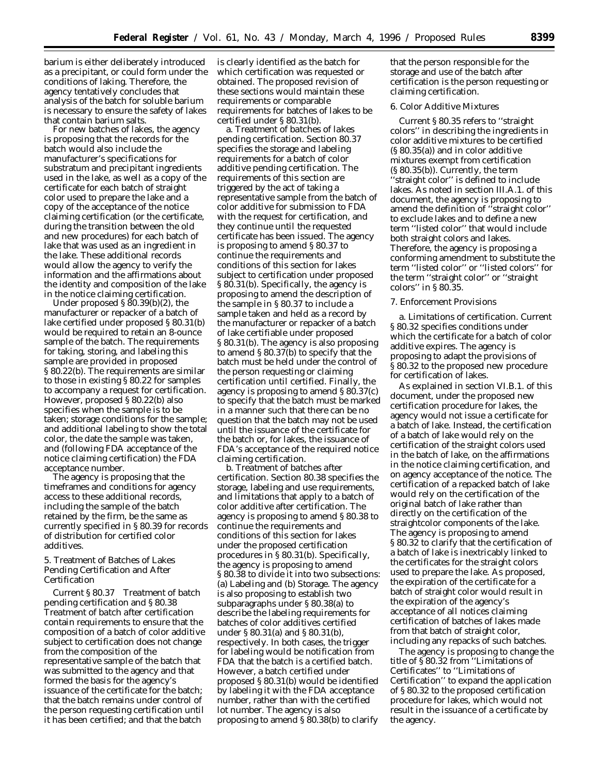barium is either deliberately introduced as a precipitant, or could form under the conditions of laking. Therefore, the agency tentatively concludes that analysis of the batch for soluble barium is necessary to ensure the safety of lakes that contain barium salts.

For new batches of lakes, the agency is proposing that the records for the batch would also include the manufacturer's specifications for substratum and precipitant ingredients used in the lake, as well as a copy of the certificate for each batch of straight color used to prepare the lake and a copy of the acceptance of the notice claiming certification (or the certificate, during the transition between the old and new procedures) for each batch of lake that was used as an ingredient in the lake. These additional records would allow the agency to verify the information and the affirmations about the identity and composition of the lake in the notice claiming certification.

Under proposed  $\S 80.39(b)(2)$ , the manufacturer or repacker of a batch of lake certified under proposed § 80.31(b) would be required to retain an 8-ounce sample of the batch. The requirements for taking, storing, and labeling this sample are provided in proposed § 80.22(b). The requirements are similar to those in existing § 80.22 for samples to accompany a request for certification. However, proposed § 80.22(b) also specifies when the sample is to be taken; storage conditions for the sample; and additional labeling to show the total color, the date the sample was taken, and (following FDA acceptance of the notice claiming certification) the FDA acceptance number.

The agency is proposing that the timeframes and conditions for agency access to these additional records, including the sample of the batch retained by the firm, be the same as currently specified in § 80.39 for records of distribution for certified color additives.

5. Treatment of Batches of Lakes Pending Certification and After Certification

Current § 80.37 *Treatment of batch pending certification* and § 80.38 *Treatment of batch after certification* contain requirements to ensure that the composition of a batch of color additive subject to certification does not change from the composition of the representative sample of the batch that was submitted to the agency and that formed the basis for the agency's issuance of the certificate for the batch; that the batch remains under control of the person requesting certification until it has been certified; and that the batch

is clearly identified as the batch for which certification was requested or obtained. The proposed revision of these sections would maintain these requirements or comparable requirements for batches of lakes to be certified under § 80.31(b).

a. *Treatment of batches of lakes pending certification.* Section 80.37 specifies the storage and labeling requirements for a batch of color additive pending certification. The requirements of this section are triggered by the act of taking a representative sample from the batch of color additive for submission to FDA with the request for certification, and they continue until the requested certificate has been issued. The agency is proposing to amend § 80.37 to continue the requirements and conditions of this section for lakes subject to certification under proposed § 80.31(b). Specifically, the agency is proposing to amend the description of the sample in § 80.37 to include a sample taken and held as a record by the manufacturer or repacker of a batch of lake certifiable under proposed § 80.31(b). The agency is also proposing to amend § 80.37(b) to specify that the batch must be held under the control of the person requesting or claiming certification until certified. Finally, the agency is proposing to amend § 80.37(c) to specify that the batch must be marked in a manner such that there can be no question that the batch may not be used until the issuance of the certificate for the batch or, for lakes, the issuance of FDA's acceptance of the required notice claiming certification.

b. *Treatment of batches after certification.* Section 80.38 specifies the storage, labeling and use requirements, and limitations that apply to a batch of color additive after certification. The agency is proposing to amend § 80.38 to continue the requirements and conditions of this section for lakes under the proposed certification procedures in § 80.31(b). Specifically, the agency is proposing to amend § 80.38 to divide it into two subsections: (a) Labeling and (b) Storage. The agency is also proposing to establish two subparagraphs under § 80.38(a) to describe the labeling requirements for batches of color additives certified under § 80.31(a) and § 80.31(b), respectively. In both cases, the trigger for labeling would be notification from FDA that the batch is a certified batch. However, a batch certified under proposed § 80.31(b) would be identified by labeling it with the FDA acceptance number, rather than with the certified lot number. The agency is also proposing to amend § 80.38(b) to clarify

that the person responsible for the storage and use of the batch after certification is the person requesting or claiming certification.

### 6. Color Additive Mixtures

Current § 80.35 refers to ''straight colors'' in describing the ingredients in color additive mixtures to be certified (§ 80.35(a)) and in color additive mixtures exempt from certification (§ 80.35(b)). Currently, the term ''straight color'' is defined to include lakes. As noted in section III.A.1. of this document, the agency is proposing to amend the definition of ''straight color'' to exclude lakes and to define a new term ''listed color'' that would include both straight colors and lakes. Therefore, the agency is proposing a conforming amendment to substitute the term ''listed color'' or ''listed colors'' for the term ''straight color'' or ''straight colors'' in § 80.35.

### 7. Enforcement Provisions

a. *Limitations of certification.* Current § 80.32 specifies conditions under which the certificate for a batch of color additive expires. The agency is proposing to adapt the provisions of § 80.32 to the proposed new procedure for certification of lakes.

As explained in section VI.B.1. of this document, under the proposed new certification procedure for lakes, the agency would not issue a certificate for a batch of lake. Instead, the certification of a batch of lake would rely on the certification of the straight colors used in the batch of lake, on the affirmations in the notice claiming certification, and on agency acceptance of the notice. The certification of a repacked batch of lake would rely on the certification of the original batch of lake rather than directly on the certification of the straightcolor components of the lake. The agency is proposing to amend § 80.32 to clarify that the certification of a batch of lake is inextricably linked to the certificates for the straight colors used to prepare the lake. As proposed, the expiration of the certificate for a batch of straight color would result in the expiration of the agency's acceptance of all notices claiming certification of batches of lakes made from that batch of straight color, including any repacks of such batches.

The agency is proposing to change the title of § 80.32 from ''Limitations of Certificates'' to ''Limitations of Certification'' to expand the application of § 80.32 to the proposed certification procedure for lakes, which would not result in the issuance of a certificate by the agency.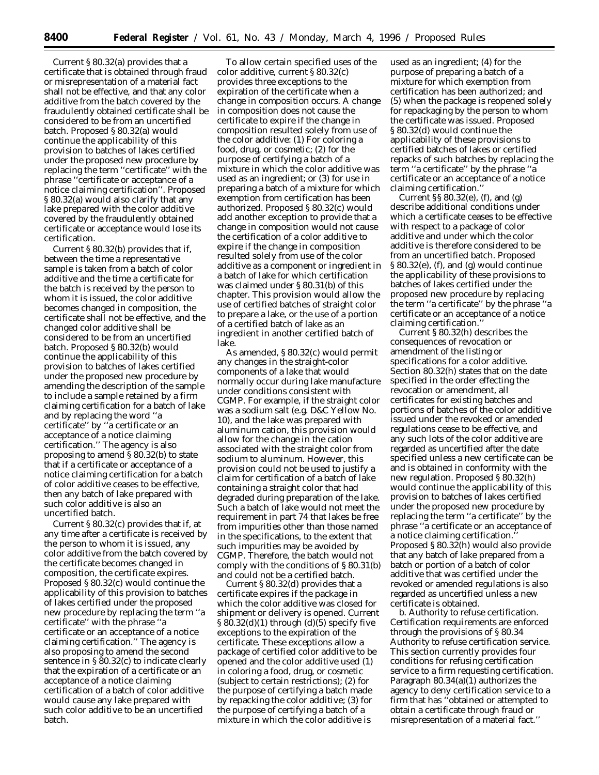Current § 80.32(a) provides that a certificate that is obtained through fraud or misrepresentation of a material fact shall not be effective, and that any color additive from the batch covered by the fraudulently obtained certificate shall be considered to be from an uncertified batch. Proposed § 80.32(a) would continue the applicability of this provision to batches of lakes certified under the proposed new procedure by replacing the term ''certificate'' with the phrase ''certificate or acceptance of a notice claiming certification''. Proposed § 80.32(a) would also clarify that any lake prepared with the color additive covered by the fraudulently obtained certificate or acceptance would lose its certification.

Current § 80.32(b) provides that if, between the time a representative sample is taken from a batch of color additive and the time a certificate for the batch is received by the person to whom it is issued, the color additive becomes changed in composition, the certificate shall not be effective, and the changed color additive shall be considered to be from an uncertified batch. Proposed § 80.32(b) would continue the applicability of this provision to batches of lakes certified under the proposed new procedure by amending the description of the sample to include a sample retained by a firm claiming certification for a batch of lake and by replacing the word ''a certificate'' by ''a certificate or an acceptance of a notice claiming certification.'' The agency is also proposing to amend § 80.32(b) to state that if a certificate or acceptance of a notice claiming certification for a batch of color additive ceases to be effective, then any batch of lake prepared with such color additive is also an uncertified batch.

Current § 80.32(c) provides that if, at any time after a certificate is received by the person to whom it is issued, any color additive from the batch covered by the certificate becomes changed in composition, the certificate expires. Proposed § 80.32(c) would continue the applicability of this provision to batches of lakes certified under the proposed new procedure by replacing the term ''a certificate'' with the phrase ''a certificate or an acceptance of a notice claiming certification.'' The agency is also proposing to amend the second sentence in § 80.32(c) to indicate clearly that the expiration of a certificate or an acceptance of a notice claiming certification of a batch of color additive would cause any lake prepared with such color additive to be an uncertified batch.

To allow certain specified uses of the color additive, current § 80.32(c) provides three exceptions to the expiration of the certificate when a change in composition occurs. A change in composition does not cause the certificate to expire if the change in composition resulted solely from use of the color additive: (1) For coloring a food, drug, or cosmetic; (2) for the purpose of certifying a batch of a mixture in which the color additive was used as an ingredient; or (3) for use in preparing a batch of a mixture for which exemption from certification has been authorized. Proposed § 80.32(c) would add another exception to provide that a change in composition would not cause the certification of a color additive to expire if the change in composition resulted solely from use of the color additive as a component or ingredient in a batch of lake for which certification was claimed under § 80.31(b) of this chapter. This provision would allow the use of certified batches of straight color to prepare a lake, or the use of a portion of a certified batch of lake as an ingredient in another certified batch of lake.

As amended, § 80.32(c) would permit any changes in the straight-color components of a lake that would normally occur during lake manufacture under conditions consistent with CGMP. For example, if the straight color was a sodium salt (e.g. D&C Yellow No. 10), and the lake was prepared with aluminum cation, this provision would allow for the change in the cation associated with the straight color from sodium to aluminum. However, this provision could not be used to justify a claim for certification of a batch of lake containing a straight color that had degraded during preparation of the lake. Such a batch of lake would not meet the requirement in part 74 that lakes be free from impurities other than those named in the specifications, to the extent that such impurities may be avoided by CGMP. Therefore, the batch would not comply with the conditions of § 80.31(b) and could not be a certified batch.

Current § 80.32(d) provides that a certificate expires if the package in which the color additive was closed for shipment or delivery is opened. Current  $§ 80.32(d)(1)$  through  $(d)(5)$  specify five exceptions to the expiration of the certificate. These exceptions allow a package of certified color additive to be opened and the color additive used (1) in coloring a food, drug, or cosmetic (subject to certain restrictions); (2) for the purpose of certifying a batch made by repacking the color additive; (3) for the purpose of certifying a batch of a mixture in which the color additive is

used as an ingredient; (4) for the purpose of preparing a batch of a mixture for which exemption from certification has been authorized; and (5) when the package is reopened solely for repackaging by the person to whom the certificate was issued. Proposed § 80.32(d) would continue the applicability of these provisions to certified batches of lakes or certified repacks of such batches by replacing the term ''a certificate'' by the phrase ''a certificate or an acceptance of a notice claiming certification.''

Current §§ 80.32(e), (f), and (g) describe additional conditions under which a certificate ceases to be effective with respect to a package of color additive and under which the color additive is therefore considered to be from an uncertified batch. Proposed § 80.32(e), (f), and (g) would continue the applicability of these provisions to batches of lakes certified under the proposed new procedure by replacing the term ''a certificate'' by the phrase ''a certificate or an acceptance of a notice claiming certification.''

Current § 80.32(h) describes the consequences of revocation or amendment of the listing or specifications for a color additive. Section 80.32(h) states that on the date specified in the order effecting the revocation or amendment, all certificates for existing batches and portions of batches of the color additive issued under the revoked or amended regulations cease to be effective, and any such lots of the color additive are regarded as uncertified after the date specified unless a new certificate can be and is obtained in conformity with the new regulation. Proposed § 80.32(h) would continue the applicability of this provision to batches of lakes certified under the proposed new procedure by replacing the term ''a certificate'' by the phrase ''a certificate or an acceptance of a notice claiming certification.'' Proposed  $\S 80.32(h)$  would also provide that any batch of lake prepared from a batch or portion of a batch of color additive that was certified under the revoked or amended regulations is also regarded as uncertified unless a new certificate is obtained.

b. *Authority to refuse certification.* Certification requirements are enforced through the provisions of § 80.34 *Authority to refuse certification service.* This section currently provides four conditions for refusing certification service to a firm requesting certification. Paragraph  $80.34(a)(1)$  authorizes the agency to deny certification service to a firm that has ''obtained or attempted to obtain a certificate through fraud or misrepresentation of a material fact.''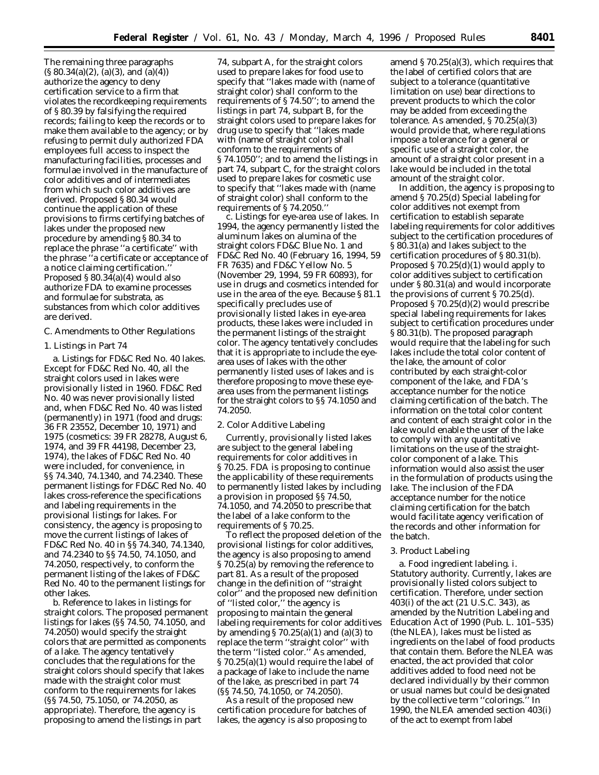The remaining three paragraphs  $(S 80.34(a)(2), (a)(3), and (a)(4))$ authorize the agency to deny certification service to a firm that violates the recordkeeping requirements of § 80.39 by falsifying the required records; failing to keep the records or to make them available to the agency; or by refusing to permit duly authorized FDA employees full access to inspect the manufacturing facilities, processes and formulae involved in the manufacture of color additives and of intermediates from which such color additives are derived. Proposed § 80.34 would continue the application of these provisions to firms certifying batches of lakes under the proposed new procedure by amending § 80.34 to replace the phrase ''a certificate'' with the phrase ''a certificate or acceptance of a notice claiming certification.'' Proposed § 80.34(a)(4) would also authorize FDA to examine processes and formulae for substrata, as substances from which color additives are derived.

### *C. Amendments to Other Regulations*

### 1. Listings in Part 74

a. *Listings for FD&C Red No. 40 lakes.* Except for FD&C Red No. 40, all the straight colors used in lakes were provisionally listed in 1960. FD&C Red No. 40 was never provisionally listed and, when FD&C Red No. 40 was listed (permanently) in 1971 (food and drugs: 36 FR 23552, December 10, 1971) and 1975 (cosmetics: 39 FR 28278, August 6, 1974, and 39 FR 44198, December 23, 1974), the lakes of FD&C Red No. 40 were included, for convenience, in §§ 74.340, 74.1340, and 74.2340. These permanent listings for FD&C Red No. 40 lakes cross-reference the specifications and labeling requirements in the provisional listings for lakes. For consistency, the agency is proposing to move the current listings of lakes of FD&C Red No. 40 in §§ 74.340, 74.1340, and 74.2340 to §§ 74.50, 74.1050, and 74.2050, respectively, to conform the permanent listing of the lakes of FD&C Red No. 40 to the permanent listings for other lakes.

b. *Reference to lakes in listings for straight colors.* The proposed permanent listings for lakes (§§ 74.50, 74.1050, and 74.2050) would specify the straight colors that are permitted as components of a lake. The agency tentatively concludes that the regulations for the straight colors should specify that lakes made with the straight color must conform to the requirements for lakes (§§ 74.50, 75.1050, or 74.2050, as appropriate). Therefore, the agency is proposing to amend the listings in part

74, subpart A, for the straight colors used to prepare lakes for food use to specify that ''lakes made with (name of straight color) shall conform to the requirements of § 74.50''; to amend the listings in part 74, subpart B, for the straight colors used to prepare lakes for drug use to specify that ''lakes made with (name of straight color) shall conform to the requirements of § 74.1050''; and to amend the listings in part 74, subpart C, for the straight colors used to prepare lakes for cosmetic use to specify that ''lakes made with (name of straight color) shall conform to the requirements of § 74.2050.''

c. *Listings for eye-area use of lakes.* In 1994, the agency permanently listed the aluminum lakes on alumina of the straight colors FD&C Blue No. 1 and FD&C Red No. 40 (February 16, 1994, 59 FR 7635) and FD&C Yellow No. 5 (November 29, 1994, 59 FR 60893), for use in drugs and cosmetics intended for use in the area of the eye. Because § 81.1 specifically precludes use of provisionally listed lakes in eye-area products, these lakes were included in the permanent listings of the straight color. The agency tentatively concludes that it is appropriate to include the eyearea uses of lakes with the other permanently listed uses of lakes and is therefore proposing to move these eyearea uses from the permanent listings for the straight colors to §§ 74.1050 and 74.2050.

#### 2. Color Additive Labeling

Currently, provisionally listed lakes are subject to the general labeling requirements for color additives in § 70.25. FDA is proposing to continue the applicability of these requirements to permanently listed lakes by including a provision in proposed §§ 74.50, 74.1050, and 74.2050 to prescribe that the label of a lake conform to the requirements of § 70.25.

To reflect the proposed deletion of the provisional listings for color additives, the agency is also proposing to amend § 70.25(a) by removing the reference to part 81. As a result of the proposed change in the definition of ''straight color'' and the proposed new definition of ''listed color,'' the agency is proposing to maintain the general labeling requirements for color additives by amending  $\S 70.25(a)(1)$  and  $(a)(3)$  to replace the term ''straight color'' with the term ''listed color.'' As amended, § 70.25(a)(1) would require the label of a package of lake to include the name of the lake, as prescribed in part 74 (§§ 74.50, 74.1050, or 74.2050).

As a result of the proposed new certification procedure for batches of lakes, the agency is also proposing to

amend § 70.25(a)(3), which requires that the label of certified colors that are subject to a tolerance (quantitative limitation on use) bear directions to prevent products to which the color may be added from exceeding the tolerance. As amended, § 70.25(a)(3) would provide that, where regulations impose a tolerance for a general or specific use of a straight color, the amount of a straight color present in a lake would be included in the total amount of the straight color.

In addition, the agency is proposing to amend § 70.25(d) *Special labeling for color additives not exempt from certification* to establish separate labeling requirements for color additives subject to the certification procedures of § 80.31(a) and lakes subject to the certification procedures of § 80.31(b). Proposed § 70.25(d)(1) would apply to color additives subject to certification under § 80.31(a) and would incorporate the provisions of current § 70.25(d). Proposed § 70.25(d)(2) would prescribe special labeling requirements for lakes subject to certification procedures under § 80.31(b). The proposed paragraph would require that the labeling for such lakes include the total color content of the lake, the amount of color contributed by each straight-color component of the lake, and FDA's acceptance number for the notice claiming certification of the batch. The information on the total color content and content of each straight color in the lake would enable the user of the lake to comply with any quantitative limitations on the use of the straightcolor component of a lake. This information would also assist the user in the formulation of products using the lake. The inclusion of the FDA acceptance number for the notice claiming certification for the batch would facilitate agency verification of the records and other information for the batch.

#### 3. Product Labeling

a. *Food ingredient labeling.* i. *Statutory authority.* Currently, lakes are provisionally listed colors subject to certification. Therefore, under section 403(i) of the act (21 U.S.C. 343), as amended by the Nutrition Labeling and Education Act of 1990 (Pub. L. 101–535) (the NLEA), lakes must be listed as ingredients on the label of food products that contain them. Before the NLEA was enacted, the act provided that color additives added to food need not be declared individually by their common or usual names but could be designated by the collective term "colorings." In 1990, the NLEA amended section 403(i) of the act to exempt from label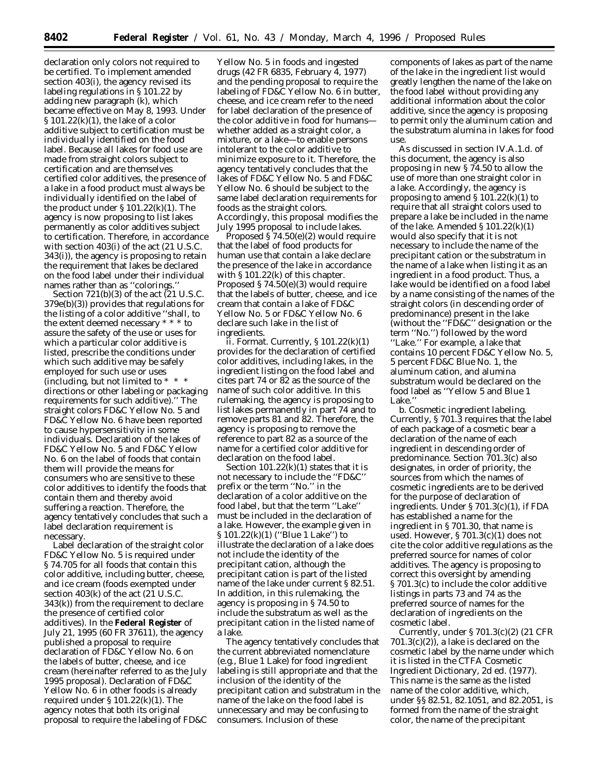declaration only colors not required to be certified. To implement amended section 403(i), the agency revised its labeling regulations in § 101.22 by adding new paragraph (k), which became effective on May 8, 1993. Under § 101.22(k)(1), the lake of a color additive subject to certification must be individually identified on the food label. Because all lakes for food use are made from straight colors subject to certification and are themselves certified color additives, the presence of a lake in a food product must always be individually identified on the label of the product under  $\S 101.22(k)(1)$ . The agency is now proposing to list lakes permanently as color additives subject to certification. Therefore, in accordance with section 403(i) of the act (21 U.S.C. 343(i)), the agency is proposing to retain the requirement that lakes be declared on the food label under their individual names rather than as ''colorings.''

Section  $721(b)(3)$  of the act  $(21 \text{ U.S.C.})$ 379e(b)(3)) provides that regulations for the listing of a color additive ''shall, to the extent deemed necessary \* \* \* to assure the safety of the use or uses for which a particular color additive is listed, prescribe the conditions under which such additive may be safely employed for such use or uses (including, but not limited to \* \* \*  $\hspace{0.1mm}^*$ directions or other labeling or packaging requirements for such additive).'' The straight colors FD&C Yellow No. 5 and FD&C Yellow No. 6 have been reported to cause hypersensitivity in some individuals. Declaration of the lakes of FD&C Yellow No. 5 and FD&C Yellow No. 6 on the label of foods that contain them will provide the means for consumers who are sensitive to these color additives to identify the foods that contain them and thereby avoid suffering a reaction. Therefore, the agency tentatively concludes that such a label declaration requirement is necessary.

Label declaration of the straight color FD&C Yellow No. 5 is required under § 74.705 for all foods that contain this color additive, including butter, cheese, and ice cream (foods exempted under section 403(k) of the act (21 U.S.C. 343(k)) from the requirement to declare the presence of certified color additives). In the **Federal Register** of July 21, 1995 (60 FR 37611), the agency published a proposal to require declaration of FD&C Yellow No. 6 on the labels of butter, cheese, and ice cream (hereinafter referred to as the July 1995 proposal). Declaration of FD&C Yellow No. 6 in other foods is already required under § 101.22(k)(1). The agency notes that both its original proposal to require the labeling of FD&C

Yellow No. 5 in foods and ingested drugs (42 FR 6835, February 4, 1977) and the pending proposal to require the labeling of FD&C Yellow No. 6 in butter, cheese, and ice cream refer to the need for label declaration of the presence of the color additive in food for humans whether added as a straight color, a mixture, or a lake—to enable persons intolerant to the color additive to minimize exposure to it. Therefore, the agency tentatively concludes that the lakes of FD&C Yellow No. 5 and FD&C Yellow No. 6 should be subject to the same label declaration requirements for foods as the straight colors. Accordingly, this proposal modifies the July 1995 proposal to include lakes.

Proposed § 74.50(e)(2) would require that the label of food products for human use that contain a lake declare the presence of the lake in accordance with § 101.22(k) of this chapter. Proposed § 74.50(e)(3) would require that the labels of butter, cheese, and ice cream that contain a lake of FD&C Yellow No. 5 or FD&C Yellow No. 6 declare such lake in the list of ingredients.

ii. *Format.* Currently, § 101.22(k)(1) provides for the declaration of certified color additives, including lakes, in the ingredient listing on the food label and cites part 74 or 82 as the source of the name of such color additive. In this rulemaking, the agency is proposing to list lakes permanently in part 74 and to remove parts 81 and 82. Therefore, the agency is proposing to remove the reference to part 82 as a source of the name for a certified color additive for declaration on the food label.

Section  $101.22(k)(1)$  states that it is not necessary to include the ''FD&C'' prefix or the term ''No.'' in the declaration of a color additive on the food label, but that the term ''Lake'' must be included in the declaration of a lake. However, the example given in § 101.22(k)(1) ("Blue 1 Lake") to illustrate the declaration of a lake does not include the identity of the precipitant cation, although the precipitant cation is part of the listed name of the lake under current § 82.51. In addition, in this rulemaking, the agency is proposing in § 74.50 to include the substratum as well as the precipitant cation in the listed name of a lake.

The agency tentatively concludes that the current abbreviated nomenclature (e.g., Blue 1 Lake) for food ingredient labeling is still appropriate and that the inclusion of the identity of the precipitant cation and substratum in the name of the lake on the food label is unnecessary and may be confusing to consumers. Inclusion of these

components of lakes as part of the name of the lake in the ingredient list would greatly lengthen the name of the lake on the food label without providing any additional information about the color additive, since the agency is proposing to permit only the aluminum cation and the substratum alumina in lakes for food use.

As discussed in section IV.A.1.d. of this document, the agency is also proposing in new § 74.50 to allow the use of more than one straight color in a lake. Accordingly, the agency is proposing to amend  $\S 101.22(k)(1)$  to require that all straight colors used to prepare a lake be included in the name of the lake. Amended  $\S 101.22(k)(1)$ would also specify that it is not necessary to include the name of the precipitant cation or the substratum in the name of a lake when listing it as an ingredient in a food product. Thus, a lake would be identified on a food label by a name consisting of the names of the straight colors (in descending order of predominance) present in the lake (without the ''FD&C'' designation or the term ''No.'') followed by the word ''Lake.'' For example, a lake that contains 10 percent FD&C Yellow No. 5, 5 percent FD&C Blue No. 1, the aluminum cation, and alumina substratum would be declared on the food label as ''Yellow 5 and Blue 1 Lake.'

b. *Cosmetic ingredient labeling.* Currently, § 701.3 requires that the label of each package of a cosmetic bear a declaration of the name of each ingredient in descending order of predominance. Section 701.3(c) also designates, in order of priority, the sources from which the names of cosmetic ingredients are to be derived for the purpose of declaration of ingredients. Under § 701.3(c)(1), if FDA has established a name for the ingredient in § 701.30, that name is used. However, § 701.3(c)(1) does not cite the color additive regulations as the preferred source for names of color additives. The agency is proposing to correct this oversight by amending § 701.3(c) to include the color additive listings in parts 73 and 74 as the preferred source of names for the declaration of ingredients on the cosmetic label.

Currently, under § 701.3(c)(2) (21 CFR 701.3(c)(2)), a lake is declared on the cosmetic label by the name under which it is listed in the CTFA Cosmetic Ingredient Dictionary, 2d ed. (1977). This name is the same as the listed name of the color additive, which, under §§ 82.51, 82.1051, and 82.2051, is formed from the name of the straight color, the name of the precipitant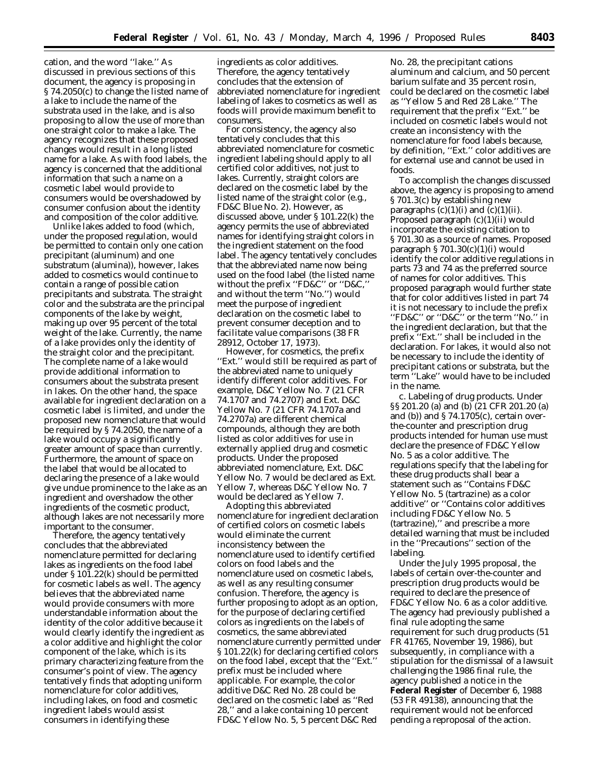cation, and the word ''lake.'' As discussed in previous sections of this document, the agency is proposing in § 74.2050(c) to change the listed name of a lake to include the name of the substrata used in the lake, and is also proposing to allow the use of more than one straight color to make a lake. The agency recognizes that these proposed changes would result in a long listed name for a lake. As with food labels, the agency is concerned that the additional information that such a name on a cosmetic label would provide to consumers would be overshadowed by consumer confusion about the identity and composition of the color additive.

Unlike lakes added to food (which, under the proposed regulation, would be permitted to contain only one cation precipitant (aluminum) and one substratum (alumina)), however, lakes added to cosmetics would continue to contain a range of possible cation precipitants and substrata. The straight color and the substrata are the principal components of the lake by weight, making up over 95 percent of the total weight of the lake. Currently, the name of a lake provides only the identity of the straight color and the precipitant. The complete name of a lake would provide additional information to consumers about the substrata present in lakes. On the other hand, the space available for ingredient declaration on a cosmetic label is limited, and under the proposed new nomenclature that would be required by § 74.2050, the name of a lake would occupy a significantly greater amount of space than currently. Furthermore, the amount of space on the label that would be allocated to declaring the presence of a lake would give undue prominence to the lake as an ingredient and overshadow the other ingredients of the cosmetic product, although lakes are not necessarily more important to the consumer.

Therefore, the agency tentatively concludes that the abbreviated nomenclature permitted for declaring lakes as ingredients on the food label under § 101.22(k) should be permitted for cosmetic labels as well. The agency believes that the abbreviated name would provide consumers with more understandable information about the identity of the color additive because it would clearly identify the ingredient as a color additive and highlight the color component of the lake, which is its primary characterizing feature from the consumer's point of view. The agency tentatively finds that adopting uniform nomenclature for color additives, including lakes, on food and cosmetic ingredient labels would assist consumers in identifying these

ingredients as color additives. Therefore, the agency tentatively concludes that the extension of abbreviated nomenclature for ingredient labeling of lakes to cosmetics as well as foods will provide maximum benefit to consumers.

For consistency, the agency also tentatively concludes that this abbreviated nomenclature for cosmetic ingredient labeling should apply to all certified color additives, not just to lakes. Currently, straight colors are declared on the cosmetic label by the listed name of the straight color (e.g., FD&C Blue No. 2). However, as discussed above, under § 101.22(k) the agency permits the use of abbreviated names for identifying straight colors in the ingredient statement on the food label. The agency tentatively concludes that the abbreviated name now being used on the food label (the listed name without the prefix ''FD&C'' or ''D&C,'' and without the term ''No.'') would meet the purpose of ingredient declaration on the cosmetic label to prevent consumer deception and to facilitate value comparisons (38 FR 28912, October 17, 1973).

However, for cosmetics, the prefix ''Ext.'' would still be required as part of the abbreviated name to uniquely identify different color additives. For example, D&C Yellow No. 7 (21 CFR 74.1707 and 74.2707) and Ext. D&C Yellow No. 7 (21 CFR 74.1707a and 74.2707a) are different chemical compounds, although they are both listed as color additives for use in externally applied drug and cosmetic products. Under the proposed abbreviated nomenclature, Ext. D&C Yellow No. 7 would be declared as Ext. Yellow 7, whereas D&C Yellow No. 7 would be declared as Yellow 7.

Adopting this abbreviated nomenclature for ingredient declaration of certified colors on cosmetic labels would eliminate the current inconsistency between the nomenclature used to identify certified colors on food labels and the nomenclature used on cosmetic labels, as well as any resulting consumer confusion. Therefore, the agency is further proposing to adopt as an option, for the purpose of declaring certified colors as ingredients on the labels of cosmetics, the same abbreviated nomenclature currently permitted under § 101.22(k) for declaring certified colors on the food label, except that the ''Ext.'' prefix must be included where applicable. For example, the color additive D&C Red No. 28 could be declared on the cosmetic label as ''Red 28,'' and a lake containing 10 percent FD&C Yellow No. 5, 5 percent D&C Red

No. 28, the precipitant cations aluminum and calcium, and 50 percent barium sulfate and 35 percent rosin, could be declared on the cosmetic label as ''Yellow 5 and Red 28 Lake.'' The requirement that the prefix ''Ext.'' be included on cosmetic labels would not create an inconsistency with the nomenclature for food labels because, by definition, ''Ext.'' color additives are for external use and cannot be used in foods.

To accomplish the changes discussed above, the agency is proposing to amend § 701.3(c) by establishing new paragraphs  $(c)(1)(i)$  and  $(c)(1)(ii)$ . Proposed paragraph (c)(1)(ii) would incorporate the existing citation to § 701.30 as a source of names. Proposed paragraph § 701.30(c)(1)(i) would identify the color additive regulations in parts 73 and 74 as the preferred source of names for color additives. This proposed paragraph would further state that for color additives listed in part 74 it is not necessary to include the prefix ''FD&C'' or ''D&C'' or the term ''No.'' in the ingredient declaration, but that the prefix ''Ext.'' shall be included in the declaration. For lakes, it would also not be necessary to include the identity of precipitant cations or substrata, but the term ''Lake'' would have to be included in the name.

c. *Labeling of drug products.* Under §§ 201.20 (a) and (b) (21 CFR 201.20 (a) and (b)) and  $\S 74.1705(c)$ , certain overthe-counter and prescription drug products intended for human use must declare the presence of FD&C Yellow No. 5 as a color additive. The regulations specify that the labeling for these drug products shall bear a statement such as ''Contains FD&C Yellow No. 5 (tartrazine) as a color additive'' or ''Contains color additives including FD&C Yellow No. 5 (tartrazine),'' and prescribe a more detailed warning that must be included in the ''Precautions'' section of the labeling.

Under the July 1995 proposal, the labels of certain over-the-counter and prescription drug products would be required to declare the presence of FD&C Yellow No. 6 as a color additive. The agency had previously published a final rule adopting the same requirement for such drug products (51 FR 41765, November 19, 1986), but subsequently, in compliance with a stipulation for the dismissal of a lawsuit challenging the 1986 final rule, the agency published a notice in the **Federal Register** of December 6, 1988 (53 FR 49138), announcing that the requirement would not be enforced pending a reproposal of the action.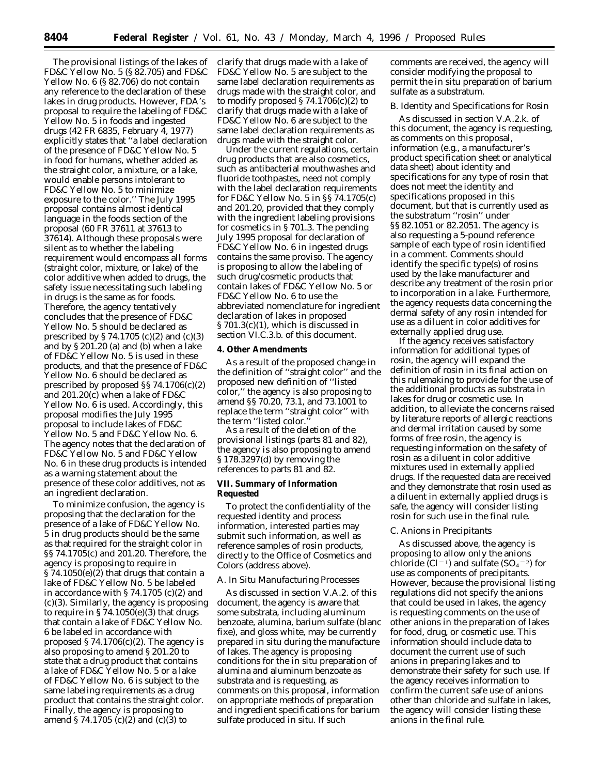The provisional listings of the lakes of FD&C Yellow No. 5 (§ 82.705) and FD&C Yellow No. 6 (§ 82.706) do not contain any reference to the declaration of these lakes in drug products. However, FDA's proposal to require the labeling of FD&C Yellow No. 5 in foods and ingested drugs (42 FR 6835, February 4, 1977) explicitly states that ''a label declaration of the presence of FD&C Yellow No. 5 in food for humans, whether added as the straight color, a mixture, or a lake, would enable persons intolerant to FD&C Yellow No. 5 to minimize exposure to the color.'' The July 1995 proposal contains almost identical language in the foods section of the proposal (60 FR 37611 at 37613 to 37614). Although these proposals were silent as to whether the labeling requirement would encompass all forms (straight color, mixture, or lake) of the color additive when added to drugs, the safety issue necessitating such labeling in drugs is the same as for foods. Therefore, the agency tentatively concludes that the presence of FD&C Yellow No. 5 should be declared as prescribed by § 74.1705 (c)(2) and (c)(3) and by § 201.20 (a) and (b) when a lake of FD&C Yellow No. 5 is used in these products, and that the presence of FD&C Yellow No. 6 should be declared as prescribed by proposed §§ 74.1706(c)(2) and 201.20(c) when a lake of FD&C Yellow No. 6 is used. Accordingly, this proposal modifies the July 1995 proposal to include lakes of FD&C Yellow No. 5 and FD&C Yellow No. 6. The agency notes that the declaration of FD&C Yellow No. 5 and FD&C Yellow No. 6 in these drug products is intended as a warning statement about the presence of these color additives, not as an ingredient declaration.

To minimize confusion, the agency is proposing that the declaration for the presence of a lake of FD&C Yellow No. 5 in drug products should be the same as that required for the straight color in §§ 74.1705(c) and 201.20. Therefore, the agency is proposing to require in § 74.1050(e)(2) that drugs that contain a lake of FD&C Yellow No. 5 be labeled in accordance with § 74.1705 (c)(2) and (c)(3). Similarly, the agency is proposing to require in  $\S 74.1050(e)(3)$  that drugs that contain a lake of FD&C Yellow No. 6 be labeled in accordance with proposed  $\S 74.1706(c)(2)$ . The agency is also proposing to amend § 201.20 to state that a drug product that contains a lake of FD&C Yellow No. 5 or a lake of FD&C Yellow No. 6 is subject to the same labeling requirements as a drug product that contains the straight color. Finally, the agency is proposing to amend § 74.1705 (c)(2) and (c)(3) to

clarify that drugs made with a lake of FD&C Yellow No. 5 are subject to the same label declaration requirements as drugs made with the straight color, and to modify proposed  $\S 74.1706(c)(2)$  to clarify that drugs made with a lake of FD&C Yellow No. 6 are subject to the same label declaration requirements as drugs made with the straight color.

Under the current regulations, certain drug products that are also cosmetics, such as antibacterial mouthwashes and fluoride toothpastes, need not comply with the label declaration requirements for FD&C Yellow No. 5 in §§ 74.1705(c) and 201.20, provided that they comply with the ingredient labeling provisions for cosmetics in § 701.3. The pending July 1995 proposal for declaration of FD&C Yellow No. 6 in ingested drugs contains the same proviso. The agency is proposing to allow the labeling of such drug/cosmetic products that contain lakes of FD&C Yellow No. 5 or FD&C Yellow No. 6 to use the abbreviated nomenclature for ingredient declaration of lakes in proposed § 701.3(c)(1), which is discussed in section VI.C.3.b. of this document.

#### **4. Other Amendments**

As a result of the proposed change in the definition of ''straight color'' and the proposed new definition of ''listed color,'' the agency is also proposing to amend §§ 70.20, 73.1, and 73.1001 to replace the term ''straight color'' with the term "listed color.

As a result of the deletion of the provisional listings (parts 81 and 82), the agency is also proposing to amend § 178.3297(d) by removing the references to parts 81 and 82.

### **VII. Summary of Information Requested**

To protect the confidentiality of the requested identity and process information, interested parties may submit such information, as well as reference samples of rosin products, directly to the Office of Cosmetics and Colors (address above).

#### *A. In Situ Manufacturing Processes*

As discussed in section V.A.2. of this document, the agency is aware that some substrata, including aluminum benzoate, alumina, barium sulfate (blanc fixe), and gloss white, may be currently prepared in situ during the manufacture of lakes. The agency is proposing conditions for the in situ preparation of alumina and aluminum benzoate as substrata and is requesting, as comments on this proposal, information on appropriate methods of preparation and ingredient specifications for barium sulfate produced in situ. If such

comments are received, the agency will consider modifying the proposal to permit the in situ preparation of barium sulfate as a substratum.

#### *B. Identity and Specifications for Rosin*

As discussed in section V.A.2.k. of this document, the agency is requesting, as comments on this proposal, information (e.g., a manufacturer's product specification sheet or analytical data sheet) about identity and specifications for any type of rosin that does not meet the identity and specifications proposed in this document, but that is currently used as the substratum ''rosin'' under §§ 82.1051 or 82.2051. The agency is also requesting a 5-pound reference sample of each type of rosin identified in a comment. Comments should identify the specific type(s) of rosins used by the lake manufacturer and describe any treatment of the rosin prior to incorporation in a lake. Furthermore, the agency requests data concerning the dermal safety of any rosin intended for use as a diluent in color additives for externally applied drug use.

If the agency receives satisfactory information for additional types of rosin, the agency will expand the definition of rosin in its final action on this rulemaking to provide for the use of the additional products as substrata in lakes for drug or cosmetic use. In addition, to alleviate the concerns raised by literature reports of allergic reactions and dermal irritation caused by some forms of free rosin, the agency is requesting information on the safety of rosin as a diluent in color additive mixtures used in externally applied drugs. If the requested data are received and they demonstrate that rosin used as a diluent in externally applied drugs is safe, the agency will consider listing rosin for such use in the final rule.

### *C. Anions in Precipitants*

As discussed above, the agency is proposing to allow only the anions chloride  $\zeta$ Cl<sup>-1</sup>) and sulfate (SO<sub>4</sub><sup>-2</sup>) for use as components of precipitants. However, because the provisional listing regulations did not specify the anions that could be used in lakes, the agency is requesting comments on the use of other anions in the preparation of lakes for food, drug, or cosmetic use. This information should include data to document the current use of such anions in preparing lakes and to demonstrate their safety for such use. If the agency receives information to confirm the current safe use of anions other than chloride and sulfate in lakes, the agency will consider listing these anions in the final rule.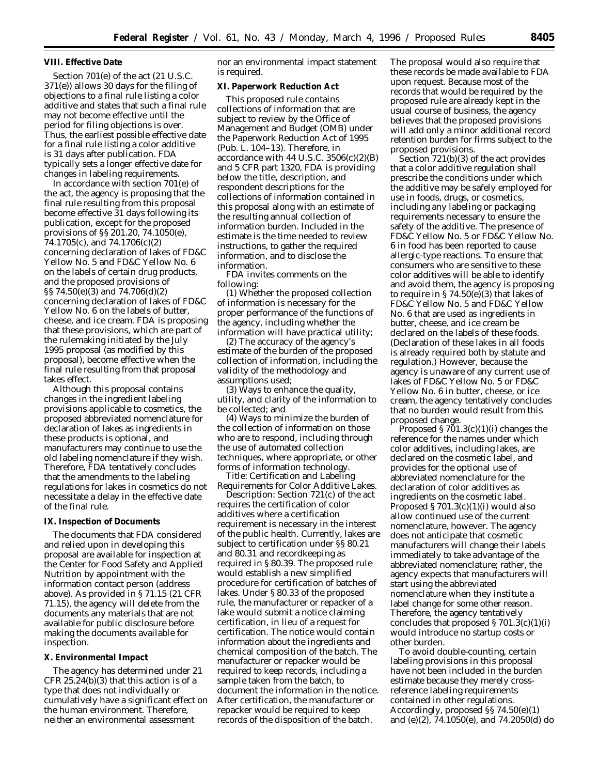#### **VIII. Effective Date**

Section 701(e) of the act (21 U.S.C. 371(e)) allows 30 days for the filing of objections to a final rule listing a color additive and states that such a final rule may not become effective until the period for filing objections is over. Thus, the earliest possible effective date for a final rule listing a color additive is 31 days after publication. FDA typically sets a longer effective date for changes in labeling requirements.

In accordance with section 701(e) of the act, the agency is proposing that the final rule resulting from this proposal become effective 31 days following its publication, except for the proposed provisions of §§ 201.20, 74.1050(e), 74.1705(c), and 74.1706(c)(2) concerning declaration of lakes of FD&C Yellow No. 5 and FD&C Yellow No. 6 on the labels of certain drug products, and the proposed provisions of §§ 74.50(e)(3) and 74.706(d)(2) concerning declaration of lakes of FD&C Yellow No. 6 on the labels of butter, cheese, and ice cream. FDA is proposing that these provisions, which are part of the rulemaking initiated by the July 1995 proposal (as modified by this proposal), become effective when the final rule resulting from that proposal takes effect.

Although this proposal contains changes in the ingredient labeling provisions applicable to cosmetics, the proposed abbreviated nomenclature for declaration of lakes as ingredients in these products is optional, and manufacturers may continue to use the old labeling nomenclature if they wish. Therefore, FDA tentatively concludes that the amendments to the labeling regulations for lakes in cosmetics do not necessitate a delay in the effective date of the final rule.

#### **IX. Inspection of Documents**

The documents that FDA considered and relied upon in developing this proposal are available for inspection at the Center for Food Safety and Applied Nutrition by appointment with the information contact person (address above). As provided in § 71.15 (21 CFR 71.15), the agency will delete from the documents any materials that are not available for public disclosure before making the documents available for inspection.

#### **X. Environmental Impact**

The agency has determined under 21 CFR 25.24(b)(3) that this action is of a type that does not individually or cumulatively have a significant effect on the human environment. Therefore, neither an environmental assessment

nor an environmental impact statement is required.

#### **XI. Paperwork Reduction Act**

This proposed rule contains collections of information that are subject to review by the Office of Management and Budget (OMB) under the Paperwork Reduction Act of 1995 (Pub. L. 104–13). Therefore, in accordance with  $44$  U.S.C.  $3506(c)(2)(B)$ and 5 CFR part 1320, FDA is providing below the title, description, and respondent descriptions for the collections of information contained in this proposal along with an estimate of the resulting annual collection of information burden. Included in the estimate is the time needed to review instructions, to gather the required information, and to disclose the information.

FDA invites comments on the following:

(1) Whether the proposed collection of information is necessary for the proper performance of the functions of the agency, including whether the information will have practical utility;

(2) The accuracy of the agency's estimate of the burden of the proposed collection of information, including the validity of the methodology and assumptions used;

(3) Ways to enhance the quality, utility, and clarity of the information to be collected; and

(4) Ways to minimize the burden of the collection of information on those who are to respond, including through the use of automated collection techniques, where appropriate, or other forms of information technology.

*Title:* Certification and Labeling Requirements for Color Additive Lakes.

*Description:* Section 721(c) of the act requires the certification of color additives where a certification requirement is necessary in the interest of the public health. Currently, lakes are subject to certification under §§ 80.21 and 80.31 and recordkeeping as required in § 80.39. The proposed rule would establish a new simplified procedure for certification of batches of lakes. Under § 80.33 of the proposed rule, the manufacturer or repacker of a lake would submit a notice claiming certification, in lieu of a request for certification. The notice would contain information about the ingredients and chemical composition of the batch. The manufacturer or repacker would be required to keep records, including a sample taken from the batch, to document the information in the notice. After certification, the manufacturer or repacker would be required to keep records of the disposition of the batch.

The proposal would also require that these records be made available to FDA upon request. Because most of the records that would be required by the proposed rule are already kept in the usual course of business, the agency believes that the proposed provisions will add only a minor additional record retention burden for firms subject to the proposed provisions.

Section 721(b)(3) of the act provides that a color additive regulation shall prescribe the conditions under which the additive may be safely employed for use in foods, drugs, or cosmetics, including any labeling or packaging requirements necessary to ensure the safety of the additive. The presence of FD&C Yellow No. 5 or FD&C Yellow No. 6 in food has been reported to cause allergic-type reactions. To ensure that consumers who are sensitive to these color additives will be able to identify and avoid them, the agency is proposing to require in  $\S 74.50(e)(3)$  that lakes of FD&C Yellow No. 5 and FD&C Yellow No. 6 that are used as ingredients in butter, cheese, and ice cream be declared on the labels of these foods. (Declaration of these lakes in all foods is already required both by statute and regulation.) However, because the agency is unaware of any current use of lakes of FD&C Yellow No. 5 or FD&C Yellow No. 6 in butter, cheese, or ice cream, the agency tentatively concludes that no burden would result from this proposed change.

Proposed  $\S 701.3(c)(1)(i)$  changes the reference for the names under which color additives, including lakes, are declared on the cosmetic label, and provides for the optional use of abbreviated nomenclature for the declaration of color additives as ingredients on the cosmetic label. Proposed  $\S 701.3(c)(1)(i)$  would also allow continued use of the current nomenclature, however. The agency does not anticipate that cosmetic manufacturers will change their labels immediately to take advantage of the abbreviated nomenclature; rather, the agency expects that manufacturers will start using the abbreviated nomenclature when they institute a label change for some other reason. Therefore, the agency tentatively concludes that proposed  $\S 701.3(c)(1)(i)$ would introduce no startup costs or other burden.

To avoid double-counting, certain labeling provisions in this proposal have not been included in the burden estimate because they merely crossreference labeling requirements contained in other regulations. Accordingly, proposed §§ 74.50(e)(1) and (e)(2), 74.1050(e), and 74.2050(d) do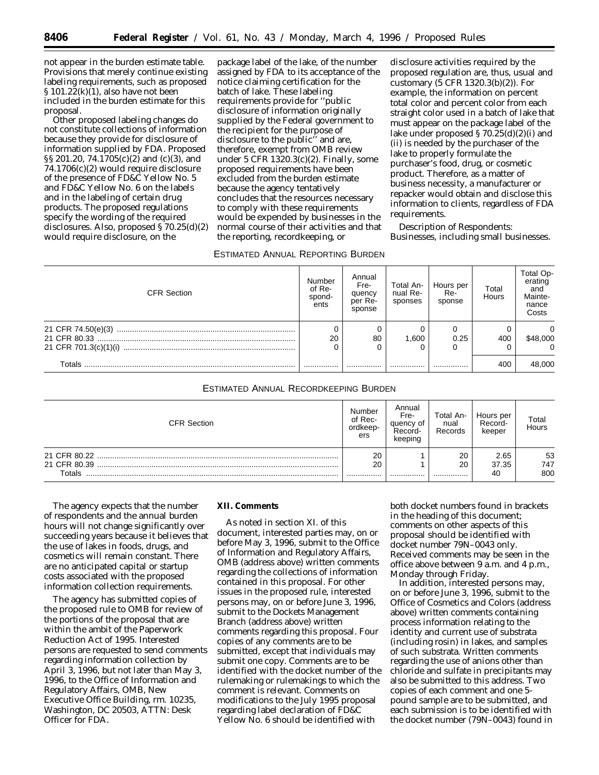not appear in the burden estimate table. Provisions that merely continue existing labeling requirements, such as proposed § 101.22(k)(1), also have not been included in the burden estimate for this proposal.

Other proposed labeling changes do not constitute collections of information because they provide for disclosure of information supplied by FDA. Proposed §§ 201.20, 74.1705(c)(2) and (c)(3), and 74.1706(c)(2) would require disclosure of the presence of FD&C Yellow No. 5 and FD&C Yellow No. 6 on the labels and in the labeling of certain drug products. The proposed regulations specify the wording of the required disclosures. Also, proposed § 70.25(d)(2) would require disclosure, on the

package label of the lake, of the number assigned by FDA to its acceptance of the notice claiming certification for the batch of lake. These labeling requirements provide for ''public disclosure of information originally supplied by the Federal government to the recipient for the purpose of disclosure to the public'' and are, therefore, exempt from OMB review under 5 CFR 1320.3(c)(2). Finally, some proposed requirements have been excluded from the burden estimate because the agency tentatively concludes that the resources necessary to comply with these requirements would be expended by businesses in the normal course of their activities and that the reporting, recordkeeping, or

ESTIMATED ANNUAL REPORTING BURDEN

disclosure activities required by the proposed regulation are, thus, usual and customary (5 CFR 1320.3(b)(2)). For example, the information on percent total color and percent color from each straight color used in a batch of lake that must appear on the package label of the lake under proposed § 70.25(d)(2)(i) and (ii) is needed by the purchaser of the lake to properly formulate the purchaser's food, drug, or cosmetic product. Therefore, as a matter of business necessity, a manufacturer or repacker would obtain and disclose this information to clients, regardless of FDA requirements.

*Description of Respondents*: Businesses, including small businesses.

| <b>CFR Section</b> | Number<br>of Re-<br>spond-<br>ents | Annual<br>Fre-<br>quency<br>per Re-<br>sponse | Total An-<br>nual Re-<br>sponses | Hours per<br>Re-<br>sponse | Total<br>Hours | Total Op-<br>erating<br>and<br>Mainte-<br>nance<br>Costs |
|--------------------|------------------------------------|-----------------------------------------------|----------------------------------|----------------------------|----------------|----------------------------------------------------------|
|                    | 20                                 | 80                                            | 1.600                            | 0.25                       | 400            | \$48,000                                                 |
| Totals             |                                    |                                               |                                  |                            | 400            | 48,000                                                   |

# ESTIMATED ANNUAL RECORDKEEPING BURDEN

| <b>CFR Section</b>           | Number<br>of Rec-<br>ordkeep-<br>ers | Annual<br>Fre-<br>quency of<br>Record-<br>keeping | Total An-<br>nual<br>Records | Hours per<br>Record-<br>keeper | Total<br>Hours |
|------------------------------|--------------------------------------|---------------------------------------------------|------------------------------|--------------------------------|----------------|
| 21 CFR 80.22<br>21 CFR 80.39 | 20                                   |                                                   | 20<br>20                     | 2.65                           | 53             |
| Totals                       | 20<br>                               |                                                   |                              | 37.35<br>40                    | 747<br>800     |

The agency expects that the number of respondents and the annual burden hours will not change significantly over succeeding years because it believes that the use of lakes in foods, drugs, and cosmetics will remain constant. There are no anticipated capital or startup costs associated with the proposed information collection requirements.

The agency has submitted copies of the proposed rule to OMB for review of the portions of the proposal that are within the ambit of the Paperwork Reduction Act of 1995. Interested persons are requested to send comments regarding information collection by April 3, 1996, but not later than May 3, 1996, to the Office of Information and Regulatory Affairs, OMB, New Executive Office Building, rm. 10235, Washington, DC 20503, ATTN: Desk Officer for FDA.

### **XII. Comments**

As noted in section XI. of this document, interested parties may, on or before May 3, 1996, submit to the Office of Information and Regulatory Affairs, OMB (address above) written comments regarding the collections of information contained in this proposal. For other issues in the proposed rule, interested persons may, on or before June 3, 1996, submit to the Dockets Management Branch (address above) written comments regarding this proposal. Four copies of any comments are to be submitted, except that individuals may submit one copy. Comments are to be identified with the docket number of the rulemaking or rulemakings to which the comment is relevant. Comments on modifications to the July 1995 proposal regarding label declaration of FD&C Yellow No. 6 should be identified with

both docket numbers found in brackets in the heading of this document; comments on other aspects of this proposal should be identified with docket number 79N–0043 only. Received comments may be seen in the office above between 9 a.m. and 4 p.m., Monday through Friday.

In addition, interested persons may, on or before June 3, 1996, submit to the Office of Cosmetics and Colors (address above) written comments containing process information relating to the identity and current use of substrata (including rosin) in lakes, and samples of such substrata. Written comments regarding the use of anions other than chloride and sulfate in precipitants may also be submitted to this address. Two copies of each comment and one 5 pound sample are to be submitted, and each submission is to be identified with the docket number (79N–0043) found in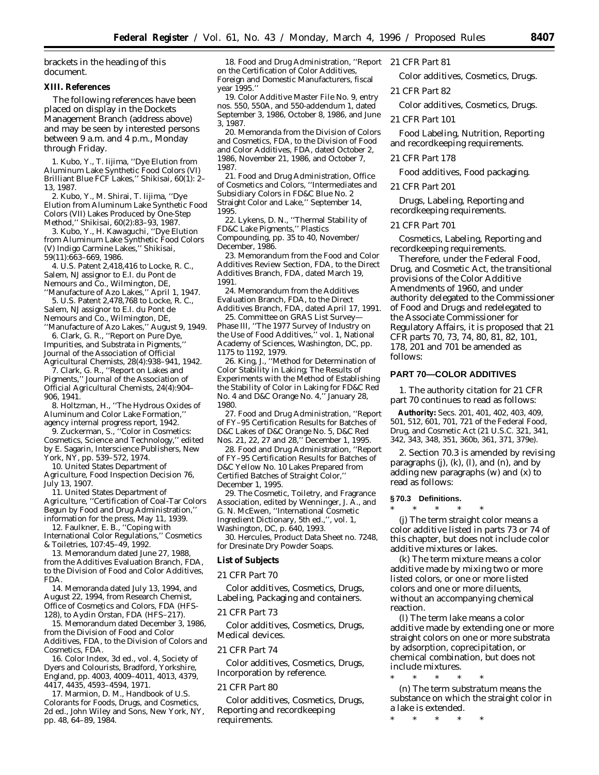brackets in the heading of this document.

### **XIII. References**

The following references have been placed on display in the Dockets Management Branch (address above) and may be seen by interested persons between 9 a.m. and 4 p.m., Monday through Friday.

1. Kubo, Y., T. Iijima, ''Dye Elution from Aluminum Lake Synthetic Food Colors (VI) Brilliant Blue FCF Lakes,'' *Shikisai*, 60(1): 2– 13, 1987.

2. Kubo, Y., M. Shirai, T. Iijima, ''Dye Elution from Aluminum Lake Synthetic Food Colors (VII) Lakes Produced by One-Step Method,'' *Shikisai*, 60(2):83–93, 1987.

3. Kubo, Y., H. Kawaguchi, ''Dye Elution from Aluminum Lake Synthetic Food Colors (V) Indigo Carmine Lakes,'' *Shikisai*, 59(11):663–669, 1986.

4. U.S. Patent 2,418,416 to Locke, R. C., Salem, NJ assignor to E.I. du Pont de Nemours and Co., Wilmington, DE, ''Manufacture of Azo Lakes,'' April 1, 1947.

5. U.S. Patent 2,478,768 to Locke, R. C., Salem, NJ assignor to E.I. du Pont de Nemours and Co., Wilmington, DE,

''Manufacture of Azo Lakes,'' August 9, 1949. 6. Clark, G. R., ''Report on Pure Dye, Impurities, and Substrata in Pigments,'' *Journal of the Association of Official Agricultural Chemists*, 28(4):938–941, 1942.

7. Clark, G. R., ''Report on Lakes and Pigments,'' *Journal of the Association of Official Agricultural Chemists*, 24(4):904– 906, 1941.

8. Holtzman, H., ''The Hydrous Oxides of Aluminum and Color Lake Formation,'' agency internal progress report, 1942.

9. Zuckerman, S., ''Color in Cosmetics: *Cosmetics, Science and Technology*,'' edited by E. Sagarin, Interscience Publishers, New York, NY, pp. 539–572, 1974.

10. United States Department of Agriculture, Food Inspection Decision 76, July 13, 1907.

11. United States Department of Agriculture, ''Certification of Coal-Tar Colors Begun by Food and Drug Administration,'' information for the press, May 11, 1939.

12. Faulkner, E. B., ''Coping with International Color Regulations,'' *Cosmetics & Toiletries*, 107:45–49, 1992.

13. Memorandum dated June 27, 1988, from the Additives Evaluation Branch, FDA, to the Division of Food and Color Additives, FDA.

14. Memoranda dated July 13, 1994, and August 22, 1994, from Research Chemist, Office of Cosmetics and Colors, FDA (HFS-128), to Aydin Örstan, FDA (HFS-217).

15. Memorandum dated December 3, 1986, from the Division of Food and Color Additives, FDA, to the Division of Colors and Cosmetics, FDA.

16. *Color Index*, 3d ed., vol. 4, Society of Dyers and Colourists, Bradford, Yorkshire, England, pp. 4003, 4009–4011, 4013, 4379, 4417, 4435, 4593–4594, 1971.

17. Marmion, D. M., *Handbook of U.S. Colorants for Foods, Drugs, and Cosmetics*, 2d ed., John Wiley and Sons, New York, NY, pp. 48, 64–89, 1984.

18. Food and Drug Administration, ''Report on the Certification of Color Additives, Foreign and Domestic Manufacturers, fiscal year 1995.''

19. Color Additive Master File No. 9, entry nos. 550, 550A, and 550-addendum 1, dated September 3, 1986, October 8, 1986, and June 3, 1987.

20. Memoranda from the Division of Colors and Cosmetics, FDA, to the Division of Food and Color Additives, FDA, dated October 2, 1986, November 21, 1986, and October 7, 1987.

21. Food and Drug Administration, Office of Cosmetics and Colors, ''Intermediates and Subsidiary Colors in FD&C Blue No. 2 Straight Color and Lake,'' September 14, 1995.

22. Lykens, D. N., ''Thermal Stability of FD&C Lake Pigments,'' *Plastics Compounding*, pp. 35 to 40, November/ December, 1986.

23. Memorandum from the Food and Color Additives Review Section, FDA, to the Direct Additives Branch, FDA, dated March 19, 1991.

24. Memorandum from the Additives Evaluation Branch, FDA, to the Direct Additives Branch, FDA, dated April 17, 1991.

25. Committee on GRAS List Survey— Phase III, ''The 1977 Survey of Industry on the Use of Food Additives,'' vol. 1, National Academy of Sciences, Washington, DC, pp. 1175 to 1192, 1979.

26. King, J., ''Method for Determination of Color Stability in Laking; The Results of Experiments with the Method of Establishing the Stability of Color in Laking for FD&C Red No. 4 and D&C Orange No. 4,'' January 28, 1980.

27. Food and Drug Administration, ''Report of FY–95 Certification Results for Batches of D&C Lakes of D&C Orange No. 5, D&C Red Nos. 21, 22, 27 and 28,'' December 1, 1995.

28. Food and Drug Administration, ''Report of FY–95 Certification Results for Batches of D&C Yellow No. 10 Lakes Prepared from Certified Batches of Straight Color,'' December 1, 1995.

29. The Cosmetic, Toiletry, and Fragrance Association, edited by Wenninger, J. A., and G. N. McEwen, ''International Cosmetic Ingredient Dictionary, 5th ed.,'', vol. 1, Washington, DC, p. 640, 1993.

30. Hercules, Product Data Sheet no. 7248, for Dresinate Dry Powder Soaps.

### **List of Subjects**

#### *21 CFR Part 70*

Color additives, Cosmetics, Drugs, Labeling, Packaging and containers.

### *21 CFR Part 73*

Color additives, Cosmetics, Drugs, Medical devices.

### *21 CFR Part 74*

Color additives, Cosmetics, Drugs, Incorporation by reference.

### *21 CFR Part 80*

Color additives, Cosmetics, Drugs, Reporting and recordkeeping requirements.

# *21 CFR Part 81*

Color additives, Cosmetics, Drugs.

*21 CFR Part 82*

Color additives, Cosmetics, Drugs.

### *21 CFR Part 101*

Food Labeling, Nutrition, Reporting and recordkeeping requirements.

#### *21 CFR Part 178*

Food additives, Food packaging.

*21 CFR Part 201*

Drugs, Labeling, Reporting and recordkeeping requirements.

### *21 CFR Part 701*

Cosmetics, Labeling, Reporting and recordkeeping requirements.

Therefore, under the Federal Food, Drug, and Cosmetic Act, the transitional provisions of the Color Additive Amendments of 1960, and under authority delegated to the Commissioner of Food and Drugs and redelegated to the Associate Commissioner for Regulatory Affairs, it is proposed that 21 CFR parts 70, 73, 74, 80, 81, 82, 101, 178, 201 and 701 be amended as follows:

### **PART 70—COLOR ADDITIVES**

1. The authority citation for 21 CFR part 70 continues to read as follows:

**Authority:** Secs. 201, 401, 402, 403, 409, 501, 512, 601, 701, 721 of the Federal Food, Drug, and Cosmetic Act (21 U.S.C. 321, 341, 342, 343, 348, 351, 360b, 361, 371, 379e).

2. Section 70.3 is amended by revising paragraphs (j), (k), (l), and (n), and by adding new paragraphs (w) and (x) to read as follows:

#### **§ 70.3 Definitions.**

\* \* \* \* \*

(j) The term *straight color* means a color additive listed in parts 73 or 74 of this chapter, but does not include color additive mixtures or lakes.

(k) The term *mixture* means a color additive made by mixing two or more listed colors, or one or more listed colors and one or more diluents, without an accompanying chemical reaction.

(l) The term *lake* means a color additive made by extending one or more straight colors on one or more substrata by adsorption, coprecipitation, or chemical combination, but does not include mixtures.

\* \* \* \* \*

(n) The term *substratum* means the substance on which the straight color in a lake is extended.

\* \* \* \* \*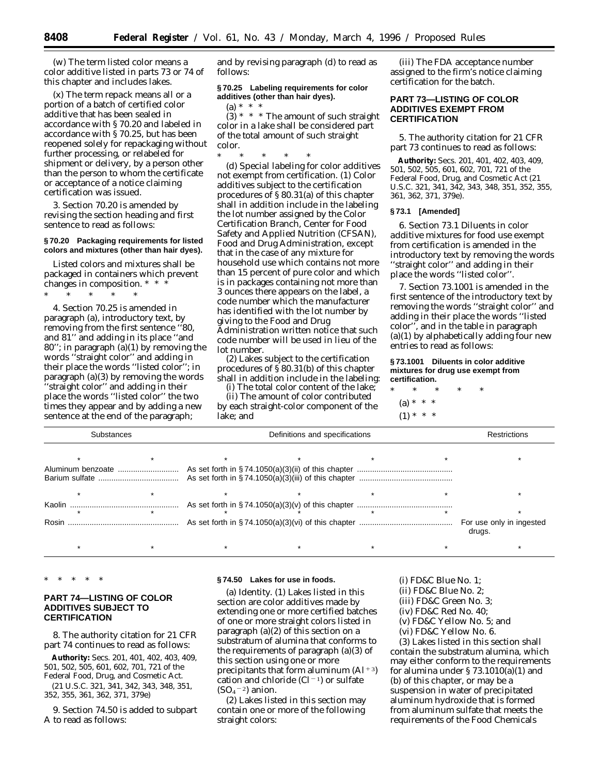(w) The term *listed color* means a color additive listed in parts 73 or 74 of this chapter and includes lakes.

(x) The term *repack* means all or a portion of a batch of certified color additive that has been sealed in accordance with § 70.20 and labeled in accordance with § 70.25, but has been reopened solely for repackaging without further processing, or relabeled for shipment or delivery, by a person other than the person to whom the certificate or acceptance of a notice claiming certification was issued.

3. Section 70.20 is amended by revising the section heading and first sentence to read as follows:

### **§ 70.20 Packaging requirements for listed colors and mixtures (other than hair dyes).**

Listed colors and mixtures shall be packaged in containers which prevent changes in composition. \* \* \*

\* \* \* \* \*

4. Section 70.25 is amended in paragraph (a), introductory text, by removing from the first sentence ''80, and 81'' and adding in its place ''and 80''; in paragraph (a)(1) by removing the words ''straight color'' and adding in their place the words ''listed color''; in paragraph (a)(3) by removing the words ''straight color'' and adding in their place the words ''listed color'' the two times they appear and by adding a new sentence at the end of the paragraph;

and by revising paragraph (d) to read as follows:

## **§ 70.25 Labeling requirements for color additives (other than hair dyes).**

(a)  $* * * *$  $(3)$  \* \* \* The amount of such straight color in a lake shall be considered part of the total amount of such straight color.

\* \* \* \* \* (d) *Special labeling for color additives not exempt from certification.* (1) Color additives subject to the certification procedures of § 80.31(a) of this chapter shall in addition include in the labeling the lot number assigned by the Color Certification Branch, Center for Food Safety and Applied Nutrition (CFSAN), Food and Drug Administration, except that in the case of any mixture for household use which contains not more than 15 percent of pure color and which is in packages containing not more than 3 ounces there appears on the label, a code number which the manufacturer has identified with the lot number by giving to the Food and Drug Administration written notice that such code number will be used in lieu of the lot number.

(2) Lakes subject to the certification procedures of § 80.31(b) of this chapter shall in addition include in the labeling:

(i) The total color content of the lake;

(ii) The amount of color contributed by each straight-color component of the lake; and

(iii) The FDA acceptance number assigned to the firm's notice claiming certification for the batch.

### **PART 73—LISTING OF COLOR ADDITIVES EXEMPT FROM CERTIFICATION**

5. The authority citation for 21 CFR part 73 continues to read as follows:

**Authority:** Secs. 201, 401, 402, 403, 409, 501, 502, 505, 601, 602, 701, 721 of the Federal Food, Drug, and Cosmetic Act (21 U.S.C. 321, 341, 342, 343, 348, 351, 352, 355, 361, 362, 371, 379e).

### **§ 73.1 [Amended]**

6. Section 73.1 *Diluents in color additive mixtures for food use exempt from certification* is amended in the introductory text by removing the words ''straight color'' and adding in their place the words ''listed color''.

7. Section 73.1001 is amended in the first sentence of the introductory text by removing the words ''straight color'' and adding in their place the words ''listed color'', and in the table in paragraph (a)(1) by alphabetically adding four new entries to read as follows:

**§ 73.1001 Diluents in color additive mixtures for drug use exempt from certification.**

\* \* \* \* \* (a) \* \* \*

 $(1) * * * *$ 

| <b>Substances</b> |  | Restrictions |                                    |  |
|-------------------|--|--------------|------------------------------------|--|
|                   |  |              |                                    |  |
|                   |  |              |                                    |  |
|                   |  |              |                                    |  |
|                   |  |              |                                    |  |
|                   |  |              |                                    |  |
|                   |  |              |                                    |  |
| Rosin             |  |              | For use only in ingested<br>drugs. |  |
|                   |  |              |                                    |  |

\* \* \* \* \*

## **PART 74—LISTING OF COLOR ADDITIVES SUBJECT TO CERTIFICATION**

8. The authority citation for 21 CFR part 74 continues to read as follows:

**Authority:** Secs. 201, 401, 402, 403, 409, 501, 502, 505, 601, 602, 701, 721 of the Federal Food, Drug, and Cosmetic Act.

(21 U.S.C. 321, 341, 342, 343, 348, 351, 352, 355, 361, 362, 371, 379e)

9. Section 74.50 is added to subpart A to read as follows:

### **§ 74.50 Lakes for use in foods.**

(a) *Identity.* (1) Lakes listed in this section are color additives made by extending one or more certified batches of one or more straight colors listed in paragraph (a)(2) of this section on a substratum of alumina that conforms to the requirements of paragraph (a)(3) of this section using one or more precipitants that form aluminum  $(A1+3)$ cation and chloride  $(Cl<sup>-1</sup>)$  or sulfate  $(SO<sub>4</sub><sup>-2</sup>)$  anion.

(2) Lakes listed in this section may contain one or more of the following straight colors:

(i) FD&C Blue No. 1;

- (ii) FD&C Blue No. 2;
- (iii) FD&C Green No. 3;
- (iv) FD&C Red No. 40;
- (v) FD&C Yellow No. 5; and
- (vi) FD&C Yellow No. 6.

(3) Lakes listed in this section shall contain the substratum alumina, which may either conform to the requirements for alumina under § 73.1010(a)(1) and (b) of this chapter, or may be a suspension in water of precipitated aluminum hydroxide that is formed from aluminum sulfate that meets the requirements of the Food Chemicals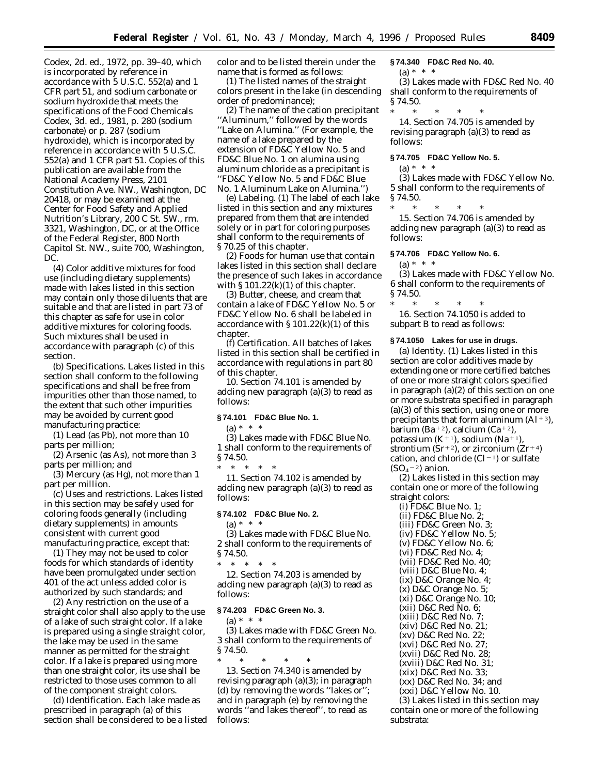Codex, 2d. ed., 1972, pp. 39–40, which is incorporated by reference in accordance with 5 U.S.C. 552(a) and 1 CFR part 51, and sodium carbonate or sodium hydroxide that meets the specifications of the Food Chemicals Codex, 3d. ed., 1981, p. 280 (sodium carbonate) or p. 287 (sodium hydroxide), which is incorporated by reference in accordance with 5 U.S.C. 552(a) and 1 CFR part 51. Copies of this publication are available from the National Academy Press, 2101 Constitution Ave. NW., Washington, DC 20418, or may be examined at the Center for Food Safety and Applied Nutrition's Library, 200 C St. SW., rm. 3321, Washington, DC, or at the Office of the Federal Register, 800 North Capitol St. NW., suite 700, Washington, DC.

(4) Color additive mixtures for food use (including dietary supplements) made with lakes listed in this section may contain only those diluents that are suitable and that are listed in part 73 of this chapter as safe for use in color additive mixtures for coloring foods. Such mixtures shall be used in accordance with paragraph (c) of this section.

(b) *Specifications.* Lakes listed in this section shall conform to the following specifications and shall be free from impurities other than those named, to the extent that such other impurities may be avoided by current good manufacturing practice:

(1) Lead (as Pb), not more than 10 parts per million;

(2) Arsenic (as As), not more than 3 parts per million; and

(3) Mercury (as Hg), not more than 1 part per million.

(c) *Uses and restrictions.* Lakes listed in this section may be safely used for coloring foods generally (including dietary supplements) in amounts consistent with current good manufacturing practice, except that:

(1) They may not be used to color foods for which standards of identity have been promulgated under section 401 of the act unless added color is authorized by such standards; and

(2) Any restriction on the use of a straight color shall also apply to the use of a lake of such straight color. If a lake is prepared using a single straight color, the lake may be used in the same manner as permitted for the straight color. If a lake is prepared using more than one straight color, its use shall be restricted to those uses common to all of the component straight colors.

(d) *Identification.* Each lake made as prescribed in paragraph (a) of this section shall be considered to be a listed color and to be listed therein under the name that is formed as follows:

(1) The listed names of the straight colors present in the lake (in descending order of predominance);

(2) The name of the cation precipitant ''Aluminum,'' followed by the words ''Lake on Alumina.'' (For example, the name of a lake prepared by the extension of FD&C Yellow No. 5 and FD&C Blue No. 1 on alumina using aluminum chloride as a precipitant is ''FD&C Yellow No. 5 and FD&C Blue No. 1 Aluminum Lake on Alumina.'')

(e) *Labeling.* (1) The label of each lake listed in this section and any mixtures prepared from them that are intended solely or in part for coloring purposes shall conform to the requirements of § 70.25 of this chapter.

(2) Foods for human use that contain lakes listed in this section shall declare the presence of such lakes in accordance with  $\S 101.22(k)(1)$  of this chapter.

(3) Butter, cheese, and cream that contain a lake of FD&C Yellow No. 5 or FD&C Yellow No. 6 shall be labeled in accordance with § 101.22(k)(1) of this chapter.

(f) *Certification.* All batches of lakes listed in this section shall be certified in accordance with regulations in part 80 of this chapter.

10. Section 74.101 is amended by adding new paragraph (a)(3) to read as follows:

### **§ 74.101 FD&C Blue No. 1.**

 $(a) * * * *$ 

(3) Lakes made with FD&C Blue No. 1 shall conform to the requirements of § 74.50.

\* \* \* \* \* 11. Section 74.102 is amended by adding new paragraph (a)(3) to read as follows:

### **§ 74.102 FD&C Blue No. 2.**

 $(a) * * * *$ 

(3) Lakes made with FD&C Blue No. 2 shall conform to the requirements of § 74.50. \* \* \* \* \*

12. Section 74.203 is amended by adding new paragraph (a)(3) to read as follows:

### **§ 74.203 FD&C Green No. 3.**

(a) \* \* \*

(3) Lakes made with FD&C Green No. 3 shall conform to the requirements of § 74.50.

\* \* \* \* \* 13. Section 74.340 is amended by revising paragraph (a)(3); in paragraph (d) by removing the words ''lakes or''; and in paragraph (e) by removing the words ''and lakes thereof'', to read as follows:

#### **§ 74.340 FD&C Red No. 40.**

 $(a) * * * *$ 

(3) Lakes made with FD&C Red No. 40 shall conform to the requirements of § 74.50.

\* \* \* \* \*

14. Section 74.705 is amended by revising paragraph (a)(3) to read as follows:

### **§ 74.705 FD&C Yellow No. 5.**

 $(a) * * * *$ 

(3) Lakes made with FD&C Yellow No. 5 shall conform to the requirements of § 74.50.

\* \* \* \* \*

15. Section 74.706 is amended by adding new paragraph (a)(3) to read as follows:

### **§ 74.706 FD&C Yellow No. 6.**

 $(a) * * * *$ 

(3) Lakes made with FD&C Yellow No. 6 shall conform to the requirements of § 74.50.

\* \* \* \* \* 16. Section 74.1050 is added to subpart B to read as follows:

#### **§ 74.1050 Lakes for use in drugs.**

(a) *Identity.* (1) Lakes listed in this section are color additives made by extending one or more certified batches of one or more straight colors specified in paragraph (a)(2) of this section on one or more substrata specified in paragraph  $(a)(3)$  of this section, using one or more precipitants that form aluminum  $(A1+3)$ , barium (Ba<sup>+2</sup>), calcium (Ca<sup>+2</sup>), potassium (K<sup>+1</sup>), sodium (Na<sup>+1</sup>), strontium (Sr<sup>+2</sup>), or zirconium (Zr<sup>+4</sup>) cation, and chloride  $(Cl<sup>-1</sup>)$  or sulfate  $(SO<sub>4</sub><sup>-2</sup>)$  anion.

(2) Lakes listed in this section may contain one or more of the following straight colors:

(i) FD&C Blue No. 1; (ii) FD&C Blue No. 2; (iii) FD&C Green No. 3; (iv) FD&C Yellow No. 5; (v) FD&C Yellow No. 6; (vi) FD&C Red No. 4; (vii) FD&C Red No. 40; (viii) D&C Blue No. 4; (ix) D&C Orange No. 4; (x) D&C Orange No. 5; (xi) D&C Orange No. 10; (xii) D&C Red No. 6; (xiii) D&C Red No. 7; (xiv) D&C Red No. 21; (xv) D&C Red No. 22; (xvi) D&C Red No. 27; (xvii) D&C Red No. 28; (xviii) D&C Red No. 31; (xix) D&C Red No. 33; (xx) D&C Red No. 34; and (xxi) D&C Yellow No. 10.

(3) Lakes listed in this section may contain one or more of the following substrata: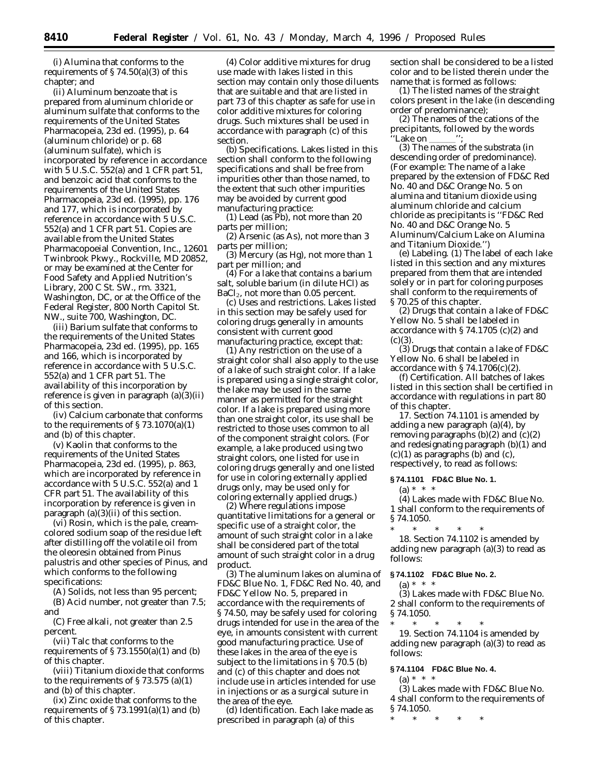(i) Alumina that conforms to the requirements of  $\S 74.50(a)(3)$  of this chapter; and

(ii) Aluminum benzoate that is prepared from aluminum chloride or aluminum sulfate that conforms to the requirements of the United States Pharmacopeia, 23d ed. (1995), p. 64 (aluminum chloride) or p. 68 (aluminum sulfate), which is incorporated by reference in accordance with 5 U.S.C. 552(a) and 1 CFR part 51, and benzoic acid that conforms to the requirements of the United States Pharmacopeia, 23d ed. (1995), pp. 176 and 177, which is incorporated by reference in accordance with 5 U.S.C. 552(a) and 1 CFR part 51. Copies are available from the United States Pharmacopoeial Convention, Inc., 12601 Twinbrook Pkwy., Rockville, MD 20852, or may be examined at the Center for Food Safety and Applied Nutrition's Library, 200 C St. SW., rm. 3321, Washington, DC, or at the Office of the Federal Register, 800 North Capitol St. NW., suite 700, Washington, DC.

(iii) Barium sulfate that conforms to the requirements of the United States Pharmacopeia, 23d ed. (1995), pp. 165 and 166, which is incorporated by reference in accordance with 5 U.S.C. 552(a) and 1 CFR part 51. The availability of this incorporation by reference is given in paragraph (a)(3)(ii) of this section.

(iv) Calcium carbonate that conforms to the requirements of  $\S 73.1070(a)(1)$ and (b) of this chapter.

(v) Kaolin that conforms to the requirements of the United States Pharmacopeia, 23d ed. (1995), p. 863, which are incorporated by reference in accordance with 5 U.S.C. 552(a) and 1 CFR part 51. The availability of this incorporation by reference is given in paragraph (a)(3)(ii) of this section.

(vi) Rosin, which is the pale, creamcolored sodium soap of the residue left after distilling off the volatile oil from the oleoresin obtained from *Pinus palustris* and other species of *Pinus,* and which conforms to the following specifications:

(A) Solids, not less than 95 percent;

(B) Acid number, not greater than 7.5; and

(C) Free alkali, not greater than 2.5 percent.

(vii) Talc that conforms to the requirements of  $\S 73.1550(a)(1)$  and (b) of this chapter.

(viii) Titanium dioxide that conforms to the requirements of  $\S 73.575$  (a)(1) and (b) of this chapter.

(ix) Zinc oxide that conforms to the requirements of  $\S 73.1991(a)(1)$  and (b) of this chapter.

(4) Color additive mixtures for drug use made with lakes listed in this section may contain only those diluents that are suitable and that are listed in part 73 of this chapter as safe for use in color additive mixtures for coloring drugs. Such mixtures shall be used in accordance with paragraph (c) of this section.

(b) *Specifications.* Lakes listed in this section shall conform to the following specifications and shall be free from impurities other than those named, to the extent that such other impurities may be avoided by current good manufacturing practice:

(1) Lead (as Pb), not more than 20 parts per million;

(2) Arsenic (as As), not more than 3 parts per million;

(3) Mercury (as Hg), not more than 1 part per million; and

(4) For a lake that contains a barium salt, soluble barium (in dilute HCl) as  $BaCl<sub>2</sub>$ , not more than 0.05 percent.

(c) *Uses and restrictions.* Lakes listed in this section may be safely used for coloring drugs generally in amounts consistent with current good manufacturing practice, except that:

(1) Any restriction on the use of a straight color shall also apply to the use of a lake of such straight color. If a lake is prepared using a single straight color, the lake may be used in the same manner as permitted for the straight color. If a lake is prepared using more than one straight color, its use shall be restricted to those uses common to all of the component straight colors. (For example, a lake produced using two straight colors, one listed for use in coloring drugs generally and one listed for use in coloring externally applied drugs only, may be used only for coloring externally applied drugs.)

(2) Where regulations impose quantitative limitations for a general or specific use of a straight color, the amount of such straight color in a lake shall be considered part of the total amount of such straight color in a drug product.

(3) The aluminum lakes on alumina of FD&C Blue No. 1, FD&C Red No. 40, and FD&C Yellow No. 5, prepared in accordance with the requirements of § 74.50, may be safely used for coloring drugs intended for use in the area of the eye, in amounts consistent with current good manufacturing practice. Use of these lakes in the area of the eye is subject to the limitations in §70.5 (b) and (c) of this chapter and does not include use in articles intended for use in injections or as a surgical suture in the area of the eye.

(d) *Identification.* Each lake made as prescribed in paragraph (a) of this

section shall be considered to be a listed color and to be listed therein under the name that is formed as follows:

(1) The listed names of the straight colors present in the lake (in descending order of predominance);

(2) The names of the cations of the precipitants, followed by the words 'Lake on

(3) The names of the substrata (in descending order of predominance). (For example: The name of a lake prepared by the extension of FD&C Red No. 40 and D&C Orange No. 5 on alumina and titanium dioxide using aluminum chloride and calcium chloride as precipitants is ''FD&C Red No. 40 and D&C Orange No. 5 Aluminum/Calcium Lake on Alumina and Titanium Dioxide.'')

(e) *Labeling.* (1) The label of each lake listed in this section and any mixtures prepared from them that are intended solely or in part for coloring purposes shall conform to the requirements of § 70.25 of this chapter.

(2) Drugs that contain a lake of FD&C Yellow No. 5 shall be labeled in accordance with § 74.1705 (c)(2) and  $(c)(3)$ .

(3) Drugs that contain a lake of FD&C Yellow No. 6 shall be labeled in accordance with  $\S 74.1706(c)(2)$ .

(f) *Certification.* All batches of lakes listed in this section shall be certified in accordance with regulations in part 80 of this chapter.

17. Section 74.1101 is amended by adding a new paragraph (a)(4), by removing paragraphs  $(b)(2)$  and  $(c)(2)$ and redesignating paragraph (b)(1) and  $(c)(1)$  as paragraphs (b) and  $(c)$ , respectively, to read as follows:

## **§ 74.1101 FD&C Blue No. 1.**

# $(a) * * * *$

(4) Lakes made with FD&C Blue No. 1 shall conform to the requirements of § 74.1050.

\* \* \* \* \* 18. Section 74.1102 is amended by

adding new paragraph (a)(3) to read as follows:

# **§ 74.1102 FD&C Blue No. 2.**

 $(a) * * * *$ 

(3) Lakes made with FD&C Blue No. 2 shall conform to the requirements of § 74.1050.

\* \* \* \* \* 19. Section 74.1104 is amended by adding new paragraph (a)(3) to read as follows:

### **§ 74.1104 FD&C Blue No. 4.**

(a) \* \* \*

(3) Lakes made with FD&C Blue No. 4 shall conform to the requirements of § 74.1050.

\* \* \* \* \*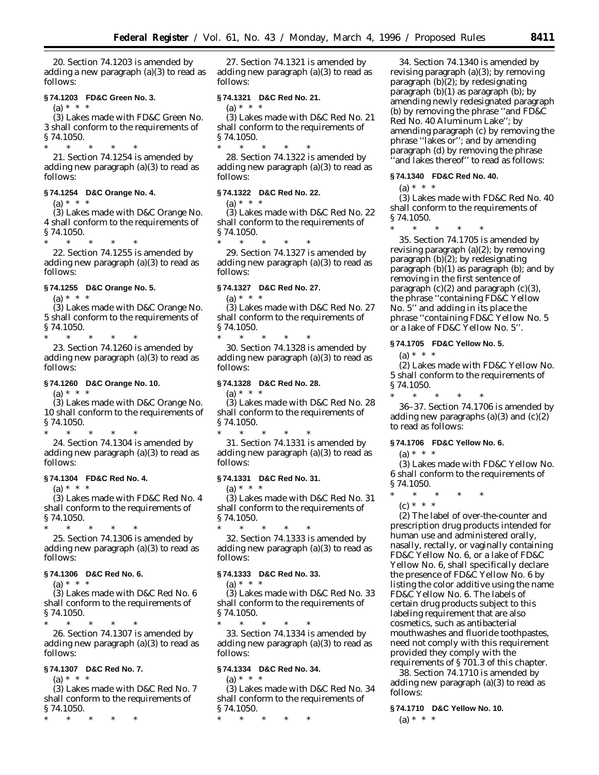20. Section 74.1203 is amended by adding a new paragraph (a)(3) to read as follows:

### **§ 74.1203 FD&C Green No. 3.**

 $(a) * * * *$ 

(3) Lakes made with FD&C Green No. 3 shall conform to the requirements of § 74.1050.

\* \* \* \* \* 21. Section 74.1254 is amended by adding new paragraph (a)(3) to read as follows:

## **§ 74.1254 D&C Orange No. 4.**

(a) \* \* \*

(3) Lakes made with D&C Orange No. 4 shall conform to the requirements of § 74.1050.

\* \* \* \* \*

22. Section 74.1255 is amended by adding new paragraph (a)(3) to read as follows:

### **§ 74.1255 D&C Orange No. 5.**

 $(a) * * * *$ 

(3) Lakes made with D&C Orange No. 5 shall conform to the requirements of § 74.1050. \* \* \* \* \*

23. Section 74.1260 is amended by adding new paragraph (a)(3) to read as follows:

### **§ 74.1260 D&C Orange No. 10.**

 $(a) * * * *$ 

(3) Lakes made with D&C Orange No. 10 shall conform to the requirements of § 74.1050.

\* \* \* \* \*

24. Section 74.1304 is amended by adding new paragraph (a)(3) to read as follows:

# **§ 74.1304 FD&C Red No. 4.**

 $(a) * * * *$ 

(3) Lakes made with FD&C Red No. 4 shall conform to the requirements of § 74.1050.

\* \* \* \* \*

25. Section 74.1306 is amended by adding new paragraph (a)(3) to read as follows:

### **§ 74.1306 D&C Red No. 6.**

 $(a) * * * *$ 

(3) Lakes made with D&C Red No. 6 shall conform to the requirements of  $$74.1050.  
*$ 

\* \* \* \* \* 26. Section 74.1307 is amended by adding new paragraph (a)(3) to read as follows:

# **§ 74.1307 D&C Red No. 7.**

(a) \* \* \*

(3) Lakes made with D&C Red No. 7 shall conform to the requirements of § 74.1050.

\* \* \* \* \*

27. Section 74.1321 is amended by adding new paragraph (a)(3) to read as follows:

## **§ 74.1321 D&C Red No. 21.**

 $(a) * * * *$ (3) Lakes made with D&C Red No. 21 shall conform to the requirements of § 74.1050.

\* \* \* \* \* 28. Section 74.1322 is amended by adding new paragraph (a)(3) to read as follows:

### **§ 74.1322 D&C Red No. 22.**

(a) \* \* \*

(3) Lakes made with D&C Red No. 22 shall conform to the requirements of § 74.1050.

\* \* \* \* \*

29. Section 74.1327 is amended by adding new paragraph (a)(3) to read as follows:

# **§ 74.1327 D&C Red No. 27.**

(a)  $* * *$ 

(3) Lakes made with D&C Red No. 27 shall conform to the requirements of § 74.1050. \* \* \* \* \*

30. Section 74.1328 is amended by adding new paragraph (a)(3) to read as follows:

### **§ 74.1328 D&C Red No. 28.**

 $(a) * * * *$ 

(3) Lakes made with D&C Red No. 28 shall conform to the requirements of § 74.1050.

\* \* \* \* \* 31. Section 74.1331 is amended by adding new paragraph (a)(3) to read as follows:

# **§ 74.1331 D&C Red No. 31.**

 $(a) * * * *$ 

(3) Lakes made with D&C Red No. 31 shall conform to the requirements of § 74.1050.

\* \* \* \* \* 32. Section 74.1333 is amended by adding new paragraph (a)(3) to read as follows:

### **§ 74.1333 D&C Red No. 33.**

 $(a) * * * *$ 

(3) Lakes made with D&C Red No. 33 shall conform to the requirements of  $$74.1050.  
*$ 

\* \* \* \* \* 33. Section 74.1334 is amended by adding new paragraph (a)(3) to read as follows:

### **§ 74.1334 D&C Red No. 34.**

(a) \* \* \*

(3) Lakes made with D&C Red No. 34 shall conform to the requirements of § 74.1050.

\* \* \* \* \*

34. Section 74.1340 is amended by revising paragraph (a)(3); by removing paragraph (b)(2); by redesignating paragraph (b)(1) as paragraph (b); by amending newly redesignated paragraph (b) by removing the phrase ''and FD&C Red No. 40 Aluminum Lake''; by amending paragraph (c) by removing the phrase ''lakes or''; and by amending paragraph (d) by removing the phrase 'and lakes thereof" to read as follows:

### **§ 74.1340 FD&C Red No. 40.**

 $(a) * * * *$ 

(3) Lakes made with FD&C Red No. 40 shall conform to the requirements of § 74.1050.

\* \* \* \* \* 35. Section 74.1705 is amended by revising paragraph (a)(2); by removing paragraph (b)(2); by redesignating paragraph (b)(1) as paragraph (b); and by removing in the first sentence of paragraph  $(c)(2)$  and paragraph  $(c)(3)$ , the phrase ''containing FD&C Yellow

No. 5'' and adding in its place the phrase ''containing FD&C Yellow No. 5 or a lake of FD&C Yellow No. 5''.

# **§ 74.1705 FD&C Yellow No. 5.**

 $(a) * * * *$ 

(2) Lakes made with FD&C Yellow No. 5 shall conform to the requirements of § 74.1050.

\* \* \* \* \* 36–37. Section 74.1706 is amended by adding new paragraphs  $(a)(3)$  and  $(c)(2)$ to read as follows:

# **§ 74.1706 FD&C Yellow No. 6.**

 $(a) * * * *$ 

(3) Lakes made with FD&C Yellow No. 6 shall conform to the requirements of § 74.1050.

- \* \* \* \* \*  $(c) * * * *$ 
	-

(2) The label of over-the-counter and prescription drug products intended for human use and administered orally, nasally, rectally, or vaginally containing FD&C Yellow No. 6, or a lake of FD&C Yellow No. 6, shall specifically declare the presence of FD&C Yellow No. 6 by listing the color additive using the name FD&C Yellow No. 6. The labels of certain drug products subject to this labeling requirement that are also cosmetics, such as antibacterial mouthwashes and fluoride toothpastes, need not comply with this requirement provided they comply with the requirements of § 701.3 of this chapter.

38. Section 74.1710 is amended by adding new paragraph (a)(3) to read as follows:

### **§ 74.1710 D&C Yellow No. 10.**

 $(a) * * * *$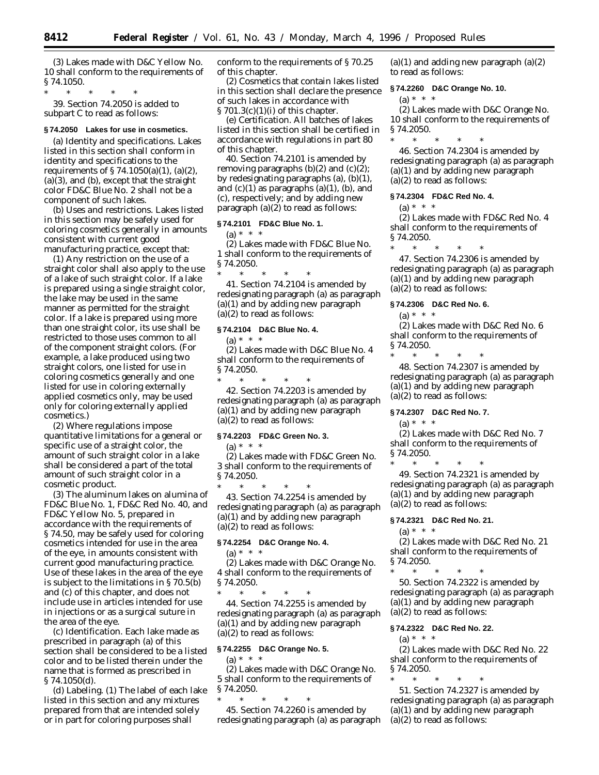(3) Lakes made with D&C Yellow No. 10 shall conform to the requirements of § 74.1050.

\* \* \* \* \* 39. Section 74.2050 is added to subpart C to read as follows:

### **§ 74.2050 Lakes for use in cosmetics.**

(a) *Identity and specifications.* Lakes listed in this section shall conform in identity and specifications to the requirements of § 74.1050(a)(1), (a)(2), (a)(3), and (b), except that the straight color FD&C Blue No. 2 shall not be a component of such lakes.

(b) *Uses and restrictions*. Lakes listed in this section may be safely used for coloring cosmetics generally in amounts consistent with current good manufacturing practice, except that:

(1) Any restriction on the use of a straight color shall also apply to the use of a lake of such straight color. If a lake is prepared using a single straight color, the lake may be used in the same manner as permitted for the straight color. If a lake is prepared using more than one straight color, its use shall be restricted to those uses common to all of the component straight colors. (For example, a lake produced using two straight colors, one listed for use in coloring cosmetics generally and one listed for use in coloring externally applied cosmetics only, may be used only for coloring externally applied cosmetics.)

(2) Where regulations impose quantitative limitations for a general or specific use of a straight color, the amount of such straight color in a lake shall be considered a part of the total amount of such straight color in a cosmetic product.

(3) The aluminum lakes on alumina of FD&C Blue No. 1, FD&C Red No. 40, and FD&C Yellow No. 5, prepared in accordance with the requirements of § 74.50, may be safely used for coloring cosmetics intended for use in the area of the eye, in amounts consistent with current good manufacturing practice. Use of these lakes in the area of the eye is subject to the limitations in § 70.5(b) and (c) of this chapter, and does not include use in articles intended for use in injections or as a surgical suture in the area of the eye.

(c) *Identification*. Each lake made as prescribed in paragraph (a) of this section shall be considered to be a listed color and to be listed therein under the name that is formed as prescribed in § 74.1050(d).

(d) *Labeling*. (1) The label of each lake listed in this section and any mixtures prepared from that are intended solely or in part for coloring purposes shall

conform to the requirements of § 70.25 of this chapter.

(2) Cosmetics that contain lakes listed in this section shall declare the presence of such lakes in accordance with  $\S 701.3(c)(1)(i)$  of this chapter.

(e) *Certification*. All batches of lakes listed in this section shall be certified in accordance with regulations in part 80 of this chapter.

40. Section 74.2101 is amended by removing paragraphs  $(b)(2)$  and  $(c)(2)$ ; by redesignating paragraphs (a), (b)(1), and  $(c)(1)$  as paragraphs  $(a)(1)$ ,  $(b)$ , and (c), respectively; and by adding new paragraph  $(a)(2)$  to read as follows:

### **§ 74.2101 FD&C Blue No. 1.**

 $(a) * * * *$ 

(2) Lakes made with FD&C Blue No. 1 shall conform to the requirements of § 74.2050.

\* \* \* \* \* 41. Section 74.2104 is amended by redesignating paragraph (a) as paragraph (a)(1) and by adding new paragraph (a)(2) to read as follows:

#### **§ 74.2104 D&C Blue No. 4.**

(a) \* \* \*

(2) Lakes made with D&C Blue No. 4 shall conform to the requirements of § 74.2050.

\* \* \* \* \* 42. Section 74.2203 is amended by redesignating paragraph (a) as paragraph (a)(1) and by adding new paragraph (a)(2) to read as follows:

# **§ 74.2203 FD&C Green No. 3.**

(a) \* \* \*

(2) Lakes made with FD&C Green No. 3 shall conform to the requirements of § 74.2050.

\* \* \* \* \* 43. Section 74.2254 is amended by redesignating paragraph (a) as paragraph (a)(1) and by adding new paragraph (a)(2) to read as follows:

# **§ 74.2254 D&C Orange No. 4.**

(a) \* \* \*

(2) Lakes made with D&C Orange No. 4 shall conform to the requirements of § 74.2050.

\* \* \* \* \* 44. Section 74.2255 is amended by redesignating paragraph (a) as paragraph (a)(1) and by adding new paragraph (a)(2) to read as follows:

# **§ 74.2255 D&C Orange No. 5.**

(a) \* \* \* (2) Lakes made with D&C Orange No. 5 shall conform to the requirements of § 74.2050.

\* \* \* \* \* 45. Section 74.2260 is amended by redesignating paragraph (a) as paragraph  $(a)(1)$  and adding new paragraph  $(a)(2)$ to read as follows:

#### **§ 74.2260 D&C Orange No. 10.**

# $(a) * * * *$

(2) Lakes made with D&C Orange No. 10 shall conform to the requirements of § 74.2050.

\* \* \* \* \* 46. Section 74.2304 is amended by redesignating paragraph (a) as paragraph (a)(1) and by adding new paragraph (a)(2) to read as follows:

#### **§ 74.2304 FD&C Red No. 4.**

 $(a) * * * *$ 

(2) Lakes made with FD&C Red No. 4 shall conform to the requirements of § 74.2050.

\* \* \* \* \* 47. Section 74.2306 is amended by redesignating paragraph (a) as paragraph (a)(1) and by adding new paragraph (a)(2) to read as follows:

#### **§ 74.2306 D&C Red No. 6.**

(a) \* \* \*

\* \* \* \* \*

(2) Lakes made with D&C Red No. 6 shall conform to the requirements of § 74.2050.

48. Section 74.2307 is amended by redesignating paragraph (a) as paragraph (a)(1) and by adding new paragraph (a)(2) to read as follows:

### **§ 74.2307 D&C Red No. 7.**

 $(a) * * * *$ 

(2) Lakes made with D&C Red No. 7 shall conform to the requirements of § 74.2050.

\* \* \* \* \* 49. Section 74.2321 is amended by redesignating paragraph (a) as paragraph (a)(1) and by adding new paragraph (a)(2) to read as follows:

#### **§ 74.2321 D&C Red No. 21.**

(a) \* \* \*

(2) Lakes made with D&C Red No. 21 shall conform to the requirements of § 74.2050.

\* \* \* \* \* 50. Section 74.2322 is amended by redesignating paragraph (a) as paragraph (a)(1) and by adding new paragraph (a)(2) to read as follows:

# **§ 74.2322 D&C Red No. 22.**

# (a) \* \* \*

(2) Lakes made with D&C Red No. 22 shall conform to the requirements of § 74.2050.

\* \* \* \* \* 51. Section 74.2327 is amended by redesignating paragraph (a) as paragraph (a)(1) and by adding new paragraph (a)(2) to read as follows: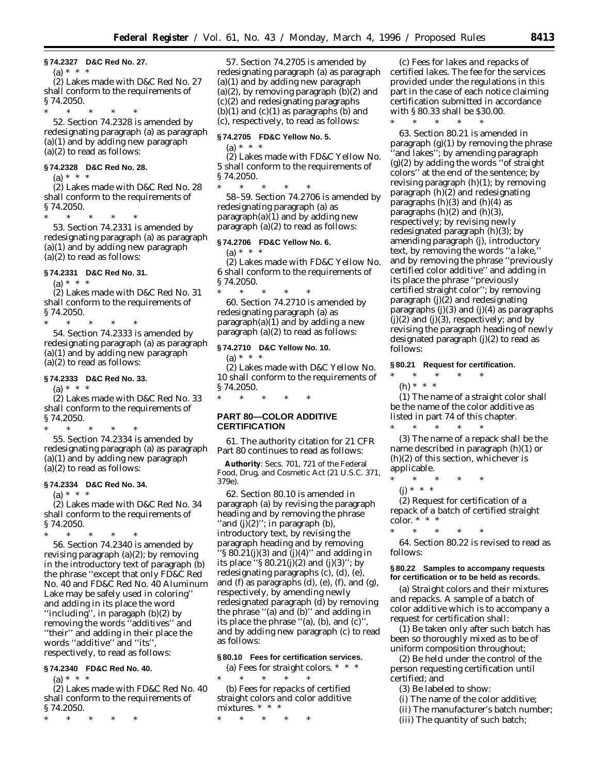#### **§ 74.2327 D&C Red No. 27.**

 $(a) * * * *$ (2) Lakes made with D&C Red No. 27 shall conform to the requirements of  $$74.2050.  
*$ 

\* \* \* \* \*

52. Section 74.2328 is amended by redesignating paragraph (a) as paragraph (a)(1) and by adding new paragraph (a)(2) to read as follows:

# **§ 74.2328 D&C Red No. 28.**

 $(a) * * * *$ 

(2) Lakes made with D&C Red No. 28 shall conform to the requirements of § 74.2050.

\* \* \* \* \*

53. Section 74.2331 is amended by redesignating paragraph (a) as paragraph (a)(1) and by adding new paragraph (a)(2) to read as follows:

### **§ 74.2331 D&C Red No. 31.**

 $(a) * * * *$ 

(2) Lakes made with D&C Red No. 31 shall conform to the requirements of § 74.2050.

\* \* \* \* \* 54. Section 74.2333 is amended by redesignating paragraph (a) as paragraph (a)(1) and by adding new paragraph (a)(2) to read as follows:

### **§ 74.2333 D&C Red No. 33.**

 $(a) * * * *$ 

(2) Lakes made with D&C Red No. 33 shall conform to the requirements of § 74.2050.

\* \* \* \* \*

55. Section 74.2334 is amended by redesignating paragraph (a) as paragraph (a)(1) and by adding new paragraph (a)(2) to read as follows:

# **§ 74.2334 D&C Red No. 34.**

 $(a) * * * *$ 

(2) Lakes made with D&C Red No. 34 shall conform to the requirements of § 74.2050.

\* \* \* \* \* 56. Section 74.2340 is amended by revising paragraph (a)(2); by removing in the introductory text of paragraph (b) the phrase ''except that only FD&C Red No. 40 and FD&C Red No. 40 Aluminum Lake may be safely used in coloring'' and adding in its place the word ''including'', in paragaph (b)(2) by removing the words ''additives'' and ''their'' and adding in their place the words ''additive'' and ''its'', respectively, to read as follows:

### **§ 74.2340 FD&C Red No. 40.**

 $(a) * * * *$ 

(2) Lakes made with FD&C Red No. 40 shall conform to the requirements of § 74.2050.

\* \* \* \* \*

57. Section 74.2705 is amended by redesignating paragraph (a) as paragraph (a)(1) and by adding new paragraph  $(a)(2)$ , by removing paragraph  $(b)(2)$  and (c)(2) and redesignating paragraphs  $(b)(1)$  and  $(c)(1)$  as paragraphs  $(b)$  and (c), respectively, to read as follows:

### **§ 74.2705 FD&C Yellow No. 5.**

(a) \* \* \* (2) Lakes made with FD&C Yellow No. 5 shall conform to the requirements of § 74.2050.

\* \* \* \* \* 58–59. Section 74.2706 is amended by redesignating paragraph (a) as paragraph(a) $(1)$  and by adding new paragraph (a)(2) to read as follows:

# **§ 74.2706 FD&C Yellow No. 6.**

 $(a) * * * *$ (2) Lakes made with FD&C Yellow No. 6 shall conform to the requirements of § 74.2050.

\* \* \* \* \* 60. Section 74.2710 is amended by redesignating paragraph (a) as paragraph $(a)(1)$  and by adding a new paragraph  $(a)(2)$  to read as follows:

### **§ 74.2710 D&C Yellow No. 10.**

(a) \* \* \*

(2) Lakes made with D&C Yellow No. 10 shall conform to the requirements of § 74.2050.

 $*$  \*

# **PART 80—COLOR ADDITIVE CERTIFICATION**

61. The authority citation for 21 CFR Part 80 continues to read as follows:

**Authority**: Secs. 701, 721 of the Federal Food, Drug, and Cosmetic Act (21 U.S.C. 371, 379e).

62. Section 80.10 is amended in paragraph (a) by revising the paragraph heading and by removing the phrase "and  $(j)(2)$ "; in paragraph  $(b)$ , introductory text, by revising the paragraph heading and by removing '§  $80.21(j)(3)$  and  $(j)(4)$ " and adding in its place " $\S 80.21(j)(2)$  and  $(j)(3)$ "; by redesignating paragraphs (c), (d), (e), and (f) as paragraphs (d), (e), (f), and (g), respectively, by amending newly redesignated paragraph (d) by removing the phrase ''(a) and (b)'' and adding in its place the phrase ''(a), (b), and (c)'', and by adding new paragraph (c) to read as follows:

# **§ 80.10 Fees for certification services.**

(a) *Fees for straight colors.* \* \* \* \* \* \* \* \*

(b) *Fees for repacks of certified straight colors and color additive mixtures.* \* \* \*

\* \* \* \* \*

(c) *Fees for lakes and repacks of certified lakes.* The fee for the services provided under the regulations in this part in the case of each notice claiming certification submitted in accordance with § 80.33 shall be \$30.00.

\* \* \* \* \*

63. Section 80.21 is amended in paragraph (g)(1) by removing the phrase 'and lakes''; by amending paragraph (g)(2) by adding the words ''of straight colors'' at the end of the sentence; by revising paragraph (h)(1); by removing paragraph (h)(2) and redesignating paragraphs  $(h)(3)$  and  $(h)(4)$  as paragraphs  $(h)(2)$  and  $(h)(3)$ , respectively; by revising newly redesignated paragraph (h)(3); by amending paragraph (j), introductory text, by removing the words ''a lake,'' and by removing the phrase ''previously certified color additive'' and adding in its place the phrase ''previously certified straight color''; by removing paragraph (j)(2) and redesignating paragraphs  $(j)(3)$  and  $(j)(4)$  as paragraphs  $(j)(2)$  and  $(j)(3)$ , respectively; and by revising the paragraph heading of newly designated paragraph (j)(2) to read as follows:

### **§ 80.21 Request for certification.**

\* \* \* \* \*

(h) \* \* \*

(1) The name of a straight color shall be the name of the color additive as listed in part 74 of this chapter. \* \* \* \* \*

(3) The name of a repack shall be the name described in paragraph (h)(1) or (h)(2) of this section, whichever is applicable.

- \* \* \* \* \*
- $(i) * * * *$

(2) *Request for certification of a repack of a batch of certified straight color.* \* \* \*

\* \* \* \* \*

64. Section 80.22 is revised to read as follows:

### **§ 80.22 Samples to accompany requests for certification or to be held as records.**

(a) *Straight colors and their mixtures and repacks.* A sample of a batch of color additive which is to accompany a request for certification shall:

(1) Be taken only after such batch has been so thoroughly mixed as to be of uniform composition throughout;

(2) Be held under the control of the person requesting certification until certified; and

(3) Be labeled to show:

(i) The name of the color additive;

(ii) The manufacturer's batch number;

(iii) The quantity of such batch;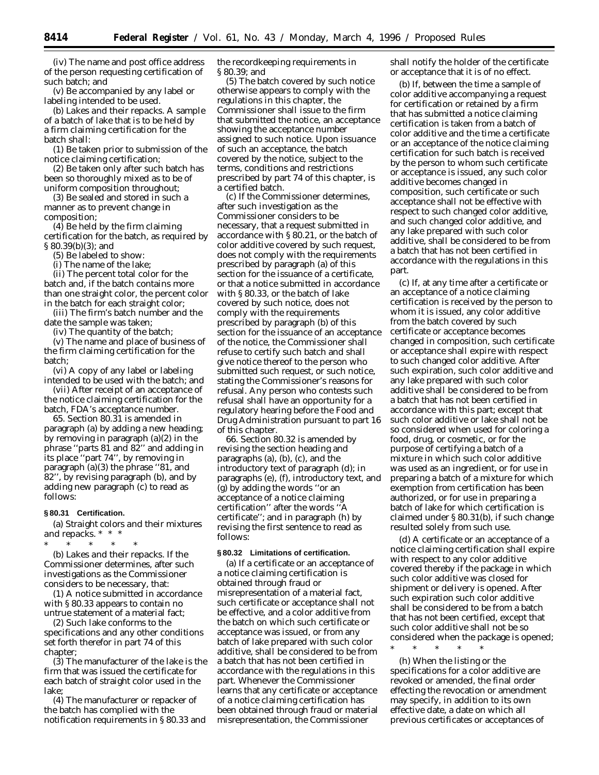(iv) The name and post office address of the person requesting certification of such batch; and

(v) Be accompanied by any label or labeling intended to be used.

(b) *Lakes and their repacks.* A sample of a batch of lake that is to be held by a firm claiming certification for the batch shall:

(1) Be taken prior to submission of the notice claiming certification;

(2) Be taken only after such batch has been so thoroughly mixed as to be of uniform composition throughout;

(3) Be sealed and stored in such a manner as to prevent change in composition;

(4) Be held by the firm claiming certification for the batch, as required by § 80.39(b)(3); and

(5) Be labeled to show:

(i) The name of the lake;

(ii) The percent total color for the batch and, if the batch contains more than one straight color, the percent color in the batch for each straight color;

(iii) The firm's batch number and the date the sample was taken;

(iv) The quantity of the batch;

(v) The name and place of business of the firm claiming certification for the batch;

(vi) A copy of any label or labeling intended to be used with the batch; and

(vii) After receipt of an acceptance of the notice claiming certification for the batch, FDA's acceptance number.

65. Section 80.31 is amended in paragraph (a) by adding a new heading; by removing in paragraph (a)(2) in the phrase ''parts 81 and 82'' and adding in its place ''part 74'', by removing in paragraph (a)(3) the phrase "81, and 82'', by revising paragraph (b), and by adding new paragraph (c) to read as follows:

#### **§ 80.31 Certification.**

(a) *Straight colors and their mixtures and repacks.* \* \* \*

\* \* \* \* \* (b) *Lakes and their repacks.* If the Commissioner determines, after such investigations as the Commissioner considers to be necessary, that:

(1) A notice submitted in accordance with § 80.33 appears to contain no untrue statement of a material fact;

(2) Such lake conforms to the specifications and any other conditions set forth therefor in part 74 of this chapter;

(3) The manufacturer of the lake is the firm that was issued the certificate for each batch of straight color used in the lake;

(4) The manufacturer or repacker of the batch has complied with the notification requirements in § 80.33 and the recordkeeping requirements in § 80.39; and

(5) The batch covered by such notice otherwise appears to comply with the regulations in this chapter, the Commissioner shall issue to the firm that submitted the notice, an acceptance showing the acceptance number assigned to such notice. Upon issuance of such an acceptance, the batch covered by the notice, subject to the terms, conditions and restrictions prescribed by part 74 of this chapter, is a certified batch.

(c) If the Commissioner determines, after such investigation as the Commissioner considers to be necessary, that a request submitted in accordance with § 80.21, or the batch of color additive covered by such request, does not comply with the requirements prescribed by paragraph (a) of this section for the issuance of a certificate, or that a notice submitted in accordance with § 80.33, or the batch of lake covered by such notice, does not comply with the requirements prescribed by paragraph (b) of this section for the issuance of an acceptance of the notice, the Commissioner shall refuse to certify such batch and shall give notice thereof to the person who submitted such request, or such notice, stating the Commissioner's reasons for refusal. Any person who contests such refusal shall have an opportunity for a regulatory hearing before the Food and Drug Administration pursuant to part 16 of this chapter.

66. Section 80.32 is amended by revising the section heading and paragraphs (a), (b), (c), and the introductory text of paragraph (d); in paragraphs (e), (f), introductory text, and (g) by adding the words ''or an acceptance of a notice claiming certification'' after the words ''A certificate''; and in paragraph (h) by revising the first sentence to read as follows:

#### **§ 80.32 Limitations of certification.**

(a) If a certificate or an acceptance of a notice claiming certification is obtained through fraud or misrepresentation of a material fact, such certificate or acceptance shall not be effective, and a color additive from the batch on which such certificate or acceptance was issued, or from any batch of lake prepared with such color additive, shall be considered to be from a batch that has not been certified in accordance with the regulations in this part. Whenever the Commissioner learns that any certificate or acceptance of a notice claiming certification has been obtained through fraud or material misrepresentation, the Commissioner

shall notify the holder of the certificate or acceptance that it is of no effect.

(b) If, between the time a sample of color additive accompanying a request for certification or retained by a firm that has submitted a notice claiming certification is taken from a batch of color additive and the time a certificate or an acceptance of the notice claiming certification for such batch is received by the person to whom such certificate or acceptance is issued, any such color additive becomes changed in composition, such certificate or such acceptance shall not be effective with respect to such changed color additive, and such changed color additive, and any lake prepared with such color additive, shall be considered to be from a batch that has not been certified in accordance with the regulations in this part.

(c) If, at any time after a certificate or an acceptance of a notice claiming certification is received by the person to whom it is issued, any color additive from the batch covered by such certificate or acceptance becomes changed in composition, such certificate or acceptance shall expire with respect to such changed color additive. After such expiration, such color additive and any lake prepared with such color additive shall be considered to be from a batch that has not been certified in accordance with this part; except that such color additive or lake shall not be so considered when used for coloring a food, drug, or cosmetic, or for the purpose of certifying a batch of a mixture in which such color additive was used as an ingredient, or for use in preparing a batch of a mixture for which exemption from certification has been authorized, or for use in preparing a batch of lake for which certification is claimed under § 80.31(b), if such change resulted solely from such use.

(d) A certificate or an acceptance of a notice claiming certification shall expire with respect to any color additive covered thereby if the package in which such color additive was closed for shipment or delivery is opened. After such expiration such color additive shall be considered to be from a batch that has not been certified, except that such color additive shall not be so considered when the package is opened;

(h) When the listing or the specifications for a color additive are revoked or amended, the final order effecting the revocation or amendment may specify, in addition to its own effective date, a date on which all previous certificates or acceptances of

\* \* \* \* \*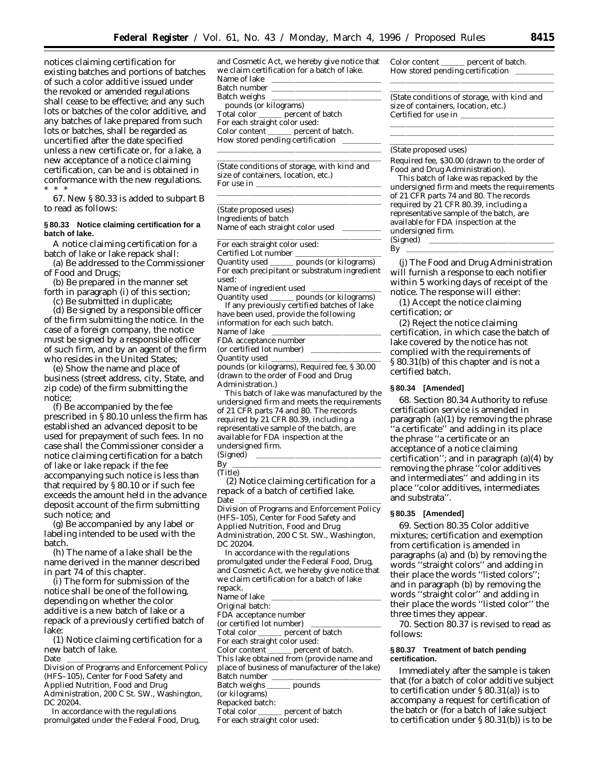notices claiming certification for existing batches and portions of batches of such a color additive issued under the revoked or amended regulations shall cease to be effective; and any such lots or batches of the color additive, and any batches of lake prepared from such lots or batches, shall be regarded as uncertified after the date specified unless a new certificate or, for a lake, a new acceptance of a notice claiming certification, can be and is obtained in conformance with the new regulations. \* \* \*

67. New § 80.33 is added to subpart B to read as follows:

### **§ 80.33 Notice claiming certification for a batch of lake.**

A notice claiming certification for a batch of lake or lake repack shall:

(a) Be addressed to the Commissioner of Food and Drugs;

(b) Be prepared in the manner set forth in paragraph (i) of this section;

(c) Be submitted in duplicate;

(d) Be signed by a responsible officer of the firm submitting the notice. In the case of a foreign company, the notice must be signed by a responsible officer of such firm, and by an agent of the firm who resides in the United States;

(e) Show the name and place of business (street address, city, State, and zip code) of the firm submitting the notice;

(f) Be accompanied by the fee prescribed in § 80.10 unless the firm has established an advanced deposit to be used for prepayment of such fees. In no case shall the Commissioner consider a notice claiming certification for a batch of lake or lake repack if the fee accompanying such notice is less than that required by § 80.10 or if such fee exceeds the amount held in the advance deposit account of the firm submitting such notice; and

(g) Be accompanied by any label or labeling intended to be used with the batch.

(h) The name of a lake shall be the name derived in the manner described in part 74 of this chapter.

(i) The form for submission of the notice shall be one of the following, depending on whether the color additive is a new batch of lake or a repack of a previously certified batch of lake:

(1) *Notice claiming certification for a new batch of lake.*

Date llllllllllllllllll Division of Programs and Enforcement Policy (HFS–105), Center for Food Safety and Applied Nutrition, Food and Drug Administration, 200 C St. SW., Washington, DC 20204.

In accordance with the regulations promulgated under the Federal Food, Drug, and Cosmetic Act, we hereby give notice that we claim certification for a batch of lake. Name of lake Batch number Batch weighs pounds (or kilograms) Total color \_\_\_\_\_\_ percent of batch For each straight color used: Color content \_\_\_\_\_\_ percent of batch. How stored pending certification

lllalla llista se est alla seguente del control de la control de la control de la control de la control de la (State conditions of storage, with kind and size of containers, location, etc.) For use in

lllllllllllllllllllll

lllllllllllllllllllll

lllllllllllllllllllll (State proposed uses) *Ingredients of batch*

Name of each straight color used

For each straight color used:

Certified Lot number

Quantity used \_\_\_\_\_ pounds (or kilograms) For each precipitant or substratum ingredient used:

Name of ingredient used<br>Quantity used \_\_\_\_\_\_ pou

**pounds** (or kilograms) If any previously certified batches of lake

| have been used, provide the following |  |
|---------------------------------------|--|
| information for each such batch.      |  |
| Name of lake                          |  |
| FDA acceptance number                 |  |
| (or certified lot number)             |  |
| Quantity used                         |  |

pounds (or kilograms), Required fee, § 30.00 (drawn to the order of Food and Drug Administration.)

This batch of lake was manufactured by the undersigned firm and meets the requirements of 21 CFR parts 74 and 80. The records required by 21 CFR 80.39, including a representative sample of the batch, are available for FDA inspection at the undersigned firm.  $(Sijened)$ 

| . . |  |  |  |  |  |  |
|-----|--|--|--|--|--|--|
| ۰   |  |  |  |  |  |  |

(2) *Notice claiming certification for a repack of a batch of certified lake.*

Date llllllllllllllllll Division of Programs and Enforcement Policy (HFS–105), Center for Food Safety and Applied Nutrition, Food and Drug Administration, 200 C St. SW., Washington, DC 20204.

In accordance with the regulations promulgated under the Federal Food, Drug, and Cosmetic Act, we hereby give notice that we claim certification for a batch of lake repack.

Name of lake

Original batch:

FDA acceptance number

(or certified lot number)<br>Total color percent  $p$ ercent of batch

For each straight color used:<br>Color content \_\_\_\_\_\_ percent

percent of batch. This lake obtained from (provide name and

place of business of manufacturer of the lake)

Batch number<br>Batch weighs \_\_\_\_\_\_\_\_ pounds

Batch weighs (or kilograms)

Repacked batch:

Total color <u>equilibration</u> percent of batch

For each straight color used:

Color content percent of batch. How stored pending certification llllalla i se solo si se solo si se solo si se solo si se solo si se solo si se solo si se solo si se solo si

(State conditions of storage, with kind and size of containers, location, etc.) Certified for use in

lllllllllllllllllllll

lllllllllllllllllllll lllllllllllllllllllll lllllllllllllllllllll

#### (State proposed uses)

Required fee, \$30.00 (drawn to the order of Food and Drug Administration). This batch of lake was repacked by the undersigned firm and meets the requirements of 21 CFR parts 74 and 80. The records required by 21 CFR 80.39, including a representative sample of the batch, are available for FDA inspection at the undersigned firm.

 $(Signed)$ By  $\overline{\phantom{a}}$ 

(j) The Food and Drug Administration will furnish a response to each notifier within 5 working days of receipt of the notice. The response will either:

(1) Accept the notice claiming certification; or

(2) Reject the notice claiming certification, in which case the batch of lake covered by the notice has not complied with the requirements of § 80.31(b) of this chapter and is not a certified batch.

# **§ 80.34 [Amended]**

68. Section 80.34 *Authority to refuse certification service* is amended in paragraph (a)(1) by removing the phrase ''a certificate'' and adding in its place the phrase ''a certificate or an acceptance of a notice claiming certification''; and in paragraph (a)(4) by removing the phrase ''color additives and intermediates'' and adding in its place ''color additives, intermediates and substrata''.

### **§ 80.35 [Amended]**

69. Section 80.35 *Color additive mixtures; certification and exemption from certification* is amended in paragraphs (a) and (b) by removing the words ''straight colors'' and adding in their place the words ''listed colors''; and in paragraph (b) by removing the words ''straight color'' and adding in their place the words ''listed color'' the three times they appear.

70. Section 80.37 is revised to read as follows:

### **§ 80.37 Treatment of batch pending certification.**

Immediately after the sample is taken that (for a batch of color additive subject to certification under § 80.31(a)) is to accompany a request for certification of the batch or (for a batch of lake subject to certification under § 80.31(b)) is to be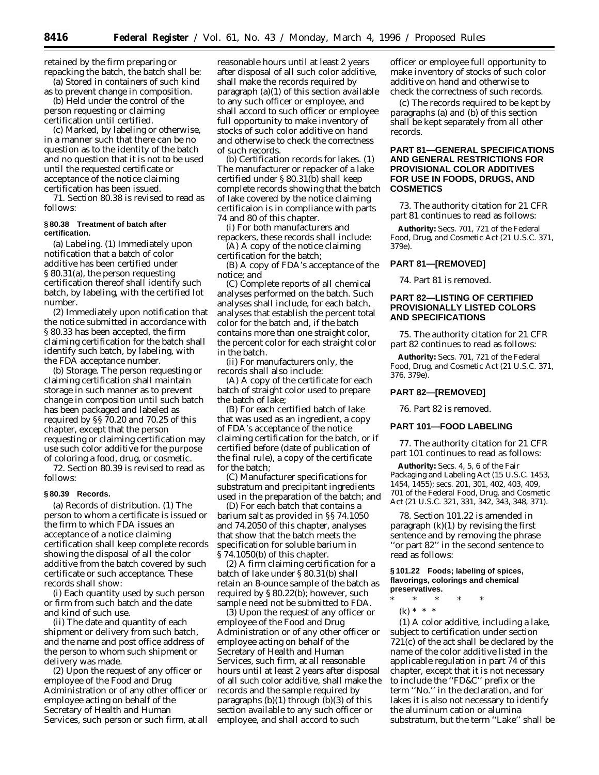retained by the firm preparing or repacking the batch, the batch shall be:

(a) Stored in containers of such kind as to prevent change in composition. (b) Held under the control of the

person requesting or claiming certification until certified.

(c) Marked, by labeling or otherwise, in a manner such that there can be no question as to the identity of the batch and no question that it is not to be used until the requested certificate or acceptance of the notice claiming certification has been issued.

71. Section 80.38 is revised to read as follows:

### **§ 80.38 Treatment of batch after certification.**

(a) *Labeling.* (1) Immediately upon notification that a batch of color additive has been certified under § 80.31(a), the person requesting certification thereof shall identify such batch, by labeling, with the certified lot number.

(2) Immediately upon notification that the notice submitted in accordance with § 80.33 has been accepted, the firm claiming certification for the batch shall identify such batch, by labeling, with the FDA acceptance number.

(b) *Storage.* The person requesting or claiming certification shall maintain storage in such manner as to prevent change in composition until such batch has been packaged and labeled as required by §§ 70.20 and 70.25 of this chapter, except that the person requesting or claiming certification may use such color additive for the purpose of coloring a food, drug, or cosmetic.

72. Section 80.39 is revised to read as follows:

# **§ 80.39 Records.**

(a) *Records of distribution.* (1) The person to whom a certificate is issued or the firm to which FDA issues an acceptance of a notice claiming certification shall keep complete records showing the disposal of all the color additive from the batch covered by such certificate or such acceptance. These records shall show:

(i) Each quantity used by such person or firm from such batch and the date and kind of such use.

(ii) The date and quantity of each shipment or delivery from such batch, and the name and post office address of the person to whom such shipment or delivery was made.

(2) Upon the request of any officer or employee of the Food and Drug Administration or of any other officer or employee acting on behalf of the Secretary of Health and Human Services, such person or such firm, at all

reasonable hours until at least 2 years after disposal of all such color additive, shall make the records required by paragraph (a)(1) of this section available to any such officer or employee, and shall accord to such officer or employee full opportunity to make inventory of stocks of such color additive on hand and otherwise to check the correctness of such records.

(b) *Certification records for lakes.* (1) The manufacturer or repacker of a lake certified under § 80.31(b) shall keep complete records showing that the batch of lake covered by the notice claiming certificaion is in compliance with parts 74 and 80 of this chapter.

(i) For both manufacturers and repackers, these records shall include:

(A) A copy of the notice claiming certification for the batch;

(B) A copy of FDA's acceptance of the notice; and

(C) Complete reports of all chemical analyses performed on the batch. Such analyses shall include, for each batch, analyses that establish the percent total color for the batch and, if the batch contains more than one straight color, the percent color for each straight color in the batch.

(ii) For manufacturers only, the records shall also include:

(A) A copy of the certificate for each batch of straight color used to prepare the batch of lake;

(B) For each certified batch of lake that was used as an ingredient, a copy of FDA's acceptance of the notice claiming certification for the batch, or if certified before (date of publication of the final rule), a copy of the certificate for the batch;

(C) Manufacturer specifications for substratum and precipitant ingredients used in the preparation of the batch; and

(D) For each batch that contains a barium salt as provided in §§ 74.1050 and 74.2050 of this chapter, analyses that show that the batch meets the specification for soluble barium in § 74.1050(b) of this chapter.

(2) A firm claiming certification for a batch of lake under § 80.31(b) shall retain an 8-ounce sample of the batch as required by § 80.22(b); however, such sample need not be submitted to FDA.

(3) Upon the request of any officer or employee of the Food and Drug Administration or of any other officer or employee acting on behalf of the Secretary of Health and Human Services, such firm, at all reasonable hours until at least 2 years after disposal of all such color additive, shall make the records and the sample required by paragraphs  $(b)(1)$  through  $(b)(3)$  of this section available to any such officer or employee, and shall accord to such

officer or employee full opportunity to make inventory of stocks of such color additive on hand and otherwise to check the correctness of such records.

(c) The records required to be kept by paragraphs (a) and (b) of this section shall be kept separately from all other records.

# **PART 81—GENERAL SPECIFICATIONS AND GENERAL RESTRICTIONS FOR PROVISIONAL COLOR ADDITIVES FOR USE IN FOODS, DRUGS, AND COSMETICS**

73. The authority citation for 21 CFR part 81 continues to read as follows:

**Authority:** Secs. 701, 721 of the Federal Food, Drug, and Cosmetic Act (21 U.S.C. 371, 379e).

# **PART 81—[REMOVED]**

74. Part 81 is removed.

# **PART 82—LISTING OF CERTIFIED PROVISIONALLY LISTED COLORS AND SPECIFICATIONS**

75. The authority citation for 21 CFR part 82 continues to read as follows:

**Authority:** Secs. 701, 721 of the Federal Food, Drug, and Cosmetic Act (21 U.S.C. 371, 376, 379e).

# **PART 82—[REMOVED]**

76. Part 82 is removed.

# **PART 101—FOOD LABELING**

77. The authority citation for 21 CFR part 101 continues to read as follows:

**Authority:** Secs. 4, 5, 6 of the Fair Packaging and Labeling Act (15 U.S.C. 1453, 1454, 1455); secs. 201, 301, 402, 403, 409, 701 of the Federal Food, Drug, and Cosmetic Act (21 U.S.C. 321, 331, 342, 343, 348, 371).

78. Section 101.22 is amended in paragraph  $(k)(1)$  by revising the first sentence and by removing the phrase ''or part 82'' in the second sentence to read as follows:

**§ 101.22 Foods; labeling of spices, flavorings, colorings and chemical preservatives.**

- \* \* \* \* \*
	- (k) \* \* \*

(1) A color additive, including a lake, subject to certification under section 721(c) of the act shall be declared by the name of the color additive listed in the applicable regulation in part 74 of this chapter, except that it is not necessary to include the ''FD&C'' prefix or the term ''No.'' in the declaration, and for lakes it is also not necessary to identify the aluminum cation or alumina substratum, but the term ''Lake'' shall be